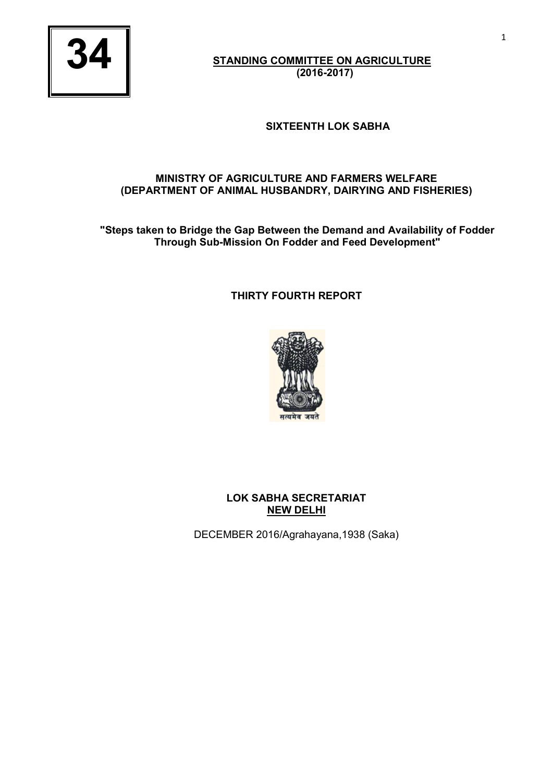

**STANDING COMMITTEE ON AGRICULTURE (2016-2017)**

# **SIXTEENTH LOK SABHA**

# **MINISTRY OF AGRICULTURE AND FARMERS WELFARE (DEPARTMENT OF ANIMAL HUSBANDRY, DAIRYING AND FISHERIES)**

**"Steps taken to Bridge the Gap Between the Demand and Availability of Fodder Through Sub-Mission On Fodder and Feed Development"**

## **THIRTY FOURTH REPORT**



**LOK SABHA SECRETARIAT NEW DELHI**

DECEMBER 2016/Agrahayana,1938 (Saka)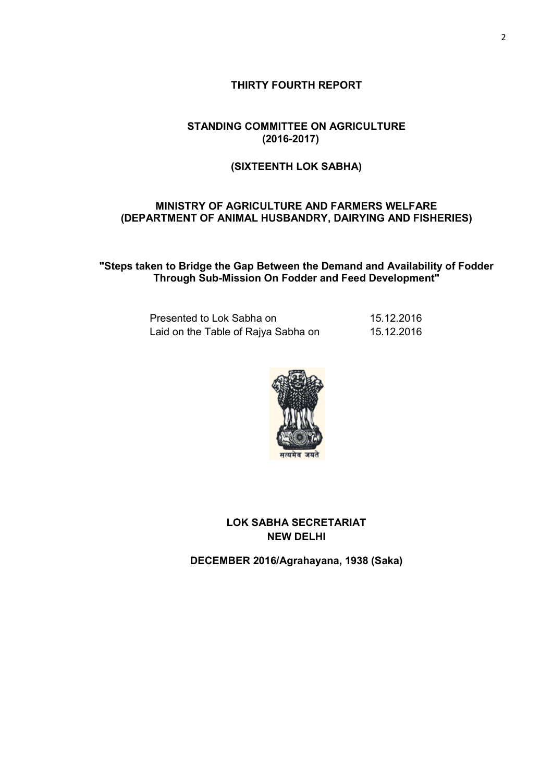**THIRTY FOURTH REPORT**

# **STANDING COMMITTEE ON AGRICULTURE (2016-2017)**

# **(SIXTEENTH LOK SABHA)**

## **MINISTRY OF AGRICULTURE AND FARMERS WELFARE (DEPARTMENT OF ANIMAL HUSBANDRY, DAIRYING AND FISHERIES)**

**"Steps taken to Bridge the Gap Between the Demand and Availability of Fodder Through Sub-Mission On Fodder and Feed Development"**

| Presented to Lok Sabha on           | 15.12.2016 |
|-------------------------------------|------------|
| Laid on the Table of Rajya Sabha on | 15.12.2016 |



**LOK SABHA SECRETARIAT NEW DELHI**

**DECEMBER 2016/Agrahayana, 1938 (Saka)**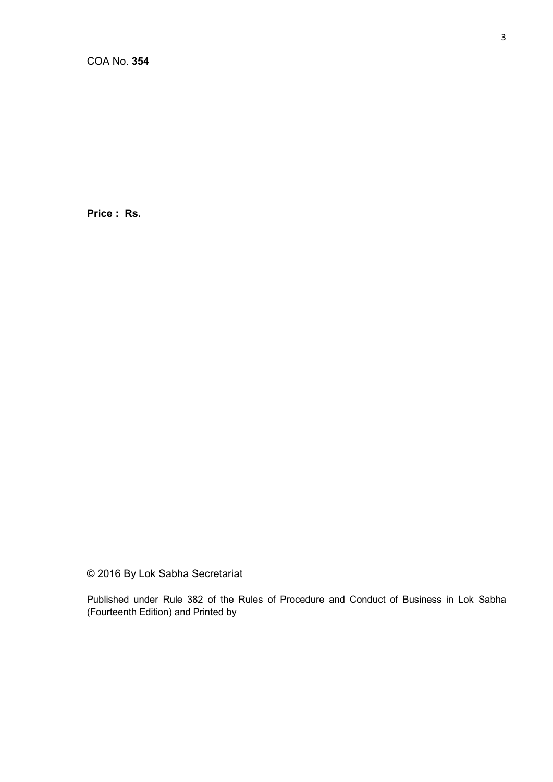**Price : Rs.**

© 2016 By Lok Sabha Secretariat

Published under Rule 382 of the Rules of Procedure and Conduct of Business in Lok Sabha (Fourteenth Edition) and Printed by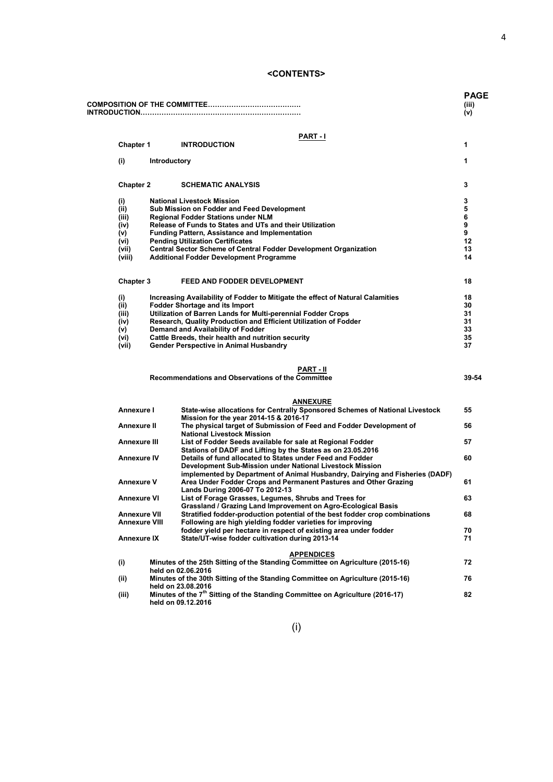|                      |              |                                                                                                                                                                                     | <b>PAGE</b><br>(iii)<br>(v) |
|----------------------|--------------|-------------------------------------------------------------------------------------------------------------------------------------------------------------------------------------|-----------------------------|
|                      |              | <b>PART-1</b>                                                                                                                                                                       |                             |
| Chapter 1            |              | <b>INTRODUCTION</b>                                                                                                                                                                 | 1                           |
| (i)                  | Introductory |                                                                                                                                                                                     | 1                           |
| <b>Chapter 2</b>     |              | <b>SCHEMATIC ANALYSIS</b>                                                                                                                                                           | 3                           |
| (i)                  |              | <b>National Livestock Mission</b>                                                                                                                                                   | 3                           |
| (ii)                 |              | Sub Mission on Fodder and Feed Development                                                                                                                                          | 5                           |
| (iii)                |              | Regional Fodder Stations under NLM                                                                                                                                                  | 6                           |
| (iv)                 |              | Release of Funds to States and UTs and their Utilization                                                                                                                            | 9                           |
| (v)                  |              | <b>Funding Pattern, Assistance and Implementation</b>                                                                                                                               | 9                           |
| (vi)                 |              | <b>Pending Utilization Certificates</b>                                                                                                                                             | 12                          |
| (vii)                |              | <b>Central Sector Scheme of Central Fodder Development Organization</b>                                                                                                             | 13                          |
| (viii)               |              | <b>Additional Fodder Development Programme</b>                                                                                                                                      | 14                          |
| Chapter 3            |              | FEED AND FODDER DEVELOPMENT                                                                                                                                                         | 18                          |
|                      |              | Increasing Availability of Fodder to Mitigate the effect of Natural Calamities                                                                                                      | 18                          |
| (i)<br>(ii)          |              | <b>Fodder Shortage and its Import</b>                                                                                                                                               | 30                          |
|                      |              | Utilization of Barren Lands for Multi-perennial Fodder Crops                                                                                                                        |                             |
| (iii)                |              |                                                                                                                                                                                     | 31                          |
| (iv)                 |              | Research, Quality Production and Efficient Utilization of Fodder                                                                                                                    | 31                          |
| (v)                  |              | Demand and Availability of Fodder                                                                                                                                                   | 33                          |
| (vi)<br>(vii)        |              | Cattle Breeds, their health and nutrition security<br><b>Gender Perspective in Animal Husbandry</b>                                                                                 | 35<br>37                    |
|                      |              | PART - II<br>Recommendations and Observations of the Committee                                                                                                                      | 39-54                       |
|                      |              | <b>ANNEXURE</b>                                                                                                                                                                     |                             |
| Annexure I           |              | State-wise allocations for Centrally Sponsored Schemes of National Livestock<br>Mission for the year 2014-15 & 2016-17                                                              | 55                          |
| Annexure II          |              | The physical target of Submission of Feed and Fodder Development of<br><b>National Livestock Mission</b>                                                                            | 56                          |
| Annexure III         |              | List of Fodder Seeds available for sale at Regional Fodder                                                                                                                          | 57                          |
|                      |              | Stations of DADF and Lifting by the States as on 23.05.2016                                                                                                                         |                             |
| <b>Annexure IV</b>   |              | Details of fund allocated to States under Feed and Fodder<br>Development Sub-Mission under National Livestock Mission                                                               | 60                          |
| <b>Annexure V</b>    |              | implemented by Department of Animal Husbandry, Dairying and Fisheries (DADF)<br>Area Under Fodder Crops and Permanent Pastures and Other Grazing<br>Lands During 2006-07 To 2012-13 | 61                          |
| <b>Annexure VI</b>   |              | List of Forage Grasses, Legumes, Shrubs and Trees for<br>Grassland / Grazing Land Improvement on Agro-Ecological Basis                                                              | 63                          |
| <b>Annexure VII</b>  |              | Stratified fodder-production potential of the best fodder crop combinations                                                                                                         | 68                          |
| <b>Annexure VIII</b> |              | Following are high yielding fodder varieties for improving                                                                                                                          |                             |
|                      |              | fodder yield per hectare in respect of existing area under fodder                                                                                                                   | 70                          |
| Annexure IX          |              | State/UT-wise fodder cultivation during 2013-14                                                                                                                                     | 71                          |
|                      |              | <b>APPENDICES</b>                                                                                                                                                                   |                             |
| (i)                  |              | Minutes of the 25th Sitting of the Standing Committee on Agriculture (2015-16)<br>held on 02.06.2016                                                                                | 72                          |
| (ii)                 |              | Minutes of the 30th Sitting of the Standing Committee on Agriculture (2015-16)<br>held on 23.08.2016                                                                                | 76                          |
| (iii)                |              | Minutes of the 7 <sup>th</sup> Sitting of the Standing Committee on Agriculture (2016-17)                                                                                           | 82                          |

(i)

**held on 09.12.2016**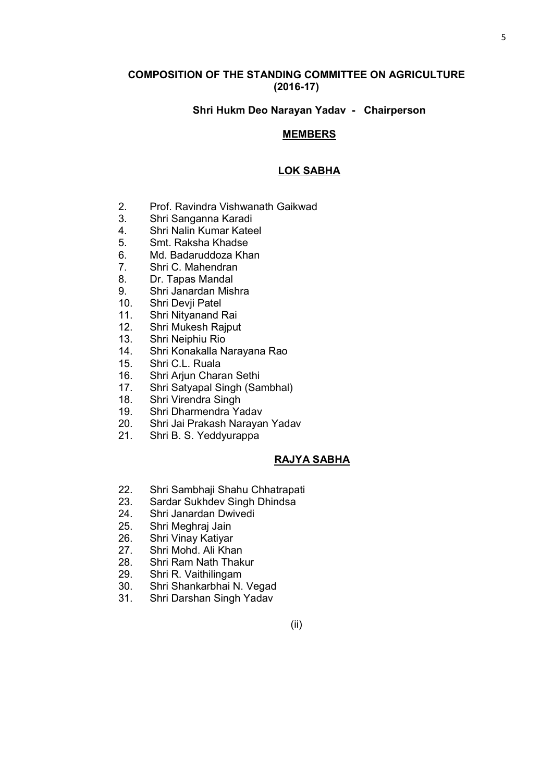#### **COMPOSITION OF THE STANDING COMMITTEE ON AGRICULTURE (2016-17)**

#### **Shri Hukm Deo Narayan Yadav - Chairperson**

#### **MEMBERS**

#### **LOK SABHA**

- 2. Prof. Ravindra Vishwanath Gaikwad<br>3. Shri Sanganna Karadi
- 3. Shri Sanganna Karadi
- 4. Shri Nalin Kumar Kateel
- 5. Smt. Raksha Khadse
- 6. Md. Badaruddoza Khan
- 7. Shri C. Mahendran
- 8. Dr. Tapas Mandal<br>9. Shri Janardan Mis
- 9. Shri Janardan Mishra
- 10. Shri Devji Patel
- 11. Shri Nityanand Rai
- 12. Shri Mukesh Rajput
- 13. Shri Neiphiu Rio
- 14. Shri Konakalla Narayana Rao
- 15. Shri C.L. Ruala
- 16. Shri Arjun Charan Sethi
- 17. Shri Satyapal Singh (Sambhal)
- 18. Shri Virendra Singh
- 19. Shri Dharmendra Yadav<br>20. Shri Jai Prakash Naraya
- Shri Jai Prakash Narayan Yadav
- 21. Shri B. S. Yeddyurappa

#### **RAJYA SABHA**

- 22. Shri Sambhaji Shahu Chhatrapati
- 23. Sardar Sukhdev Singh Dhindsa
- 24. Shri Janardan Dwivedi
- 25. Shri Meghraj Jain
- 26. Shri Vinay Katiyar
- 27. Shri Mohd. Ali Khan
- 28. Shri Ram Nath Thakur
- 29. Shri R. Vaithilingam
- 30. Shri Shankarbhai N. Vegad
- 31. Shri Darshan Singh Yadav

5

(ii)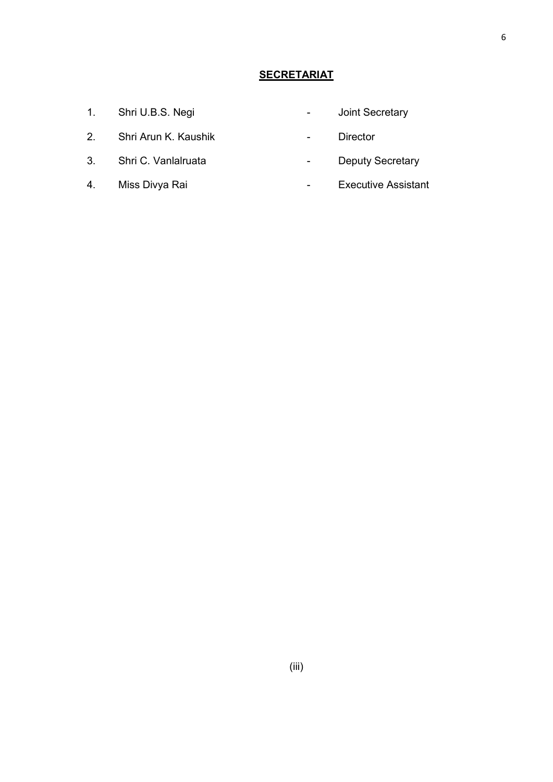# **SECRETARIAT**

- 1. Shri U.B.S. Negi **1. Accept 1. Shri U.B.S.** Negi 1.
- 2. Shri Arun K. Kaushik **1988** Director
- 3. Shri C. Vanlalruata  **C. C. Deputy Secretary**
- 4. Miss Divya Rai **1988** Executive Assistant
- 
- -
	-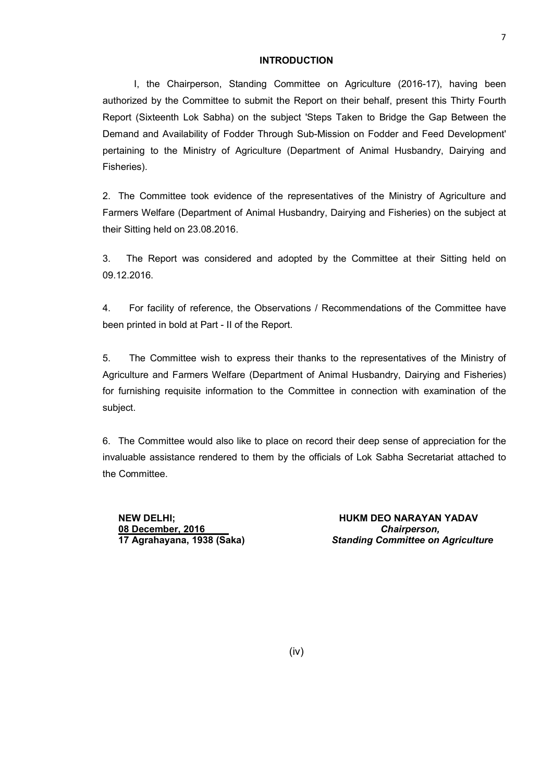#### **INTRODUCTION**

I, the Chairperson, Standing Committee on Agriculture (2016-17), having been authorized by the Committee to submit the Report on their behalf, present this Thirty Fourth Report (Sixteenth Lok Sabha) on the subject 'Steps Taken to Bridge the Gap Between the Demand and Availability of Fodder Through Sub-Mission on Fodder and Feed Development' pertaining to the Ministry of Agriculture (Department of Animal Husbandry, Dairying and Fisheries).

2. The Committee took evidence of the representatives of the Ministry of Agriculture and Farmers Welfare (Department of Animal Husbandry, Dairying and Fisheries) on the subject at their Sitting held on 23.08.2016.

3. The Report was considered and adopted by the Committee at their Sitting held on 09.12.2016.

4. For facility of reference, the Observations / Recommendations of the Committee have been printed in bold at Part - II of the Report.

5. The Committee wish to express their thanks to the representatives of the Ministry of Agriculture and Farmers Welfare (Department of Animal Husbandry, Dairying and Fisheries) for furnishing requisite information to the Committee in connection with examination of the subject.

6. The Committee would also like to place on record their deep sense of appreciation for the invaluable assistance rendered to them by the officials of Lok Sabha Secretariat attached to the Committee.

**08 December, 2016** *Chairperson,*

**NEW DELHI; HUKM DEO NARAYAN YADAV 17 Agrahayana, 1938 (Saka)** *Standing Committee on Agriculture*

(iv)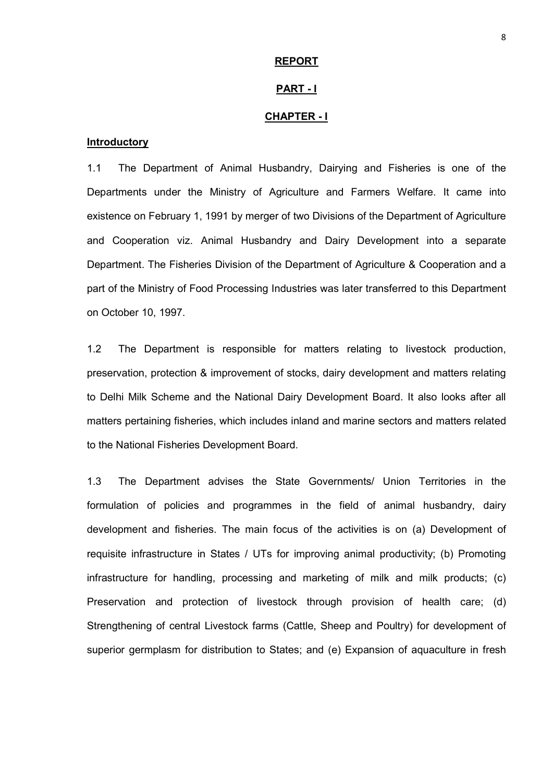#### **REPORT**

## **PART - I**

#### **CHAPTER - I**

## **Introductory**

1.1 The Department of Animal Husbandry, Dairying and Fisheries is one of the Departments under the Ministry of Agriculture and Farmers Welfare. It came into existence on February 1, 1991 by merger of two Divisions of the Department of Agriculture and Cooperation viz. Animal Husbandry and Dairy Development into a separate Department. The Fisheries Division of the Department of Agriculture & Cooperation and a part of the Ministry of Food Processing Industries was later transferred to this Department on October 10, 1997.

1.2 The Department is responsible for matters relating to livestock production, preservation, protection & improvement of stocks, dairy development and matters relating to Delhi Milk Scheme and the National Dairy Development Board. It also looks after all matters pertaining fisheries, which includes inland and marine sectors and matters related to the National Fisheries Development Board.

1.3 The Department advises the State Governments/ Union Territories in the formulation of policies and programmes in the field of animal husbandry, dairy development and fisheries. The main focus of the activities is on (a) Development of requisite infrastructure in States / UTs for improving animal productivity; (b) Promoting infrastructure for handling, processing and marketing of milk and milk products; (c) Preservation and protection of livestock through provision of health care; (d) Strengthening of central Livestock farms (Cattle, Sheep and Poultry) for development of superior germplasm for distribution to States; and (e) Expansion of aquaculture in fresh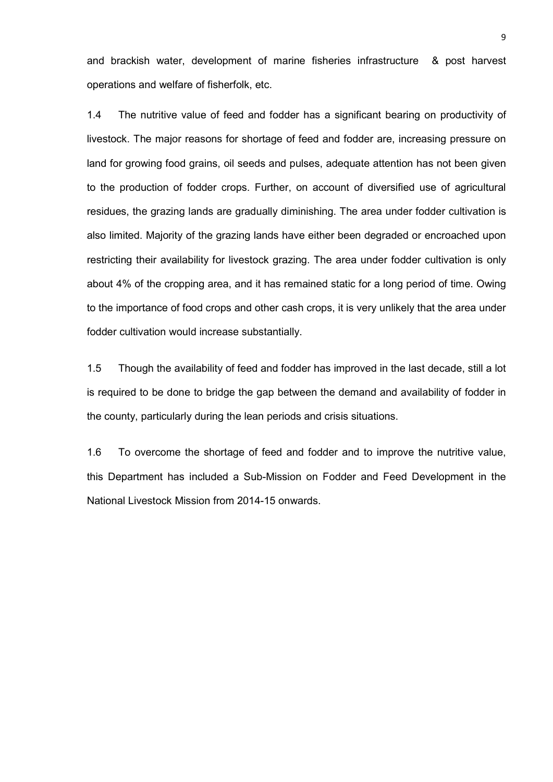and brackish water, development of marine fisheries infrastructure & post harvest operations and welfare of fisherfolk, etc.

1.4 The nutritive value of feed and fodder has a significant bearing on productivity of livestock. The major reasons for shortage of feed and fodder are, increasing pressure on land for growing food grains, oil seeds and pulses, adequate attention has not been given to the production of fodder crops. Further, on account of diversified use of agricultural residues, the grazing lands are gradually diminishing. The area under fodder cultivation is also limited. Majority of the grazing lands have either been degraded or encroached upon restricting their availability for livestock grazing. The area under fodder cultivation is only about 4% of the cropping area, and it has remained static for a long period of time. Owing to the importance of food crops and other cash crops, it is very unlikely that the area under fodder cultivation would increase substantially.

1.5 Though the availability of feed and fodder has improved in the last decade, still a lot is required to be done to bridge the gap between the demand and availability of fodder in the county, particularly during the lean periods and crisis situations.

1.6 To overcome the shortage of feed and fodder and to improve the nutritive value, this Department has included a Sub-Mission on Fodder and Feed Development in the National Livestock Mission from 2014-15 onwards.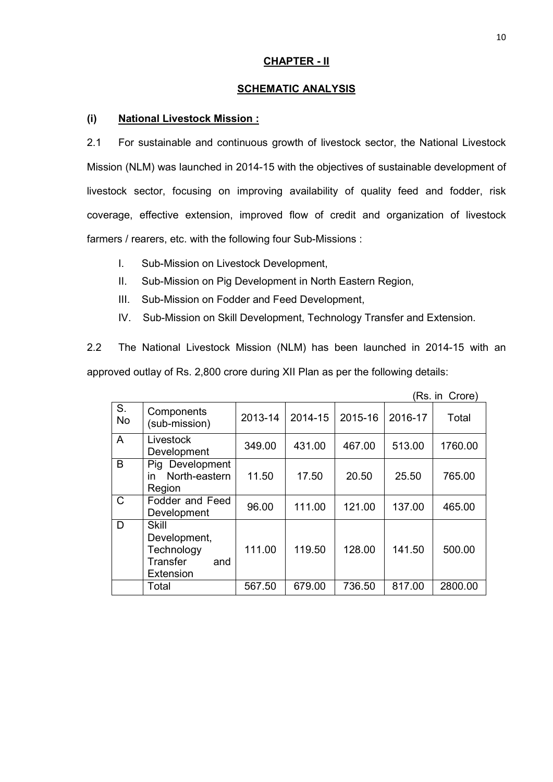# **CHAPTER - II**

# **SCHEMATIC ANALYSIS**

## **(i) National Livestock Mission :**

2.1 For sustainable and continuous growth of livestock sector, the National Livestock Mission (NLM) was launched in 2014-15 with the objectives of sustainable development of livestock sector, focusing on improving availability of quality feed and fodder, risk coverage, effective extension, improved flow of credit and organization of livestock farmers / rearers, etc. with the following four Sub-Missions :

- I. Sub-Mission on Livestock Development,
- II. Sub-Mission on Pig Development in North Eastern Region,
- III. Sub-Mission on Fodder and Feed Development,
- IV. Sub-Mission on Skill Development, Technology Transfer and Extension.

2.2 The National Livestock Mission (NLM) has been launched in 2014-15 with an approved outlay of Rs. 2,800 crore during XII Plan as per the following details:

|                 |                                                                            |         |         |         |         | (Rs. in Crore) |
|-----------------|----------------------------------------------------------------------------|---------|---------|---------|---------|----------------|
| S.<br><b>No</b> | Components<br>(sub-mission)                                                | 2013-14 | 2014-15 | 2015-16 | 2016-17 | Total          |
| A               | Livestock<br>Development                                                   | 349.00  | 431.00  | 467.00  | 513.00  | 1760.00        |
| B               | Pig Development<br>North-eastern<br>in<br>Region                           | 11.50   | 17.50   | 20.50   | 25.50   | 765.00         |
| $\mathsf{C}$    | Fodder and Feed<br>Development                                             | 96.00   | 111.00  | 121.00  | 137.00  | 465.00         |
| D               | <b>Skill</b><br>Development,<br>Technology<br>Transfer<br>and<br>Extension | 111.00  | 119.50  | 128.00  | 141.50  | 500.00         |
|                 | Total                                                                      | 567.50  | 679.00  | 736.50  | 817.00  | 2800.00        |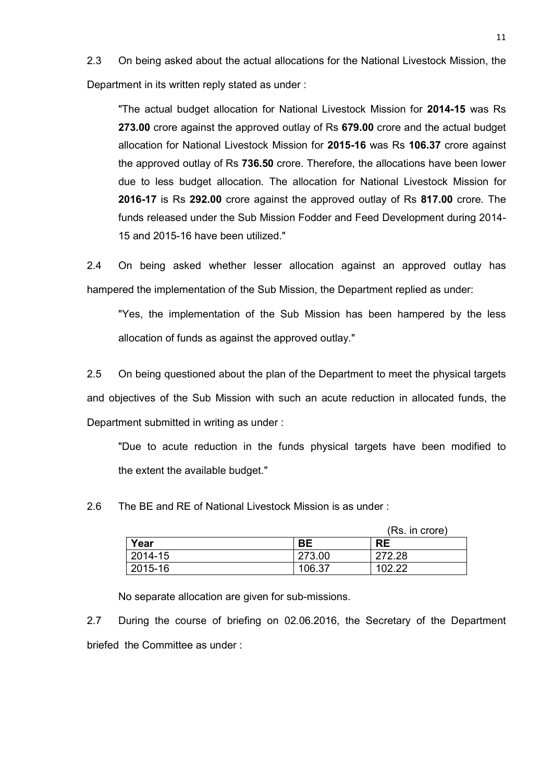2.3 On being asked about the actual allocations for the National Livestock Mission, the Department in its written reply stated as under :

"The actual budget allocation for National Livestock Mission for **2014-15** was Rs **273.00** crore against the approved outlay of Rs **679.00** crore and the actual budget allocation for National Livestock Mission for **2015-16** was Rs **106.37** crore against the approved outlay of Rs **736.50** crore. Therefore, the allocations have been lower due to less budget allocation. The allocation for National Livestock Mission for **2016-17** is Rs **292.00** crore against the approved outlay of Rs **817.00** crore*.* The funds released under the Sub Mission Fodder and Feed Development during 2014- 15 and 2015-16 have been utilized."

2.4 On being asked whether lesser allocation against an approved outlay has hampered the implementation of the Sub Mission, the Department replied as under:

"Yes, the implementation of the Sub Mission has been hampered by the less allocation of funds as against the approved outlay."

2.5 On being questioned about the plan of the Department to meet the physical targets and objectives of the Sub Mission with such an acute reduction in allocated funds, the Department submitted in writing as under :

"Due to acute reduction in the funds physical targets have been modified to the extent the available budget."

2.6 The BE and RE of National Livestock Mission is as under :

|         |           | (Rs. in crore) |
|---------|-----------|----------------|
| Year    | <b>BE</b> | <b>RE</b>      |
| 2014-15 | 273.00    | 272.28         |
| 2015-16 | 106.37    | 102.22         |

No separate allocation are given for sub-missions.

2.7 During the course of briefing on 02.06.2016, the Secretary of the Department briefed the Committee as under :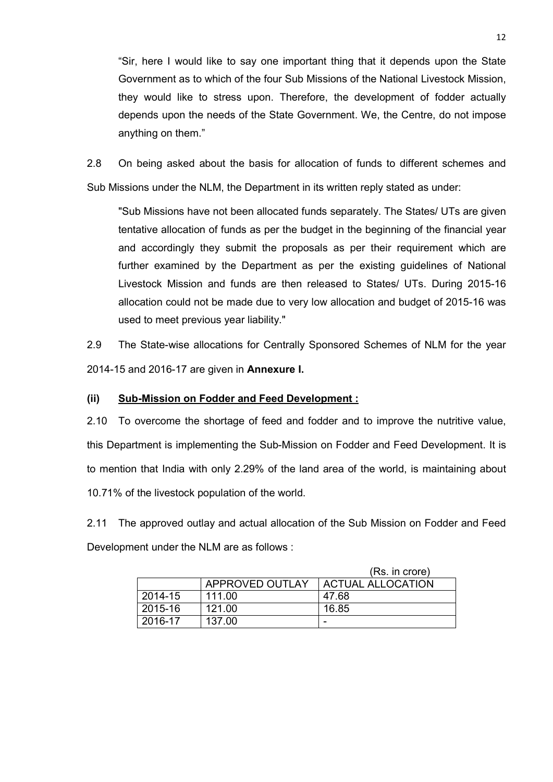"Sir, here I would like to say one important thing that it depends upon the State Government as to which of the four Sub Missions of the National Livestock Mission, they would like to stress upon. Therefore, the development of fodder actually depends upon the needs of the State Government. We, the Centre, do not impose anything on them."

2.8 On being asked about the basis for allocation of funds to different schemes and Sub Missions under the NLM, the Department in its written reply stated as under:

"Sub Missions have not been allocated funds separately. The States/ UTs are given tentative allocation of funds as per the budget in the beginning of the financial year and accordingly they submit the proposals as per their requirement which are further examined by the Department as per the existing guidelines of National Livestock Mission and funds are then released to States/ UTs. During 2015-16 allocation could not be made due to very low allocation and budget of 2015-16 was used to meet previous year liability."

2.9 The State-wise allocations for Centrally Sponsored Schemes of NLM for the year 2014-15 and 2016-17 are given in **Annexure I.**

# **(ii) Sub-Mission on Fodder and Feed Development :**

2.10 To overcome the shortage of feed and fodder and to improve the nutritive value, this Department is implementing the Sub-Mission on Fodder and Feed Development. It is to mention that India with only 2.29% of the land area of the world, is maintaining about 10.71% of the livestock population of the world.

2.11 The approved outlay and actual allocation of the Sub Mission on Fodder and Feed Development under the NLM are as follows :

|         |                        | (Rs. in crore)    |
|---------|------------------------|-------------------|
|         | <b>APPROVED OUTLAY</b> | ACTUAL ALLOCATION |
| 2014-15 | 111.00                 | 47.68             |
| 2015-16 | 121.00                 | 16.85             |
| 2016-17 | 137.00                 | -                 |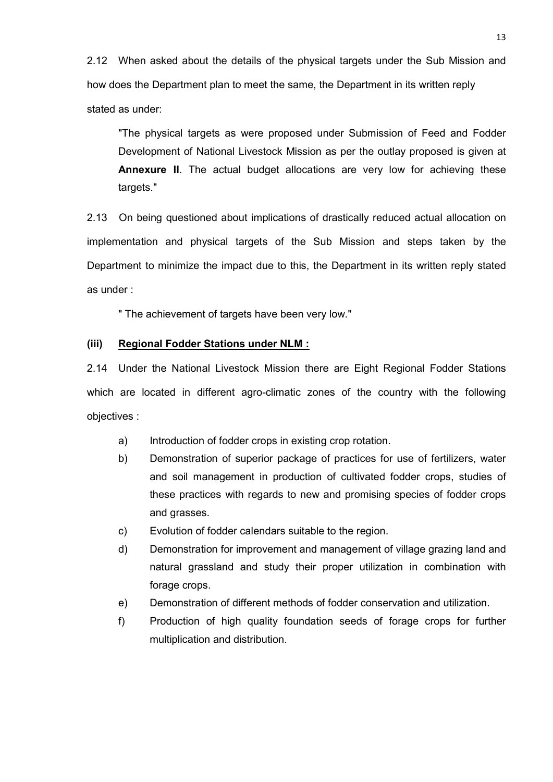2.12 When asked about the details of the physical targets under the Sub Mission and how does the Department plan to meet the same, the Department in its written reply stated as under:

"The physical targets as were proposed under Submission of Feed and Fodder Development of National Livestock Mission as per the outlay proposed is given at **Annexure II**. The actual budget allocations are very low for achieving these targets."

2.13 On being questioned about implications of drastically reduced actual allocation on implementation and physical targets of the Sub Mission and steps taken by the Department to minimize the impact due to this, the Department in its written reply stated as under :

" The achievement of targets have been very low."

#### **(iii) Regional Fodder Stations under NLM :**

2.14 Under the National Livestock Mission there are Eight Regional Fodder Stations which are located in different agro-climatic zones of the country with the following objectives :

- a) Introduction of fodder crops in existing crop rotation.
- b) Demonstration of superior package of practices for use of fertilizers, water and soil management in production of cultivated fodder crops, studies of these practices with regards to new and promising species of fodder crops and grasses.
- c) Evolution of fodder calendars suitable to the region.
- d) Demonstration for improvement and management of village grazing land and natural grassland and study their proper utilization in combination with forage crops.
- e) Demonstration of different methods of fodder conservation and utilization.
- f) Production of high quality foundation seeds of forage crops for further multiplication and distribution.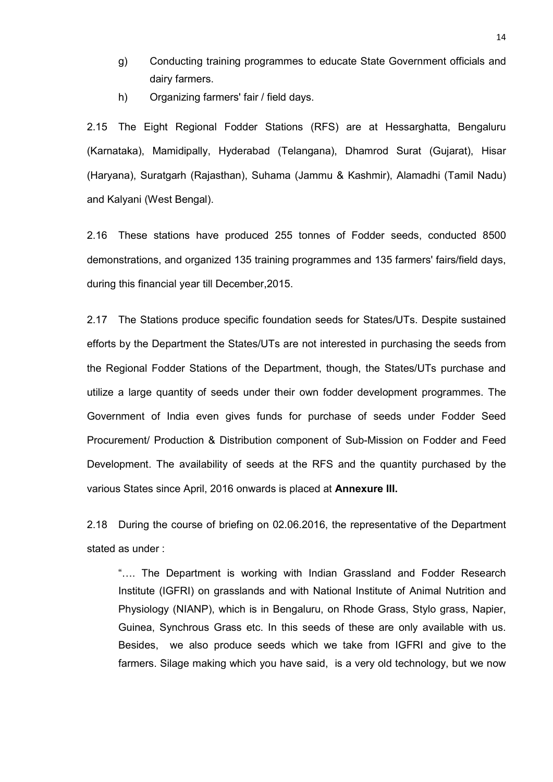- g) Conducting training programmes to educate State Government officials and dairy farmers.
- h) Organizing farmers' fair / field days.

2.15 The Eight Regional Fodder Stations (RFS) are at Hessarghatta, Bengaluru (Karnataka), Mamidipally, Hyderabad (Telangana), Dhamrod Surat (Gujarat), Hisar (Haryana), Suratgarh (Rajasthan), Suhama (Jammu & Kashmir), Alamadhi (Tamil Nadu) and Kalyani (West Bengal).

2.16 These stations have produced 255 tonnes of Fodder seeds, conducted 8500 demonstrations, and organized 135 training programmes and 135 farmers' fairs/field days, during this financial year till December,2015.

2.17 The Stations produce specific foundation seeds for States/UTs. Despite sustained efforts by the Department the States/UTs are not interested in purchasing the seeds from the Regional Fodder Stations of the Department, though, the States/UTs purchase and utilize a large quantity of seeds under their own fodder development programmes. The Government of India even gives funds for purchase of seeds under Fodder Seed Procurement/ Production & Distribution component of Sub-Mission on Fodder and Feed Development. The availability of seeds at the RFS and the quantity purchased by the various States since April, 2016 onwards is placed at **Annexure III.**

2.18 During the course of briefing on 02.06.2016, the representative of the Department stated as under :

"…. The Department is working with Indian Grassland and Fodder Research Institute (IGFRI) on grasslands and with National Institute of Animal Nutrition and Physiology (NIANP), which is in Bengaluru, on Rhode Grass, Stylo grass, Napier, Guinea, Synchrous Grass etc. In this seeds of these are only available with us. Besides, we also produce seeds which we take from IGFRI and give to the farmers. Silage making which you have said, is a very old technology, but we now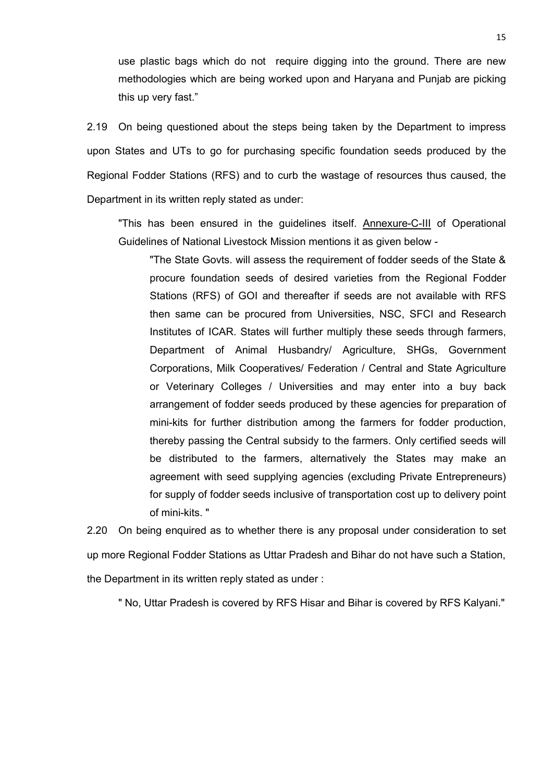use plastic bags which do not require digging into the ground. There are new methodologies which are being worked upon and Haryana and Punjab are picking this up very fast."

2.19 On being questioned about the steps being taken by the Department to impress upon States and UTs to go for purchasing specific foundation seeds produced by the Regional Fodder Stations (RFS) and to curb the wastage of resources thus caused, the Department in its written reply stated as under:

"This has been ensured in the guidelines itself. Annexure-C-III of Operational Guidelines of National Livestock Mission mentions it as given below -

"The State Govts. will assess the requirement of fodder seeds of the State & procure foundation seeds of desired varieties from the Regional Fodder Stations (RFS) of GOI and thereafter if seeds are not available with RFS then same can be procured from Universities, NSC, SFCI and Research Institutes of ICAR. States will further multiply these seeds through farmers, Department of Animal Husbandry/ Agriculture, SHGs, Government Corporations, Milk Cooperatives/ Federation / Central and State Agriculture or Veterinary Colleges / Universities and may enter into a buy back arrangement of fodder seeds produced by these agencies for preparation of mini-kits for further distribution among the farmers for fodder production, thereby passing the Central subsidy to the farmers. Only certified seeds will be distributed to the farmers, alternatively the States may make an agreement with seed supplying agencies (excluding Private Entrepreneurs) for supply of fodder seeds inclusive of transportation cost up to delivery point of mini-kits. "

2.20 On being enquired as to whether there is any proposal under consideration to set up more Regional Fodder Stations as Uttar Pradesh and Bihar do not have such a Station, the Department in its written reply stated as under :

" No, Uttar Pradesh is covered by RFS Hisar and Bihar is covered by RFS Kalyani."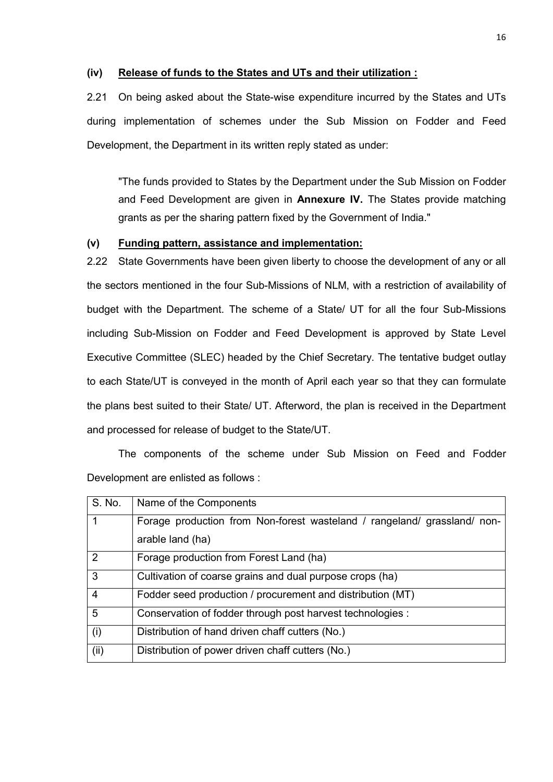## **(iv) Release of funds to the States and UTs and their utilization :**

2.21 On being asked about the State-wise expenditure incurred by the States and UTs during implementation of schemes under the Sub Mission on Fodder and Feed Development, the Department in its written reply stated as under:

"The funds provided to States by the Department under the Sub Mission on Fodder and Feed Development are given in **Annexure IV.** The States provide matching grants as per the sharing pattern fixed by the Government of India."

## **(v) Funding pattern, assistance and implementation:**

2.22 State Governments have been given liberty to choose the development of any or all the sectors mentioned in the four Sub-Missions of NLM, with a restriction of availability of budget with the Department. The scheme of a State/ UT for all the four Sub-Missions including Sub-Mission on Fodder and Feed Development is approved by State Level Executive Committee (SLEC) headed by the Chief Secretary. The tentative budget outlay to each State/UT is conveyed in the month of April each year so that they can formulate the plans best suited to their State/ UT. Afterword, the plan is received in the Department and processed for release of budget to the State/UT.

The components of the scheme under Sub Mission on Feed and Fodder Development are enlisted as follows :

| S. No.         | Name of the Components                                                   |
|----------------|--------------------------------------------------------------------------|
|                | Forage production from Non-forest wasteland / rangeland/ grassland/ non- |
|                | arable land (ha)                                                         |
| $\overline{2}$ | Forage production from Forest Land (ha)                                  |
| 3              | Cultivation of coarse grains and dual purpose crops (ha)                 |
| $\overline{4}$ | Fodder seed production / procurement and distribution (MT)               |
| 5              | Conservation of fodder through post harvest technologies :               |
| (i)            | Distribution of hand driven chaff cutters (No.)                          |
| (ii)           | Distribution of power driven chaff cutters (No.)                         |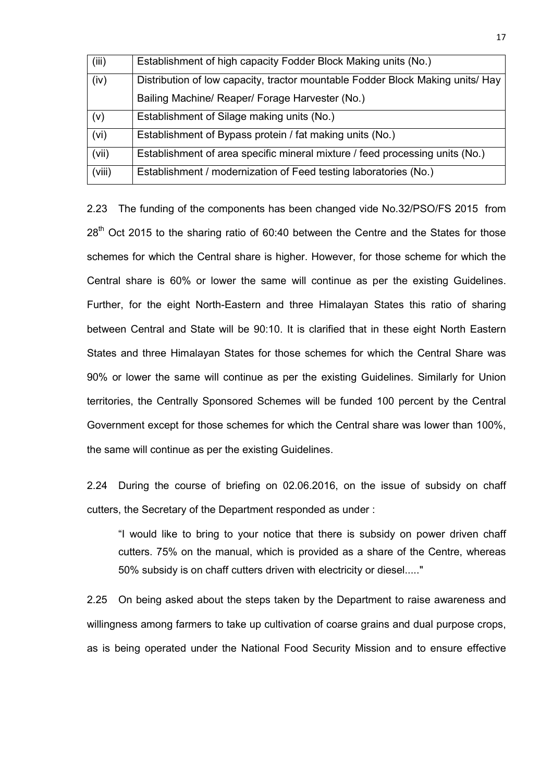| (iii)  | Establishment of high capacity Fodder Block Making units (No.)                 |
|--------|--------------------------------------------------------------------------------|
| (iv)   | Distribution of low capacity, tractor mountable Fodder Block Making units/ Hay |
|        | Bailing Machine/ Reaper/ Forage Harvester (No.)                                |
| (v)    | Establishment of Silage making units (No.)                                     |
| (vi)   | Establishment of Bypass protein / fat making units (No.)                       |
| (vii)  | Establishment of area specific mineral mixture / feed processing units (No.)   |
| (viii) | Establishment / modernization of Feed testing laboratories (No.)               |

2.23 The funding of the components has been changed vide No.32/PSO/FS 2015 from 28<sup>th</sup> Oct 2015 to the sharing ratio of 60:40 between the Centre and the States for those schemes for which the Central share is higher. However, for those scheme for which the Central share is 60% or lower the same will continue as per the existing Guidelines. Further, for the eight North-Eastern and three Himalayan States this ratio of sharing between Central and State will be 90:10. It is clarified that in these eight North Eastern States and three Himalayan States for those schemes for which the Central Share was 90% or lower the same will continue as per the existing Guidelines. Similarly for Union territories, the Centrally Sponsored Schemes will be funded 100 percent by the Central Government except for those schemes for which the Central share was lower than 100%, the same will continue as per the existing Guidelines.

2.24 During the course of briefing on 02.06.2016, on the issue of subsidy on chaff cutters, the Secretary of the Department responded as under :

"I would like to bring to your notice that there is subsidy on power driven chaff cutters. 75% on the manual, which is provided as a share of the Centre, whereas 50% subsidy is on chaff cutters driven with electricity or diesel....."

2.25 On being asked about the steps taken by the Department to raise awareness and willingness among farmers to take up cultivation of coarse grains and dual purpose crops, as is being operated under the National Food Security Mission and to ensure effective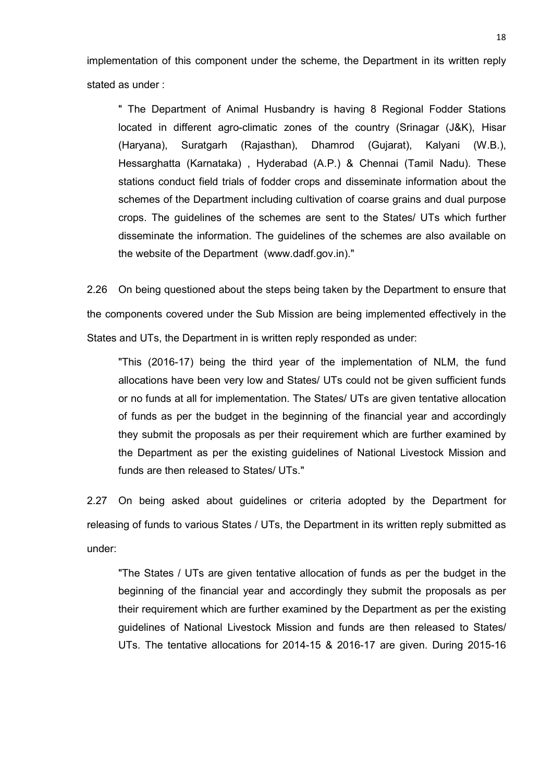implementation of this component under the scheme, the Department in its written reply stated as under :

" The Department of Animal Husbandry is having 8 Regional Fodder Stations located in different agro-climatic zones of the country (Srinagar (J&K), Hisar (Haryana), Suratgarh (Rajasthan), Dhamrod (Gujarat), Kalyani (W.B.), Hessarghatta (Karnataka) , Hyderabad (A.P.) & Chennai (Tamil Nadu). These stations conduct field trials of fodder crops and disseminate information about the schemes of the Department including cultivation of coarse grains and dual purpose crops. The guidelines of the schemes are sent to the States/ UTs which further disseminate the information. The guidelines of the schemes are also available on the website of the Department (www.dadf.gov.in)."

2.26 On being questioned about the steps being taken by the Department to ensure that the components covered under the Sub Mission are being implemented effectively in the States and UTs, the Department in is written reply responded as under:

"This (2016-17) being the third year of the implementation of NLM, the fund allocations have been very low and States/ UTs could not be given sufficient funds or no funds at all for implementation. The States/ UTs are given tentative allocation of funds as per the budget in the beginning of the financial year and accordingly they submit the proposals as per their requirement which are further examined by the Department as per the existing guidelines of National Livestock Mission and funds are then released to States/ UTs."

2.27 On being asked about guidelines or criteria adopted by the Department for releasing of funds to various States / UTs, the Department in its written reply submitted as under:

"The States / UTs are given tentative allocation of funds as per the budget in the beginning of the financial year and accordingly they submit the proposals as per their requirement which are further examined by the Department as per the existing guidelines of National Livestock Mission and funds are then released to States/ UTs. The tentative allocations for 2014-15 & 2016-17 are given. During 2015-16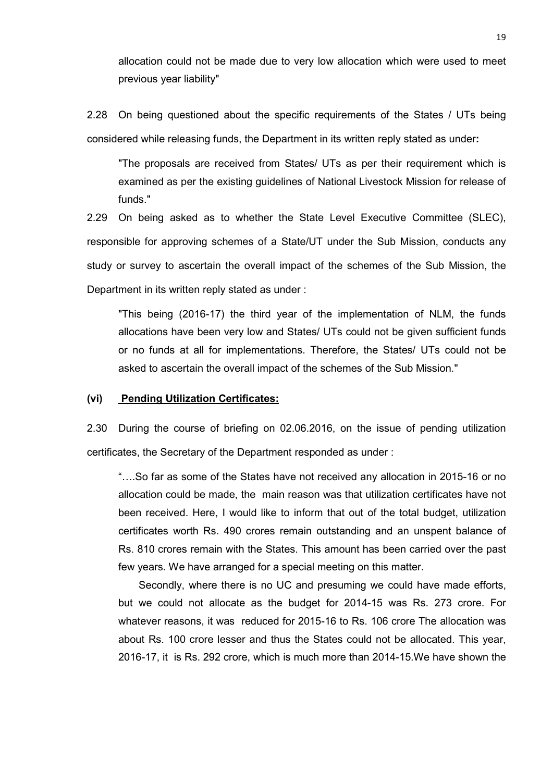allocation could not be made due to very low allocation which were used to meet previous year liability"

2.28 On being questioned about the specific requirements of the States / UTs being considered while releasing funds, the Department in its written reply stated as under**:**

"The proposals are received from States/ UTs as per their requirement which is examined as per the existing guidelines of National Livestock Mission for release of funds."

2.29 On being asked as to whether the State Level Executive Committee (SLEC), responsible for approving schemes of a State/UT under the Sub Mission, conducts any study or survey to ascertain the overall impact of the schemes of the Sub Mission, the Department in its written reply stated as under :

"This being (2016-17) the third year of the implementation of NLM, the funds allocations have been very low and States/ UTs could not be given sufficient funds or no funds at all for implementations. Therefore, the States/ UTs could not be asked to ascertain the overall impact of the schemes of the Sub Mission."

#### **(vi) Pending Utilization Certificates:**

2.30 During the course of briefing on 02.06.2016, on the issue of pending utilization certificates, the Secretary of the Department responded as under :

"….So far as some of the States have not received any allocation in 2015-16 or no allocation could be made, the main reason was that utilization certificates have not been received. Here, I would like to inform that out of the total budget, utilization certificates worth Rs. 490 crores remain outstanding and an unspent balance of Rs. 810 crores remain with the States. This amount has been carried over the past few years. We have arranged for a special meeting on this matter.

 Secondly, where there is no UC and presuming we could have made efforts, but we could not allocate as the budget for 2014-15 was Rs. 273 crore. For whatever reasons, it was reduced for 2015-16 to Rs. 106 crore The allocation was about Rs. 100 crore lesser and thus the States could not be allocated. This year, 2016-17, it is Rs. 292 crore, which is much more than 2014-15.We have shown the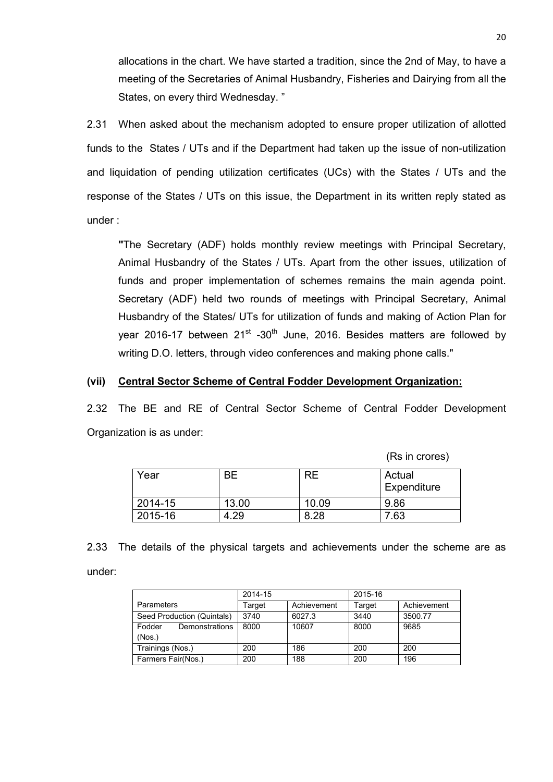allocations in the chart. We have started a tradition, since the 2nd of May, to have a meeting of the Secretaries of Animal Husbandry, Fisheries and Dairying from all the States, on every third Wednesday. "

2.31 When asked about the mechanism adopted to ensure proper utilization of allotted funds to the States / UTs and if the Department had taken up the issue of non-utilization and liquidation of pending utilization certificates (UCs) with the States / UTs and the response of the States / UTs on this issue, the Department in its written reply stated as under :

**"**The Secretary (ADF) holds monthly review meetings with Principal Secretary, Animal Husbandry of the States / UTs. Apart from the other issues, utilization of funds and proper implementation of schemes remains the main agenda point. Secretary (ADF) held two rounds of meetings with Principal Secretary, Animal Husbandry of the States/ UTs for utilization of funds and making of Action Plan for year 2016-17 between  $21^{st}$  -30<sup>th</sup> June, 2016. Besides matters are followed by writing D.O. letters, through video conferences and making phone calls."

#### **(vii) Central Sector Scheme of Central Fodder Development Organization:**

2.32 The BE and RE of Central Sector Scheme of Central Fodder Development Organization is as under:

(Rs in crores)

| Year    | ΒF    | RE    | Actual<br>Expenditure |
|---------|-------|-------|-----------------------|
| 2014-15 | 13.00 | 10.09 | 9.86                  |
| 2015-16 | 4.29  | 8.28  | 7.63                  |

2.33 The details of the physical targets and achievements under the scheme are as under:

|                    |                            | 2014-15 |             | 2015-16 |             |
|--------------------|----------------------------|---------|-------------|---------|-------------|
| Parameters         |                            | Target  | Achievement | Target  | Achievement |
|                    | Seed Production (Quintals) | 3740    | 6027.3      | 3440    | 3500.77     |
| Fodder             | Demonstrations             | 8000    | 10607       | 8000    | 9685        |
| (Nos.)             |                            |         |             |         |             |
| Trainings (Nos.)   |                            | 200     | 186         | 200     | 200         |
| Farmers Fair(Nos.) |                            | 200     | 188         | 200     | 196         |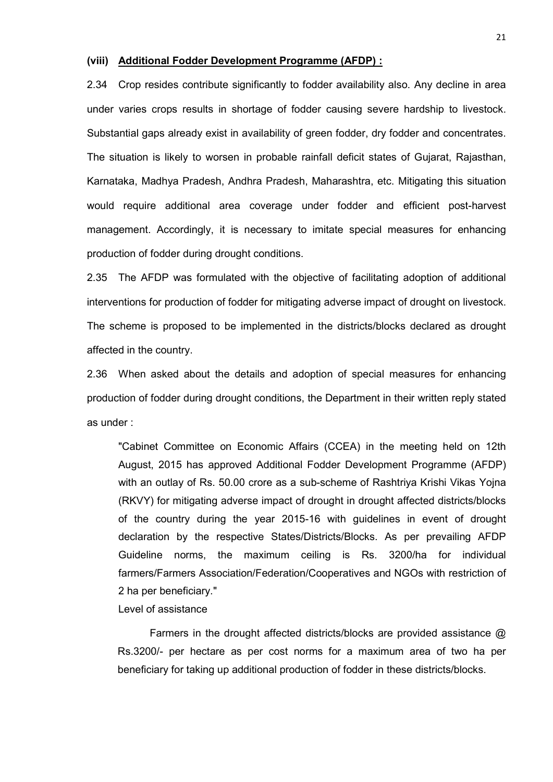#### **(viii) Additional Fodder Development Programme (AFDP) :**

2.34 Crop resides contribute significantly to fodder availability also. Any decline in area under varies crops results in shortage of fodder causing severe hardship to livestock. Substantial gaps already exist in availability of green fodder, dry fodder and concentrates. The situation is likely to worsen in probable rainfall deficit states of Gujarat, Rajasthan, Karnataka, Madhya Pradesh, Andhra Pradesh, Maharashtra, etc. Mitigating this situation would require additional area coverage under fodder and efficient post-harvest management. Accordingly, it is necessary to imitate special measures for enhancing production of fodder during drought conditions.

2.35 The AFDP was formulated with the objective of facilitating adoption of additional interventions for production of fodder for mitigating adverse impact of drought on livestock. The scheme is proposed to be implemented in the districts/blocks declared as drought affected in the country.

2.36 When asked about the details and adoption of special measures for enhancing production of fodder during drought conditions, the Department in their written reply stated as under :

"Cabinet Committee on Economic Affairs (CCEA) in the meeting held on 12th August, 2015 has approved Additional Fodder Development Programme (AFDP) with an outlay of Rs. 50.00 crore as a sub-scheme of Rashtriya Krishi Vikas Yojna (RKVY) for mitigating adverse impact of drought in drought affected districts/blocks of the country during the year 2015-16 with guidelines in event of drought declaration by the respective States/Districts/Blocks. As per prevailing AFDP Guideline norms, the maximum ceiling is Rs. 3200/ha for individual farmers/Farmers Association/Federation/Cooperatives and NGOs with restriction of 2 ha per beneficiary."

Level of assistance

Farmers in the drought affected districts/blocks are provided assistance @ Rs.3200/- per hectare as per cost norms for a maximum area of two ha per beneficiary for taking up additional production of fodder in these districts/blocks.

21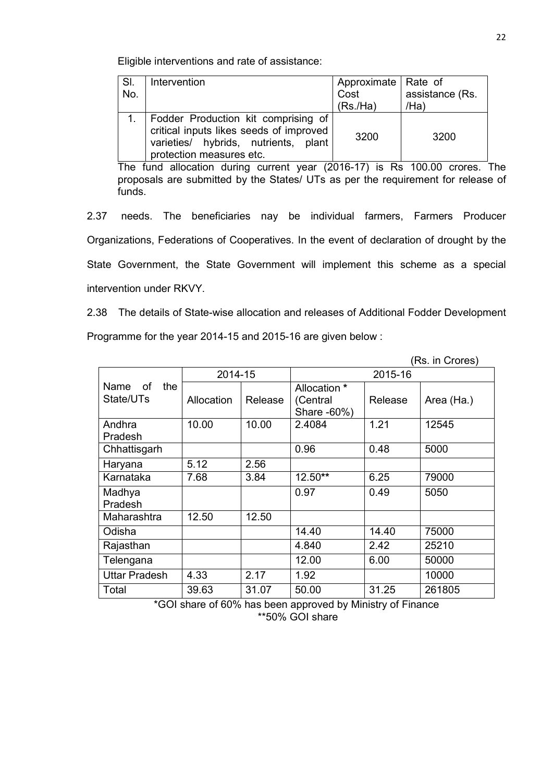Eligible interventions and rate of assistance:

| SI.<br>No. | Intervention                                                                                                                                       | Approximate   Rate of<br>Cost<br>(Rs./Ha) | assistance (Rs.<br>/Ha) |
|------------|----------------------------------------------------------------------------------------------------------------------------------------------------|-------------------------------------------|-------------------------|
|            | Fodder Production kit comprising of<br>critical inputs likes seeds of improved<br>varieties/ hybrids, nutrients, plant<br>protection measures etc. | 3200                                      | 3200                    |

The fund allocation during current year (2016-17) is Rs 100.00 crores. The proposals are submitted by the States/ UTs as per the requirement for release of funds.

2.37 needs. The beneficiaries nay be individual farmers, Farmers Producer Organizations, Federations of Cooperatives. In the event of declaration of drought by the State Government, the State Government will implement this scheme as a special intervention under RKVY.

2.38 The details of State-wise allocation and releases of Additional Fodder Development Programme for the year 2014-15 and 2015-16 are given below :

(Rs. in Crores)

|                                | 2014-15    |         | 2015-16                  |         |            |
|--------------------------------|------------|---------|--------------------------|---------|------------|
| Name<br>οf<br>the<br>State/UTs | Allocation | Release | Allocation *<br>(Central | Release | Area (Ha.) |
|                                |            |         | Share -60%)              |         |            |
| Andhra<br>Pradesh              | 10.00      | 10.00   | 2.4084                   | 1.21    | 12545      |
| Chhattisgarh                   |            |         | 0.96                     | 0.48    | 5000       |
| Haryana                        | 5.12       | 2.56    |                          |         |            |
| Karnataka                      | 7.68       | 3.84    | $12.50**$                | 6.25    | 79000      |
| Madhya<br>Pradesh              |            |         | 0.97                     | 0.49    | 5050       |
| Maharashtra                    | 12.50      | 12.50   |                          |         |            |
| Odisha                         |            |         | 14.40                    | 14.40   | 75000      |
| Rajasthan                      |            |         | 4.840                    | 2.42    | 25210      |
| Telengana                      |            |         | 12.00                    | 6.00    | 50000      |
| <b>Uttar Pradesh</b>           | 4.33       | 2.17    | 1.92                     |         | 10000      |
| Total                          | 39.63      | 31.07   | 50.00                    | 31.25   | 261805     |

\*GOI share of 60% has been approved by Ministry of Finance \*\*50% GOI share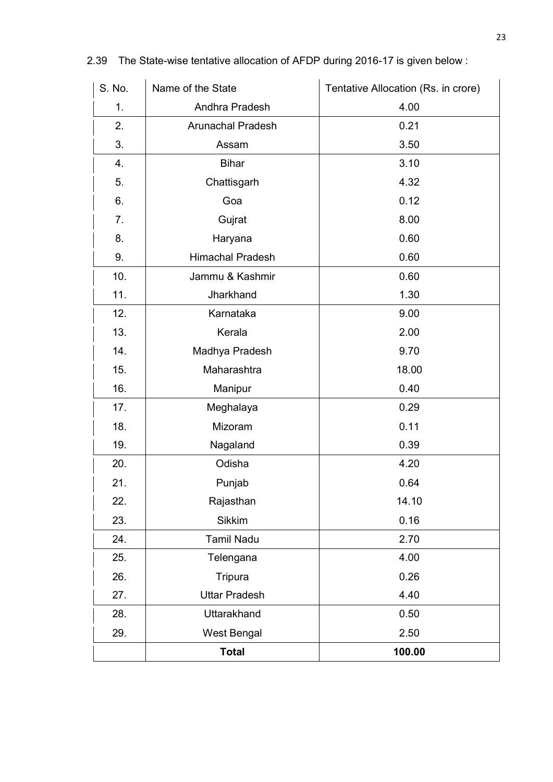| S. No. | Name of the State        | Tentative Allocation (Rs. in crore) |
|--------|--------------------------|-------------------------------------|
| 1.     | Andhra Pradesh           | 4.00                                |
| 2.     | <b>Arunachal Pradesh</b> | 0.21                                |
| 3.     | Assam                    | 3.50                                |
| 4.     | <b>Bihar</b>             | 3.10                                |
| 5.     | Chattisgarh              | 4.32                                |
| 6.     | Goa                      | 0.12                                |
| 7.     | Gujrat                   | 8.00                                |
| 8.     | Haryana                  | 0.60                                |
| 9.     | <b>Himachal Pradesh</b>  | 0.60                                |
| 10.    | Jammu & Kashmir          | 0.60                                |
| 11.    | Jharkhand                | 1.30                                |
| 12.    | Karnataka                | 9.00                                |
| 13.    | Kerala                   | 2.00                                |
| 14.    | Madhya Pradesh           | 9.70                                |
| 15.    | Maharashtra              | 18.00                               |
| 16.    | Manipur                  | 0.40                                |
| 17.    | Meghalaya                | 0.29                                |
| 18.    | Mizoram                  | 0.11                                |
| 19.    | Nagaland                 | 0.39                                |
| 20.    | Odisha                   | 4.20                                |
| 21.    | Punjab                   | 0.64                                |
| 22.    | Rajasthan                | 14.10                               |
| 23.    | <b>Sikkim</b>            | 0.16                                |
| 24.    | Tamil Nadu               | 2.70                                |
| 25.    | Telengana                | 4.00                                |
| 26.    | Tripura                  | 0.26                                |
| 27.    | <b>Uttar Pradesh</b>     | 4.40                                |
| 28.    | Uttarakhand              | 0.50                                |
| 29.    | West Bengal              | 2.50                                |
|        | <b>Total</b>             | 100.00                              |

2.39 The State-wise tentative allocation of AFDP during 2016-17 is given below :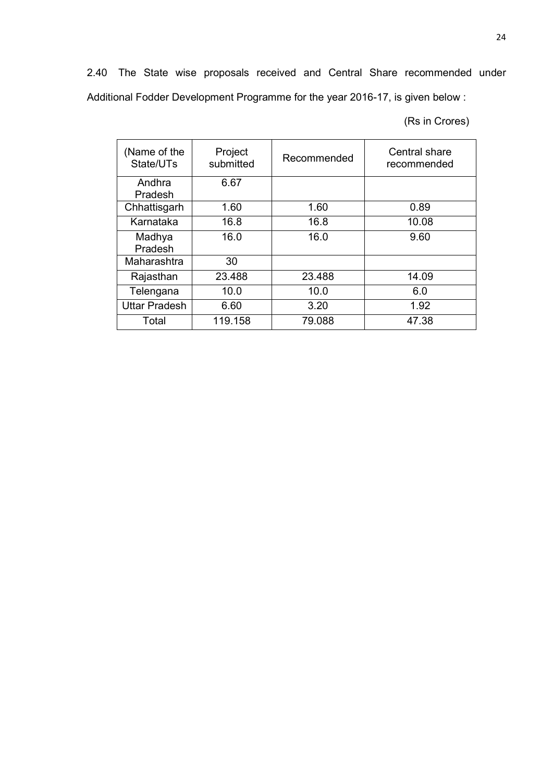2.40 The State wise proposals received and Central Share recommended under Additional Fodder Development Programme for the year 2016-17, is given below :

(Rs in Crores)

| (Name of the<br>State/UTs | Project<br>submitted | Recommended | Central share<br>recommended |
|---------------------------|----------------------|-------------|------------------------------|
| Andhra                    | 6.67                 |             |                              |
| Pradesh                   |                      |             |                              |
| Chhattisgarh              | 1.60                 | 1.60        | 0.89                         |
| Karnataka                 | 16.8                 | 16.8        | 10.08                        |
| Madhya                    | 16.0                 | 16.0        | 9.60                         |
| Pradesh                   |                      |             |                              |
| Maharashtra               | 30                   |             |                              |
| Rajasthan                 | 23.488               | 23.488      | 14.09                        |
| Telengana                 | 10.0                 | 10.0        | 6.0                          |
| <b>Uttar Pradesh</b>      | 6.60                 | 3.20        | 1.92                         |
| Total                     | 119.158              | 79.088      | 47.38                        |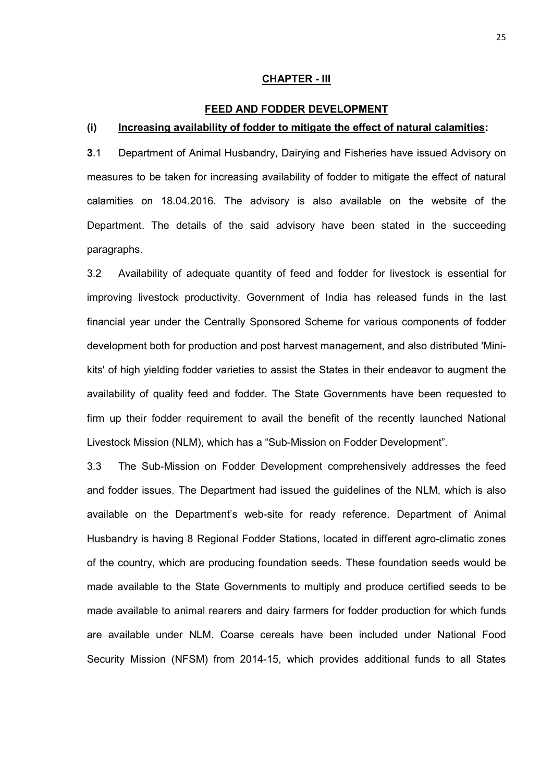#### **CHAPTER - III**

#### **FEED AND FODDER DEVELOPMENT**

#### **(i) Increasing availability of fodder to mitigate the effect of natural calamities:**

**3**.1 Department of Animal Husbandry, Dairying and Fisheries have issued Advisory on measures to be taken for increasing availability of fodder to mitigate the effect of natural calamities on 18.04.2016. The advisory is also available on the website of the Department. The details of the said advisory have been stated in the succeeding paragraphs.

3.2 Availability of adequate quantity of feed and fodder for livestock is essential for improving livestock productivity. Government of India has released funds in the last financial year under the Centrally Sponsored Scheme for various components of fodder development both for production and post harvest management, and also distributed 'Minikits' of high yielding fodder varieties to assist the States in their endeavor to augment the availability of quality feed and fodder. The State Governments have been requested to firm up their fodder requirement to avail the benefit of the recently launched National Livestock Mission (NLM), which has a "Sub-Mission on Fodder Development".

3.3 The Sub-Mission on Fodder Development comprehensively addresses the feed and fodder issues. The Department had issued the guidelines of the NLM, which is also available on the Department's web-site for ready reference. Department of Animal Husbandry is having 8 Regional Fodder Stations, located in different agro-climatic zones of the country, which are producing foundation seeds. These foundation seeds would be made available to the State Governments to multiply and produce certified seeds to be made available to animal rearers and dairy farmers for fodder production for which funds are available under NLM. Coarse cereals have been included under National Food Security Mission (NFSM) from 2014-15, which provides additional funds to all States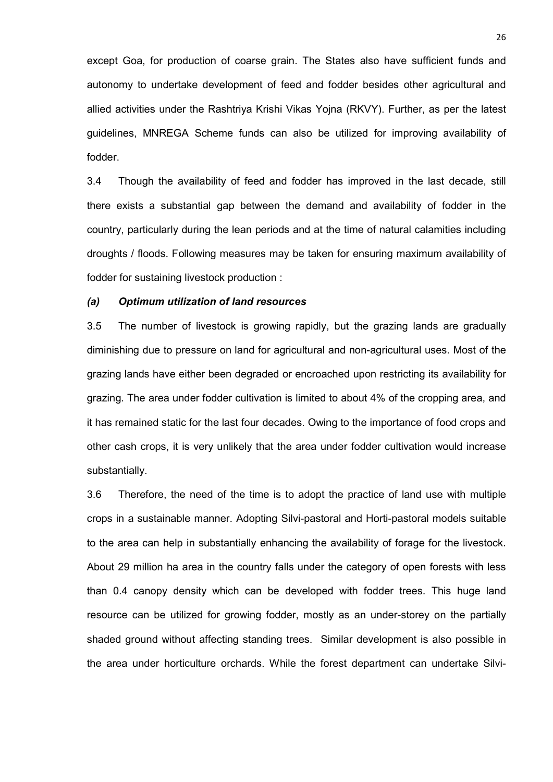except Goa, for production of coarse grain. The States also have sufficient funds and autonomy to undertake development of feed and fodder besides other agricultural and allied activities under the Rashtriya Krishi Vikas Yojna (RKVY). Further, as per the latest guidelines, MNREGA Scheme funds can also be utilized for improving availability of fodder.

3.4 Though the availability of feed and fodder has improved in the last decade, still there exists a substantial gap between the demand and availability of fodder in the country, particularly during the lean periods and at the time of natural calamities including droughts / floods. Following measures may be taken for ensuring maximum availability of fodder for sustaining livestock production :

#### *(a) Optimum utilization of land resources*

3.5 The number of livestock is growing rapidly, but the grazing lands are gradually diminishing due to pressure on land for agricultural and non-agricultural uses. Most of the grazing lands have either been degraded or encroached upon restricting its availability for grazing. The area under fodder cultivation is limited to about 4% of the cropping area, and it has remained static for the last four decades. Owing to the importance of food crops and other cash crops, it is very unlikely that the area under fodder cultivation would increase substantially.

3.6 Therefore, the need of the time is to adopt the practice of land use with multiple crops in a sustainable manner. Adopting Silvi-pastoral and Horti-pastoral models suitable to the area can help in substantially enhancing the availability of forage for the livestock. About 29 million ha area in the country falls under the category of open forests with less than 0.4 canopy density which can be developed with fodder trees. This huge land resource can be utilized for growing fodder, mostly as an under-storey on the partially shaded ground without affecting standing trees. Similar development is also possible in the area under horticulture orchards. While the forest department can undertake Silvi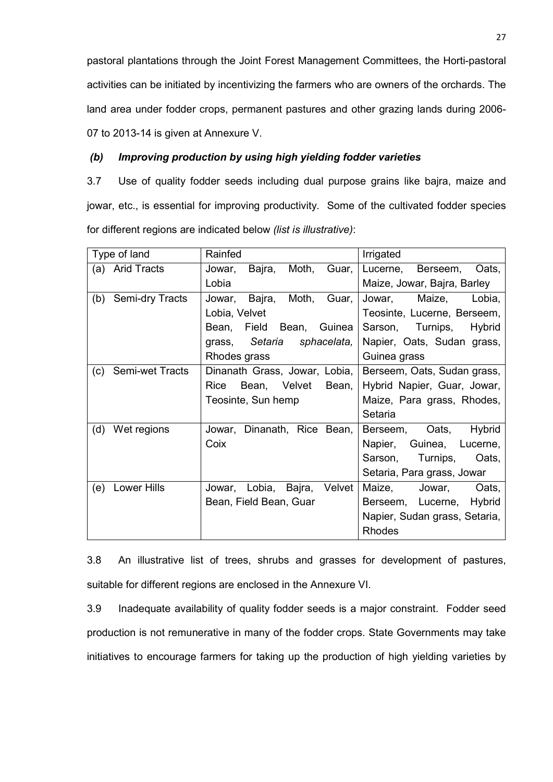pastoral plantations through the Joint Forest Management Committees, the Horti-pastoral activities can be initiated by incentivizing the farmers who are owners of the orchards. The land area under fodder crops, permanent pastures and other grazing lands during 2006- 07 to 2013-14 is given at Annexure V.

# *(b) Improving production by using high yielding fodder varieties*

3.7 Use of quality fodder seeds including dual purpose grains like bajra, maize and jowar, etc., is essential for improving productivity. Some of the cultivated fodder species for different regions are indicated below *(list is illustrative)*:

| Type of land              | Rainfed                            | Irrigated                       |
|---------------------------|------------------------------------|---------------------------------|
| <b>Arid Tracts</b><br>(a) | Bajra,<br>Moth,<br>Guar,<br>Jowar, | Oats,<br>Lucerne, Berseem,      |
|                           | Lobia                              | Maize, Jowar, Bajra, Barley     |
| Semi-dry Tracts<br>(b)    | Bajra,<br>Moth,<br>Guar,<br>Jowar, | Maize,<br>Lobia,<br>Jowar,      |
|                           | Lobia, Velvet                      | Teosinte, Lucerne, Berseem,     |
|                           | Field Bean, Guinea<br>Bean,        | Sarson, Turnips,<br>Hybrid      |
|                           | sphacelata,<br>Setaria<br>grass,   | Napier, Oats, Sudan grass,      |
|                           | Rhodes grass                       | Guinea grass                    |
| Semi-wet Tracts<br>(c)    | Dinanath Grass, Jowar, Lobia,      | Berseem, Oats, Sudan grass,     |
|                           | Rice<br>Bean,<br>Velvet<br>Bean,   | Hybrid Napier, Guar, Jowar,     |
|                           | Teosinte, Sun hemp                 | Maize, Para grass, Rhodes,      |
|                           |                                    | Setaria                         |
| Wet regions<br>(d)        | Jowar, Dinanath, Rice Bean,        | Berseem, Oats,<br><b>Hybrid</b> |
|                           | Coix                               | Guinea, Lucerne,<br>Napier,     |
|                           |                                    | Sarson, Turnips,<br>Oats,       |
|                           |                                    | Setaria, Para grass, Jowar      |
| Lower Hills<br>(e)        | Jowar, Lobia,<br>Bajra,<br>Velvet  | Oats,<br>Maize,<br>Jowar,       |
|                           | Bean, Field Bean, Guar             | Berseem, Lucerne, Hybrid        |
|                           |                                    | Napier, Sudan grass, Setaria,   |
|                           |                                    | Rhodes                          |

3.8 An illustrative list of trees, shrubs and grasses for development of pastures, suitable for different regions are enclosed in the Annexure VI.

3.9 Inadequate availability of quality fodder seeds is a major constraint. Fodder seed production is not remunerative in many of the fodder crops. State Governments may take initiatives to encourage farmers for taking up the production of high yielding varieties by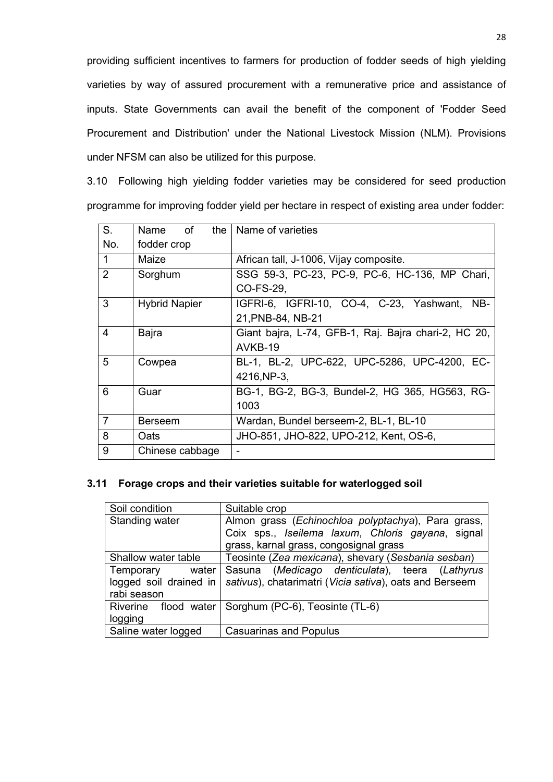providing sufficient incentives to farmers for production of fodder seeds of high yielding varieties by way of assured procurement with a remunerative price and assistance of inputs. State Governments can avail the benefit of the component of 'Fodder Seed Procurement and Distribution' under the National Livestock Mission (NLM). Provisions under NFSM can also be utilized for this purpose.

3.10 Following high yielding fodder varieties may be considered for seed production programme for improving fodder yield per hectare in respect of existing area under fodder:

| S.             | of<br>the<br>Name    | Name of varieties                                    |
|----------------|----------------------|------------------------------------------------------|
| No.            | fodder crop          |                                                      |
| 1              | Maize                | African tall, J-1006, Vijay composite.               |
| $\overline{2}$ | Sorghum              | SSG 59-3, PC-23, PC-9, PC-6, HC-136, MP Chari,       |
|                |                      | CO-FS-29.                                            |
| 3              | <b>Hybrid Napier</b> | IGFRI-6, IGFRI-10, CO-4, C-23, Yashwant,<br>NB-      |
|                |                      | 21, PNB-84, NB-21                                    |
| 4              | <b>Bajra</b>         | Giant bajra, L-74, GFB-1, Raj. Bajra chari-2, HC 20, |
|                |                      | AVKB-19                                              |
| 5              | Cowpea               | BL-1, BL-2, UPC-622, UPC-5286, UPC-4200, EC-         |
|                |                      | 4216, NP-3,                                          |
| 6              | Guar                 | BG-1, BG-2, BG-3, Bundel-2, HG 365, HG563, RG-       |
|                |                      | 1003                                                 |
| $\overline{7}$ | <b>Berseem</b>       | Wardan, Bundel berseem-2, BL-1, BL-10                |
| 8              | Oats                 | JHO-851, JHO-822, UPO-212, Kent, OS-6,               |
| 9              | Chinese cabbage      |                                                      |

#### **3.11 Forage crops and their varieties suitable for waterlogged soil**

| Soil condition          | Suitable crop                                           |
|-------------------------|---------------------------------------------------------|
| Standing water          | Almon grass (Echinochloa polyptachya), Para grass,      |
|                         | Coix sps., Iseilema laxum, Chloris gayana, signal       |
|                         | grass, karnal grass, congosignal grass                  |
| Shallow water table     | Teosinte (Zea mexicana), shevary (Sesbania sesban)      |
| Temporary water         | Sasuna (Medicago denticulata), teera (Lathyrus          |
| logged soil drained in  | sativus), chatarimatri (Vicia sativa), oats and Berseem |
| rabi season             |                                                         |
| Riverine<br>flood water | Sorghum (PC-6), Teosinte (TL-6)                         |
| logging                 |                                                         |
| Saline water logged     | <b>Casuarinas and Populus</b>                           |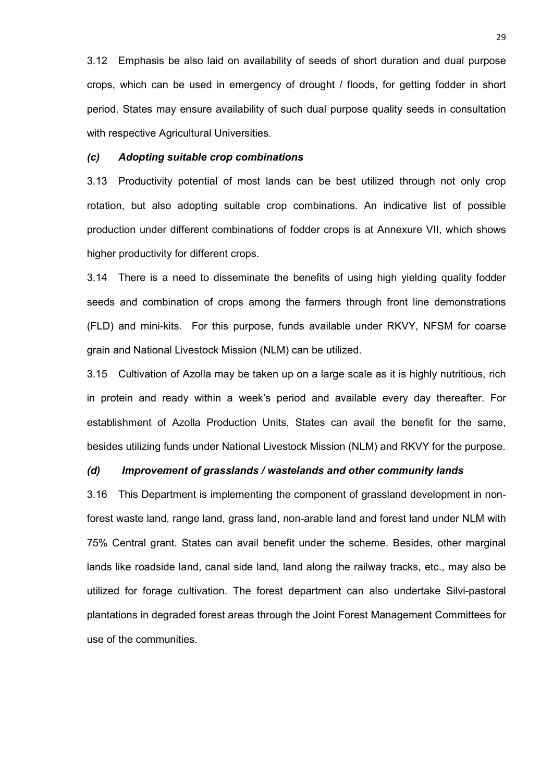3.12 Emphasis be also laid on availability of seeds of short duration and dual purpose crops, which can be used in emergency of drought / floods, for getting fodder in short period. States may ensure availability of such dual purpose quality seeds in consultation with respective Agricultural Universities.

#### *(c) Adopting suitable crop combinations*

3.13 Productivity potential of most lands can be best utilized through not only crop rotation, but also adopting suitable crop combinations. An indicative list of possible production under different combinations of fodder crops is at Annexure VII, which shows higher productivity for different crops.

3.14 There is a need to disseminate the benefits of using high yielding quality fodder seeds and combination of crops among the farmers through front line demonstrations (FLD) and mini-kits. For this purpose, funds available under RKVY, NFSM for coarse grain and National Livestock Mission (NLM) can be utilized.

3.15 Cultivation of Azolla may be taken up on a large scale as it is highly nutritious, rich in protein and ready within a week's period and available every day thereafter. For establishment of Azolla Production Units, States can avail the benefit for the same, besides utilizing funds under National Livestock Mission (NLM) and RKVY for the purpose.

#### *(d) Improvement of grasslands / wastelands and other community lands*

3.16 This Department is implementing the component of grassland development in nonforest waste land, range land, grass land, non-arable land and forest land under NLM with 75% Central grant. States can avail benefit under the scheme. Besides, other marginal lands like roadside land, canal side land, land along the railway tracks, etc., may also be utilized for forage cultivation. The forest department can also undertake Silvi-pastoral plantations in degraded forest areas through the Joint Forest Management Committees for use of the communities.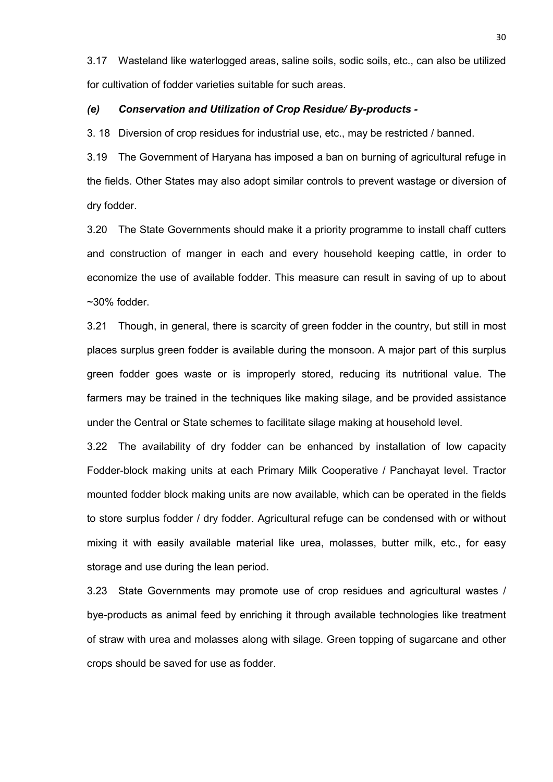3.17 Wasteland like waterlogged areas, saline soils, sodic soils, etc., can also be utilized for cultivation of fodder varieties suitable for such areas.

#### *(e) Conservation and Utilization of Crop Residue/ By-products -*

3. 18 Diversion of crop residues for industrial use, etc., may be restricted / banned.

3.19 The Government of Haryana has imposed a ban on burning of agricultural refuge in the fields. Other States may also adopt similar controls to prevent wastage or diversion of dry fodder.

3.20 The State Governments should make it a priority programme to install chaff cutters and construction of manger in each and every household keeping cattle, in order to economize the use of available fodder. This measure can result in saving of up to about ~30% fodder.

3.21 Though, in general, there is scarcity of green fodder in the country, but still in most places surplus green fodder is available during the monsoon. A major part of this surplus green fodder goes waste or is improperly stored, reducing its nutritional value. The farmers may be trained in the techniques like making silage, and be provided assistance under the Central or State schemes to facilitate silage making at household level.

3.22 The availability of dry fodder can be enhanced by installation of low capacity Fodder-block making units at each Primary Milk Cooperative / Panchayat level. Tractor mounted fodder block making units are now available, which can be operated in the fields to store surplus fodder / dry fodder. Agricultural refuge can be condensed with or without mixing it with easily available material like urea, molasses, butter milk, etc., for easy storage and use during the lean period.

3.23 State Governments may promote use of crop residues and agricultural wastes / bye-products as animal feed by enriching it through available technologies like treatment of straw with urea and molasses along with silage. Green topping of sugarcane and other crops should be saved for use as fodder.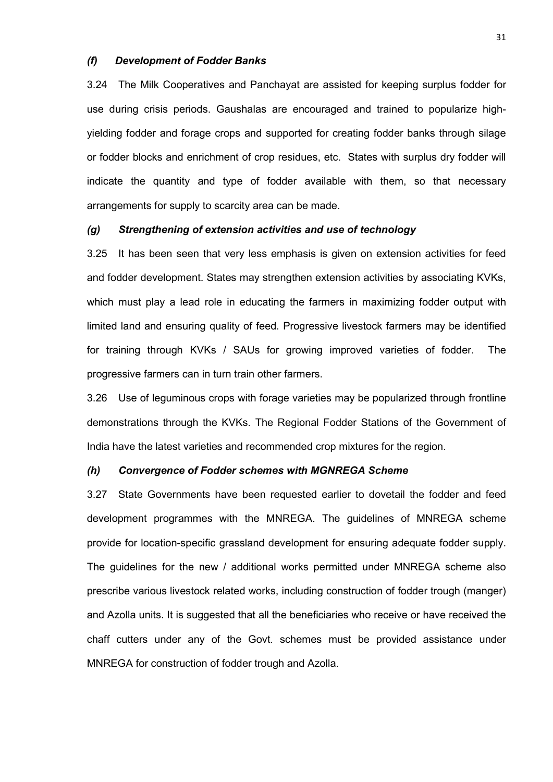#### *(f) Development of Fodder Banks*

3.24 The Milk Cooperatives and Panchayat are assisted for keeping surplus fodder for use during crisis periods. Gaushalas are encouraged and trained to popularize highyielding fodder and forage crops and supported for creating fodder banks through silage or fodder blocks and enrichment of crop residues, etc. States with surplus dry fodder will indicate the quantity and type of fodder available with them, so that necessary arrangements for supply to scarcity area can be made.

#### *(g) Strengthening of extension activities and use of technology*

3.25 It has been seen that very less emphasis is given on extension activities for feed and fodder development. States may strengthen extension activities by associating KVKs, which must play a lead role in educating the farmers in maximizing fodder output with limited land and ensuring quality of feed. Progressive livestock farmers may be identified for training through KVKs / SAUs for growing improved varieties of fodder. The progressive farmers can in turn train other farmers.

3.26 Use of leguminous crops with forage varieties may be popularized through frontline demonstrations through the KVKs. The Regional Fodder Stations of the Government of India have the latest varieties and recommended crop mixtures for the region.

#### *(h) Convergence of Fodder schemes with MGNREGA Scheme*

3.27 State Governments have been requested earlier to dovetail the fodder and feed development programmes with the MNREGA. The guidelines of MNREGA scheme provide for location-specific grassland development for ensuring adequate fodder supply. The guidelines for the new / additional works permitted under MNREGA scheme also prescribe various livestock related works, including construction of fodder trough (manger) and Azolla units. It is suggested that all the beneficiaries who receive or have received the chaff cutters under any of the Govt. schemes must be provided assistance under MNREGA for construction of fodder trough and Azolla.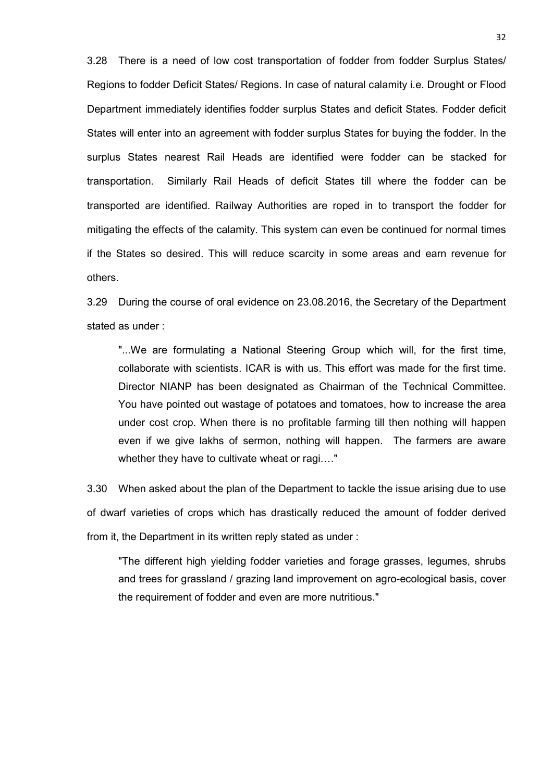3.28 There is a need of low cost transportation of fodder from fodder Surplus States/ Regions to fodder Deficit States/ Regions. In case of natural calamity i.e. Drought or Flood Department immediately identifies fodder surplus States and deficit States. Fodder deficit States will enter into an agreement with fodder surplus States for buying the fodder. In the surplus States nearest Rail Heads are identified were fodder can be stacked for transportation. Similarly Rail Heads of deficit States till where the fodder can be transported are identified. Railway Authorities are roped in to transport the fodder for mitigating the effects of the calamity. This system can even be continued for normal times if the States so desired. This will reduce scarcity in some areas and earn revenue for others.

3.29 During the course of oral evidence on 23.08.2016, the Secretary of the Department stated as under :

"...We are formulating a National Steering Group which will, for the first time, collaborate with scientists. ICAR is with us. This effort was made for the first time. Director NIANP has been designated as Chairman of the Technical Committee. You have pointed out wastage of potatoes and tomatoes, how to increase the area under cost crop. When there is no profitable farming till then nothing will happen even if we give lakhs of sermon, nothing will happen. The farmers are aware whether they have to cultivate wheat or ragi...."

3.30 When asked about the plan of the Department to tackle the issue arising due to use of dwarf varieties of crops which has drastically reduced the amount of fodder derived from it, the Department in its written reply stated as under :

"The different high yielding fodder varieties and forage grasses, legumes, shrubs and trees for grassland / grazing land improvement on agro-ecological basis, cover the requirement of fodder and even are more nutritious."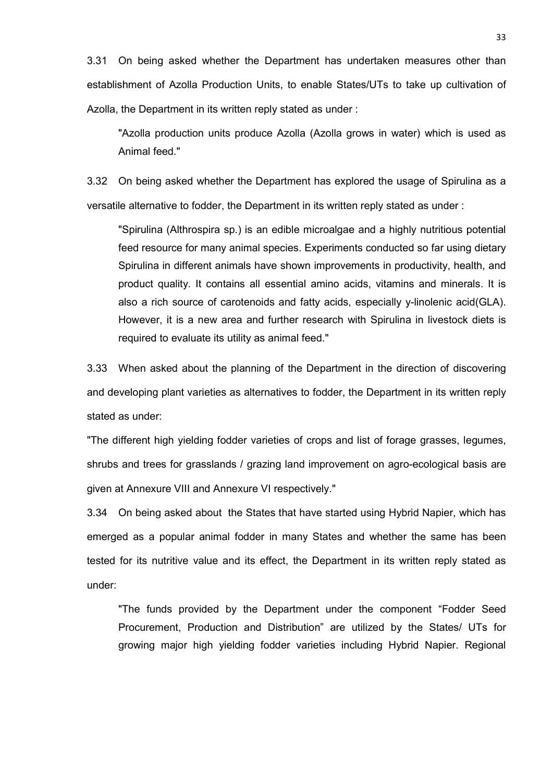3.31 On being asked whether the Department has undertaken measures other than establishment of Azolla Production Units, to enable States/UTs to take up cultivation of Azolla, the Department in its written reply stated as under :

"Azolla production units produce Azolla (Azolla grows in water) which is used as Animal feed."

3.32 On being asked whether the Department has explored the usage of Spirulina as a versatile alternative to fodder, the Department in its written reply stated as under :

"Spirulina (Althrospira sp.) is an edible microalgae and a highly nutritious potential feed resource for many animal species. Experiments conducted so far using dietary Spirulina in different animals have shown improvements in productivity, health, and product quality. It contains all essential amino acids, vitamins and minerals. It is also a rich source of carotenoids and fatty acids, especially y-linolenic acid(GLA). However, it is a new area and further research with Spirulina in livestock diets is required to evaluate its utility as animal feed."

3.33 When asked about the planning of the Department in the direction of discovering and developing plant varieties as alternatives to fodder, the Department in its written reply stated as under:

"The different high yielding fodder varieties of crops and list of forage grasses, legumes, shrubs and trees for grasslands / grazing land improvement on agro-ecological basis are given at Annexure VIII and Annexure VI respectively."

3.34 On being asked about the States that have started using Hybrid Napier, which has emerged as a popular animal fodder in many States and whether the same has been tested for its nutritive value and its effect, the Department in its written reply stated as under:

"The funds provided by the Department under the component "Fodder Seed Procurement, Production and Distribution" are utilized by the States/ UTs for growing major high yielding fodder varieties including Hybrid Napier. Regional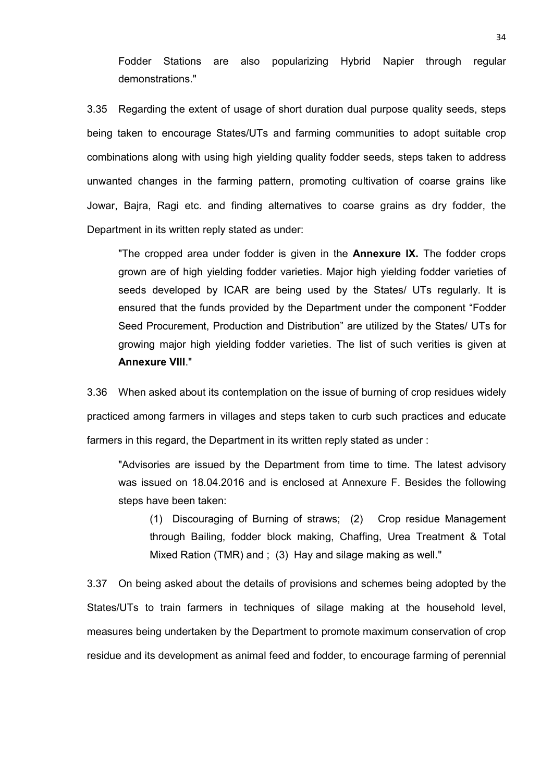Fodder Stations are also popularizing Hybrid Napier through regular demonstrations."

3.35 Regarding the extent of usage of short duration dual purpose quality seeds, steps being taken to encourage States/UTs and farming communities to adopt suitable crop combinations along with using high yielding quality fodder seeds, steps taken to address unwanted changes in the farming pattern, promoting cultivation of coarse grains like Jowar, Bajra, Ragi etc. and finding alternatives to coarse grains as dry fodder, the Department in its written reply stated as under:

"The cropped area under fodder is given in the **Annexure IX.** The fodder crops grown are of high yielding fodder varieties. Major high yielding fodder varieties of seeds developed by ICAR are being used by the States/ UTs regularly. It is ensured that the funds provided by the Department under the component "Fodder Seed Procurement, Production and Distribution" are utilized by the States/ UTs for growing major high yielding fodder varieties. The list of such verities is given at **Annexure VIII**."

3.36 When asked about its contemplation on the issue of burning of crop residues widely practiced among farmers in villages and steps taken to curb such practices and educate farmers in this regard, the Department in its written reply stated as under :

"Advisories are issued by the Department from time to time. The latest advisory was issued on 18.04.2016 and is enclosed at Annexure F. Besides the following steps have been taken:

(1) Discouraging of Burning of straws; (2) Crop residue Management through Bailing, fodder block making, Chaffing, Urea Treatment & Total Mixed Ration (TMR) and ; (3) Hay and silage making as well."

3.37 On being asked about the details of provisions and schemes being adopted by the States/UTs to train farmers in techniques of silage making at the household level, measures being undertaken by the Department to promote maximum conservation of crop residue and its development as animal feed and fodder, to encourage farming of perennial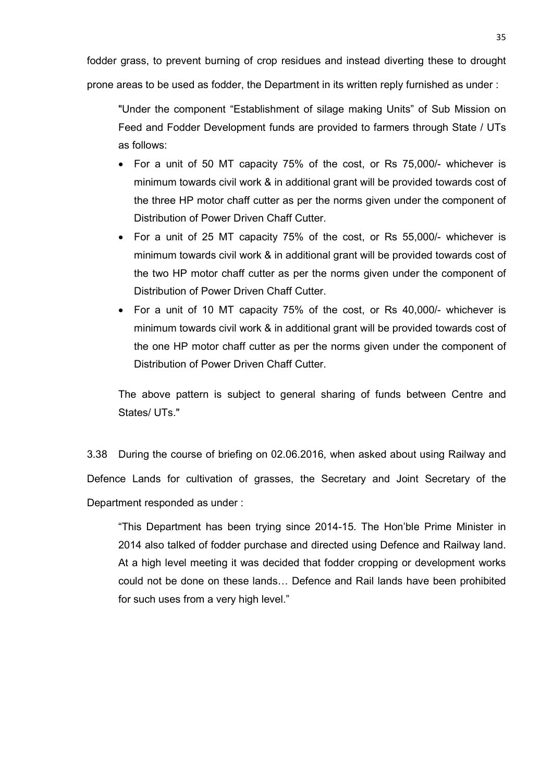fodder grass, to prevent burning of crop residues and instead diverting these to drought prone areas to be used as fodder, the Department in its written reply furnished as under :

"Under the component "Establishment of silage making Units" of Sub Mission on Feed and Fodder Development funds are provided to farmers through State / UTs as follows:

- For a unit of 50 MT capacity 75% of the cost, or Rs 75,000/- whichever is minimum towards civil work & in additional grant will be provided towards cost of the three HP motor chaff cutter as per the norms given under the component of Distribution of Power Driven Chaff Cutter.
- For a unit of 25 MT capacity 75% of the cost, or Rs 55,000/- whichever is minimum towards civil work & in additional grant will be provided towards cost of the two HP motor chaff cutter as per the norms given under the component of Distribution of Power Driven Chaff Cutter.
- For a unit of 10 MT capacity 75% of the cost, or Rs 40,000/- whichever is minimum towards civil work & in additional grant will be provided towards cost of the one HP motor chaff cutter as per the norms given under the component of Distribution of Power Driven Chaff Cutter.

The above pattern is subject to general sharing of funds between Centre and States/ UTs."

3.38 During the course of briefing on 02.06.2016, when asked about using Railway and Defence Lands for cultivation of grasses, the Secretary and Joint Secretary of the Department responded as under :

"This Department has been trying since 2014-15. The Hon'ble Prime Minister in 2014 also talked of fodder purchase and directed using Defence and Railway land. At a high level meeting it was decided that fodder cropping or development works could not be done on these lands… Defence and Rail lands have been prohibited for such uses from a very high level."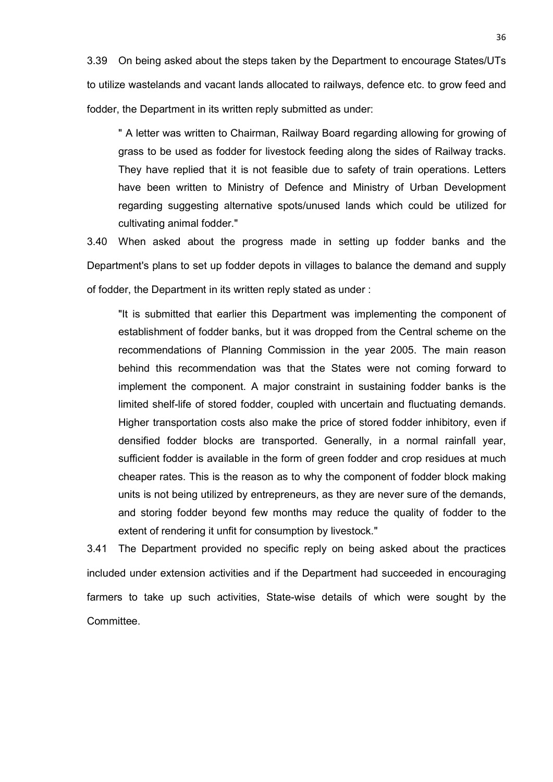3.39 On being asked about the steps taken by the Department to encourage States/UTs to utilize wastelands and vacant lands allocated to railways, defence etc. to grow feed and fodder, the Department in its written reply submitted as under:

" A letter was written to Chairman, Railway Board regarding allowing for growing of grass to be used as fodder for livestock feeding along the sides of Railway tracks. They have replied that it is not feasible due to safety of train operations. Letters have been written to Ministry of Defence and Ministry of Urban Development regarding suggesting alternative spots/unused lands which could be utilized for cultivating animal fodder."

3.40 When asked about the progress made in setting up fodder banks and the Department's plans to set up fodder depots in villages to balance the demand and supply of fodder, the Department in its written reply stated as under :

"It is submitted that earlier this Department was implementing the component of establishment of fodder banks, but it was dropped from the Central scheme on the recommendations of Planning Commission in the year 2005. The main reason behind this recommendation was that the States were not coming forward to implement the component. A major constraint in sustaining fodder banks is the limited shelf-life of stored fodder, coupled with uncertain and fluctuating demands. Higher transportation costs also make the price of stored fodder inhibitory, even if densified fodder blocks are transported. Generally, in a normal rainfall year, sufficient fodder is available in the form of green fodder and crop residues at much cheaper rates. This is the reason as to why the component of fodder block making units is not being utilized by entrepreneurs, as they are never sure of the demands, and storing fodder beyond few months may reduce the quality of fodder to the extent of rendering it unfit for consumption by livestock."

3.41 The Department provided no specific reply on being asked about the practices included under extension activities and if the Department had succeeded in encouraging farmers to take up such activities, State-wise details of which were sought by the Committee.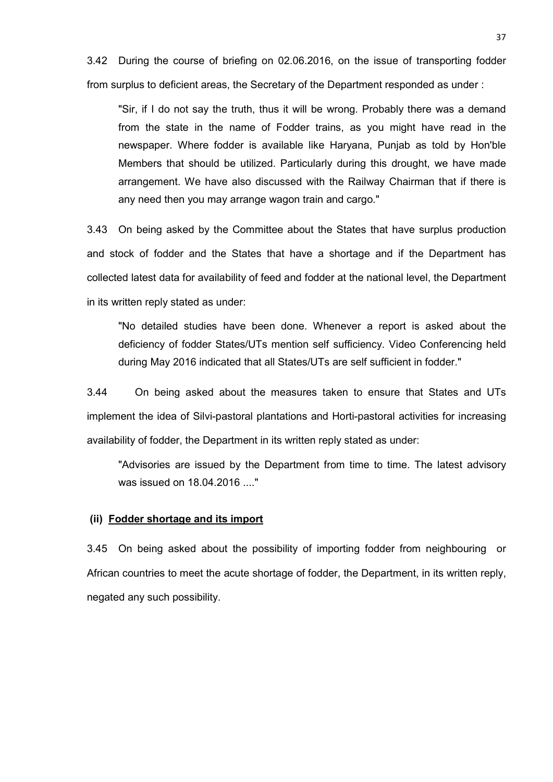3.42 During the course of briefing on 02.06.2016, on the issue of transporting fodder from surplus to deficient areas, the Secretary of the Department responded as under :

"Sir, if I do not say the truth, thus it will be wrong. Probably there was a demand from the state in the name of Fodder trains, as you might have read in the newspaper. Where fodder is available like Haryana, Punjab as told by Hon'ble Members that should be utilized. Particularly during this drought, we have made arrangement. We have also discussed with the Railway Chairman that if there is any need then you may arrange wagon train and cargo."

3.43 On being asked by the Committee about the States that have surplus production and stock of fodder and the States that have a shortage and if the Department has collected latest data for availability of feed and fodder at the national level, the Department in its written reply stated as under:

"No detailed studies have been done. Whenever a report is asked about the deficiency of fodder States/UTs mention self sufficiency. Video Conferencing held during May 2016 indicated that all States/UTs are self sufficient in fodder."

3.44 On being asked about the measures taken to ensure that States and UTs implement the idea of Silvi-pastoral plantations and Horti-pastoral activities for increasing availability of fodder, the Department in its written reply stated as under:

"Advisories are issued by the Department from time to time. The latest advisory was issued on 18.04.2016 ...."

#### **(ii) Fodder shortage and its import**

3.45 On being asked about the possibility of importing fodder from neighbouring or African countries to meet the acute shortage of fodder, the Department, in its written reply, negated any such possibility.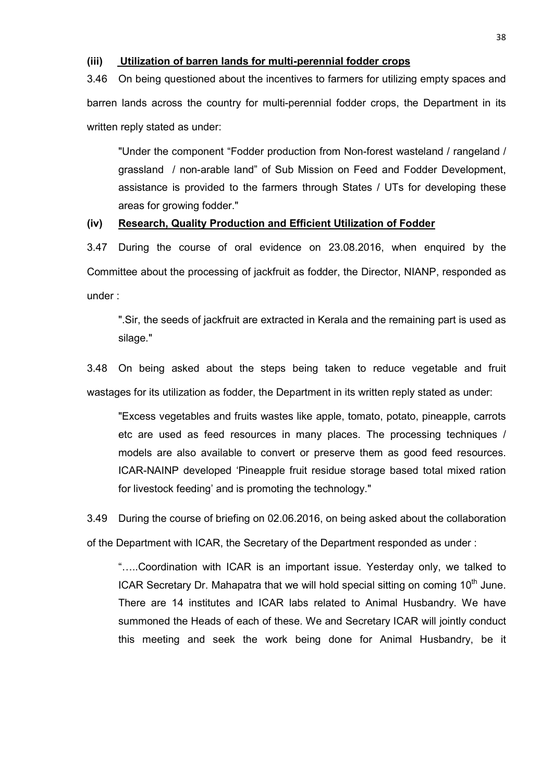#### **(iii) Utilization of barren lands for multi-perennial fodder crops**

3.46 On being questioned about the incentives to farmers for utilizing empty spaces and barren lands across the country for multi-perennial fodder crops, the Department in its written reply stated as under:

"Under the component "Fodder production from Non-forest wasteland / rangeland / grassland / non-arable land" of Sub Mission on Feed and Fodder Development, assistance is provided to the farmers through States / UTs for developing these areas for growing fodder."

#### **(iv) Research, Quality Production and Efficient Utilization of Fodder**

3.47 During the course of oral evidence on 23.08.2016, when enquired by the Committee about the processing of jackfruit as fodder, the Director, NIANP, responded as under :

".Sir, the seeds of jackfruit are extracted in Kerala and the remaining part is used as silage."

3.48 On being asked about the steps being taken to reduce vegetable and fruit wastages for its utilization as fodder, the Department in its written reply stated as under:

"Excess vegetables and fruits wastes like apple, tomato, potato, pineapple, carrots etc are used as feed resources in many places. The processing techniques / models are also available to convert or preserve them as good feed resources. ICAR-NAINP developed 'Pineapple fruit residue storage based total mixed ration for livestock feeding' and is promoting the technology."

3.49 During the course of briefing on 02.06.2016, on being asked about the collaboration of the Department with ICAR, the Secretary of the Department responded as under :

"…..Coordination with ICAR is an important issue. Yesterday only, we talked to ICAR Secretary Dr. Mahapatra that we will hold special sitting on coming  $10<sup>th</sup>$  June. There are 14 institutes and ICAR labs related to Animal Husbandry. We have summoned the Heads of each of these. We and Secretary ICAR will jointly conduct this meeting and seek the work being done for Animal Husbandry, be it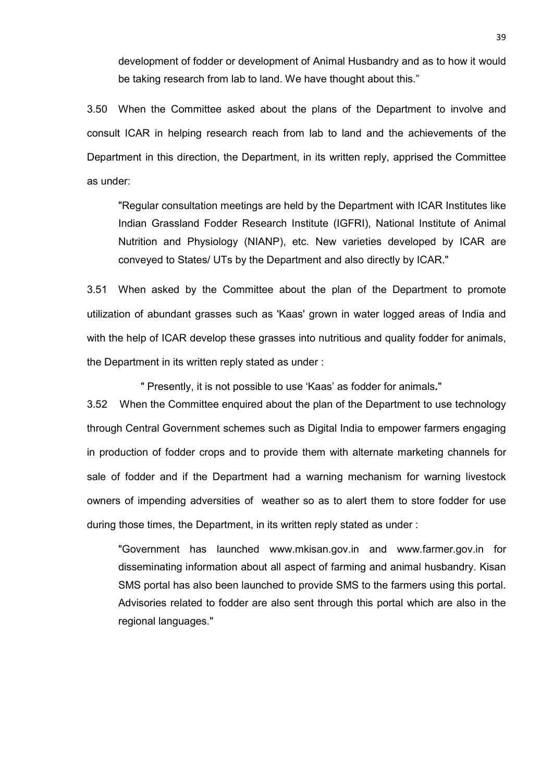development of fodder or development of Animal Husbandry and as to how it would be taking research from lab to land. We have thought about this."

3.50 When the Committee asked about the plans of the Department to involve and consult ICAR in helping research reach from lab to land and the achievements of the Department in this direction, the Department, in its written reply, apprised the Committee as under:

"Regular consultation meetings are held by the Department with ICAR Institutes like Indian Grassland Fodder Research Institute (IGFRI), National Institute of Animal Nutrition and Physiology (NIANP), etc. New varieties developed by ICAR are conveyed to States/ UTs by the Department and also directly by ICAR."

3.51 When asked by the Committee about the plan of the Department to promote utilization of abundant grasses such as 'Kaas' grown in water logged areas of India and with the help of ICAR develop these grasses into nutritious and quality fodder for animals, the Department in its written reply stated as under :

" Presently, it is not possible to use 'Kaas' as fodder for animals**.**"

3.52 When the Committee enquired about the plan of the Department to use technology through Central Government schemes such as Digital India to empower farmers engaging in production of fodder crops and to provide them with alternate marketing channels for sale of fodder and if the Department had a warning mechanism for warning livestock owners of impending adversities of weather so as to alert them to store fodder for use during those times, the Department, in its written reply stated as under :

"Government has launched www.mkisan.gov.in and www.farmer.gov.in for disseminating information about all aspect of farming and animal husbandry. Kisan SMS portal has also been launched to provide SMS to the farmers using this portal. Advisories related to fodder are also sent through this portal which are also in the regional languages."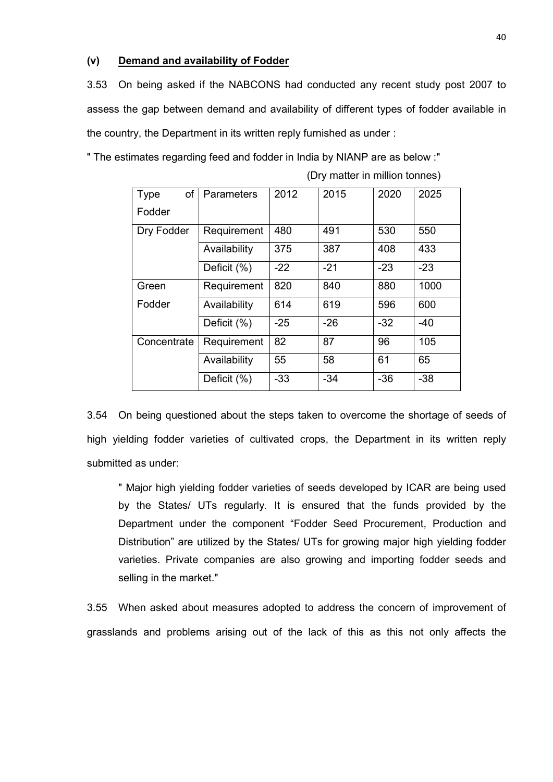#### **(v) Demand and availability of Fodder**

3.53 On being asked if the NABCONS had conducted any recent study post 2007 to assess the gap between demand and availability of different types of fodder available in the country, the Department in its written reply furnished as under :

" The estimates regarding feed and fodder in India by NIANP are as below :"

|                   |              |       | $\frac{1}{2}$ |       |       |
|-------------------|--------------|-------|---------------|-------|-------|
| of<br><b>Type</b> | Parameters   | 2012  | 2015          | 2020  | 2025  |
| Fodder            |              |       |               |       |       |
| Dry Fodder        | Requirement  | 480   | 491           | 530   | 550   |
|                   | Availability | 375   | 387           | 408   | 433   |
|                   | Deficit (%)  | $-22$ | $-21$         | $-23$ | $-23$ |
| Green             | Requirement  | 820   | 840           | 880   | 1000  |
| Fodder            | Availability | 614   | 619           | 596   | 600   |
|                   | Deficit (%)  | $-25$ | $-26$         | $-32$ | $-40$ |
| Concentrate       | Requirement  | 82    | 87            | 96    | 105   |
|                   | Availability | 55    | 58            | 61    | 65    |
|                   | Deficit (%)  | $-33$ | $-34$         | $-36$ | $-38$ |

(Dry matter in million tonnes)

3.54 On being questioned about the steps taken to overcome the shortage of seeds of high yielding fodder varieties of cultivated crops, the Department in its written reply submitted as under:

" Major high yielding fodder varieties of seeds developed by ICAR are being used by the States/ UTs regularly. It is ensured that the funds provided by the Department under the component "Fodder Seed Procurement, Production and Distribution" are utilized by the States/ UTs for growing major high yielding fodder varieties. Private companies are also growing and importing fodder seeds and selling in the market."

3.55 When asked about measures adopted to address the concern of improvement of grasslands and problems arising out of the lack of this as this not only affects the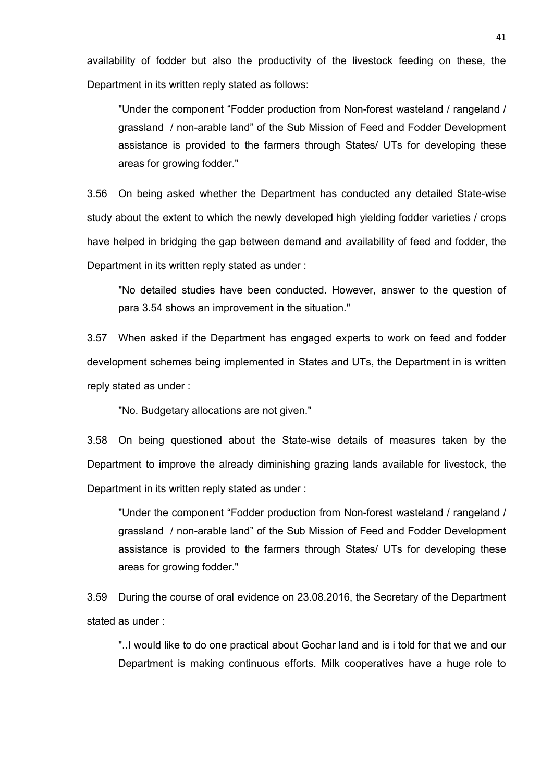availability of fodder but also the productivity of the livestock feeding on these, the Department in its written reply stated as follows:

"Under the component "Fodder production from Non-forest wasteland / rangeland / grassland / non-arable land" of the Sub Mission of Feed and Fodder Development assistance is provided to the farmers through States/ UTs for developing these areas for growing fodder."

3.56 On being asked whether the Department has conducted any detailed State-wise study about the extent to which the newly developed high yielding fodder varieties / crops have helped in bridging the gap between demand and availability of feed and fodder, the Department in its written reply stated as under :

"No detailed studies have been conducted. However, answer to the question of para 3.54 shows an improvement in the situation."

3.57 When asked if the Department has engaged experts to work on feed and fodder development schemes being implemented in States and UTs, the Department in is written reply stated as under :

"No. Budgetary allocations are not given."

3.58 On being questioned about the State-wise details of measures taken by the Department to improve the already diminishing grazing lands available for livestock, the Department in its written reply stated as under :

"Under the component "Fodder production from Non-forest wasteland / rangeland / grassland / non-arable land" of the Sub Mission of Feed and Fodder Development assistance is provided to the farmers through States/ UTs for developing these areas for growing fodder."

3.59 During the course of oral evidence on 23.08.2016, the Secretary of the Department stated as under :

"..I would like to do one practical about Gochar land and is i told for that we and our Department is making continuous efforts. Milk cooperatives have a huge role to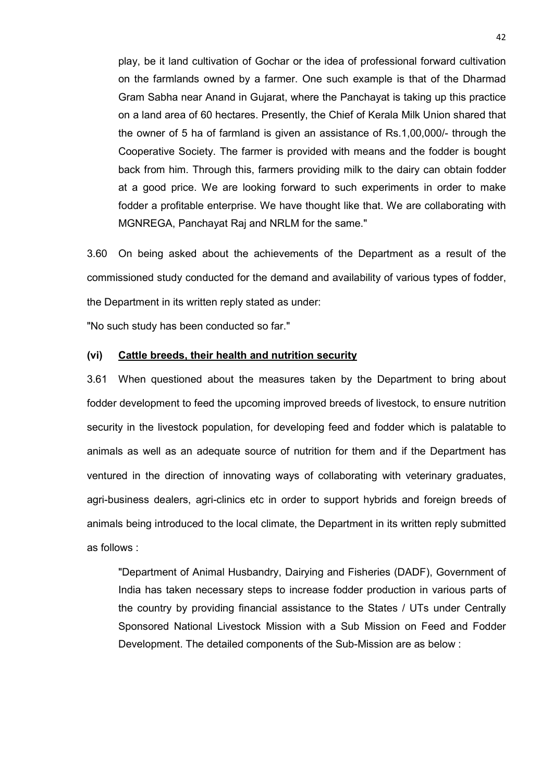play, be it land cultivation of Gochar or the idea of professional forward cultivation on the farmlands owned by a farmer. One such example is that of the Dharmad Gram Sabha near Anand in Gujarat, where the Panchayat is taking up this practice on a land area of 60 hectares. Presently, the Chief of Kerala Milk Union shared that the owner of 5 ha of farmland is given an assistance of Rs.1,00,000/- through the Cooperative Society. The farmer is provided with means and the fodder is bought back from him. Through this, farmers providing milk to the dairy can obtain fodder at a good price. We are looking forward to such experiments in order to make fodder a profitable enterprise. We have thought like that. We are collaborating with MGNREGA, Panchayat Raj and NRLM for the same."

3.60 On being asked about the achievements of the Department as a result of the commissioned study conducted for the demand and availability of various types of fodder, the Department in its written reply stated as under:

"No such study has been conducted so far."

#### **(vi) Cattle breeds, their health and nutrition security**

3.61 When questioned about the measures taken by the Department to bring about fodder development to feed the upcoming improved breeds of livestock, to ensure nutrition security in the livestock population, for developing feed and fodder which is palatable to animals as well as an adequate source of nutrition for them and if the Department has ventured in the direction of innovating ways of collaborating with veterinary graduates, agri-business dealers, agri-clinics etc in order to support hybrids and foreign breeds of animals being introduced to the local climate, the Department in its written reply submitted as follows :

"Department of Animal Husbandry, Dairying and Fisheries (DADF), Government of India has taken necessary steps to increase fodder production in various parts of the country by providing financial assistance to the States / UTs under Centrally Sponsored National Livestock Mission with a Sub Mission on Feed and Fodder Development. The detailed components of the Sub-Mission are as below :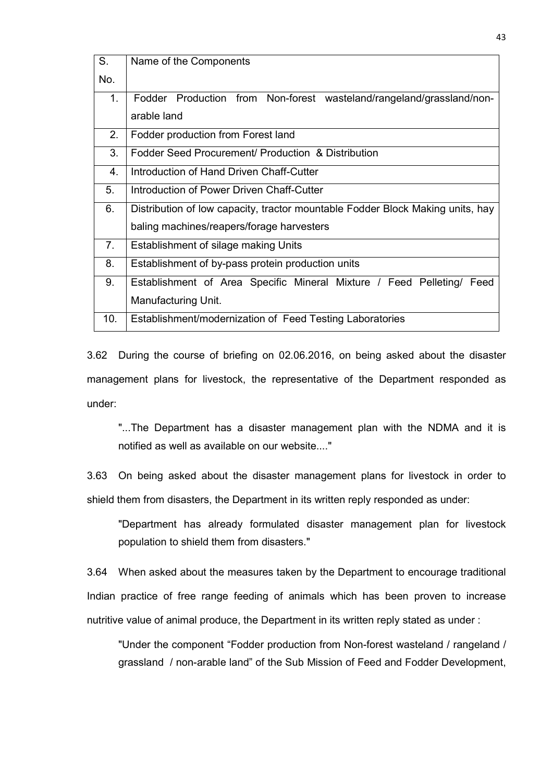| S.             | Name of the Components                                                         |  |  |  |  |  |  |  |  |  |  |  |  |  |
|----------------|--------------------------------------------------------------------------------|--|--|--|--|--|--|--|--|--|--|--|--|--|
| No.            |                                                                                |  |  |  |  |  |  |  |  |  |  |  |  |  |
| 1 <sub>1</sub> | Fodder Production from Non-forest wasteland/rangeland/grassland/non-           |  |  |  |  |  |  |  |  |  |  |  |  |  |
|                | arable land                                                                    |  |  |  |  |  |  |  |  |  |  |  |  |  |
| 2.             | Fodder production from Forest land                                             |  |  |  |  |  |  |  |  |  |  |  |  |  |
| 3.             | Fodder Seed Procurement/ Production & Distribution                             |  |  |  |  |  |  |  |  |  |  |  |  |  |
| 4.             | Introduction of Hand Driven Chaff-Cutter                                       |  |  |  |  |  |  |  |  |  |  |  |  |  |
| 5.             | Introduction of Power Driven Chaff-Cutter                                      |  |  |  |  |  |  |  |  |  |  |  |  |  |
| 6.             | Distribution of low capacity, tractor mountable Fodder Block Making units, hay |  |  |  |  |  |  |  |  |  |  |  |  |  |
|                | baling machines/reapers/forage harvesters                                      |  |  |  |  |  |  |  |  |  |  |  |  |  |
| 7.             | Establishment of silage making Units                                           |  |  |  |  |  |  |  |  |  |  |  |  |  |
| 8.             | Establishment of by-pass protein production units                              |  |  |  |  |  |  |  |  |  |  |  |  |  |
| 9.             | Establishment of Area Specific Mineral Mixture / Feed Pelleting/ Feed          |  |  |  |  |  |  |  |  |  |  |  |  |  |
|                | Manufacturing Unit.                                                            |  |  |  |  |  |  |  |  |  |  |  |  |  |
| 10.            | Establishment/modernization of Feed Testing Laboratories                       |  |  |  |  |  |  |  |  |  |  |  |  |  |

3.62 During the course of briefing on 02.06.2016, on being asked about the disaster management plans for livestock, the representative of the Department responded as under:

"...The Department has a disaster management plan with the NDMA and it is notified as well as available on our website...."

3.63 On being asked about the disaster management plans for livestock in order to shield them from disasters, the Department in its written reply responded as under:

"Department has already formulated disaster management plan for livestock population to shield them from disasters."

3.64 When asked about the measures taken by the Department to encourage traditional Indian practice of free range feeding of animals which has been proven to increase nutritive value of animal produce, the Department in its written reply stated as under :

"Under the component "Fodder production from Non-forest wasteland / rangeland / grassland / non-arable land" of the Sub Mission of Feed and Fodder Development,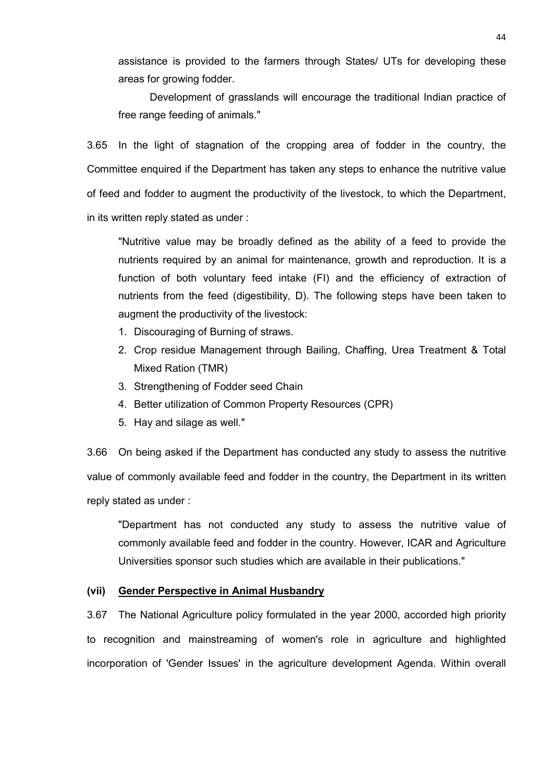assistance is provided to the farmers through States/ UTs for developing these areas for growing fodder.

Development of grasslands will encourage the traditional Indian practice of free range feeding of animals."

3.65 In the light of stagnation of the cropping area of fodder in the country, the Committee enquired if the Department has taken any steps to enhance the nutritive value of feed and fodder to augment the productivity of the livestock, to which the Department, in its written reply stated as under :

"Nutritive value may be broadly defined as the ability of a feed to provide the nutrients required by an animal for maintenance, growth and reproduction. It is a function of both voluntary feed intake (FI) and the efficiency of extraction of nutrients from the feed (digestibility, D). The following steps have been taken to augment the productivity of the livestock:

- 1. Discouraging of Burning of straws.
- 2. Crop residue Management through Bailing, Chaffing, Urea Treatment & Total Mixed Ration (TMR)
- 3. Strengthening of Fodder seed Chain
- 4. Better utilization of Common Property Resources (CPR)
- 5. Hay and silage as well."

3.66 On being asked if the Department has conducted any study to assess the nutritive value of commonly available feed and fodder in the country, the Department in its written reply stated as under :

"Department has not conducted any study to assess the nutritive value of commonly available feed and fodder in the country. However, ICAR and Agriculture Universities sponsor such studies which are available in their publications."

#### **(vii) Gender Perspective in Animal Husbandry**

3.67 The National Agriculture policy formulated in the year 2000, accorded high priority to recognition and mainstreaming of women's role in agriculture and highlighted incorporation of 'Gender Issues' in the agriculture development Agenda. Within overall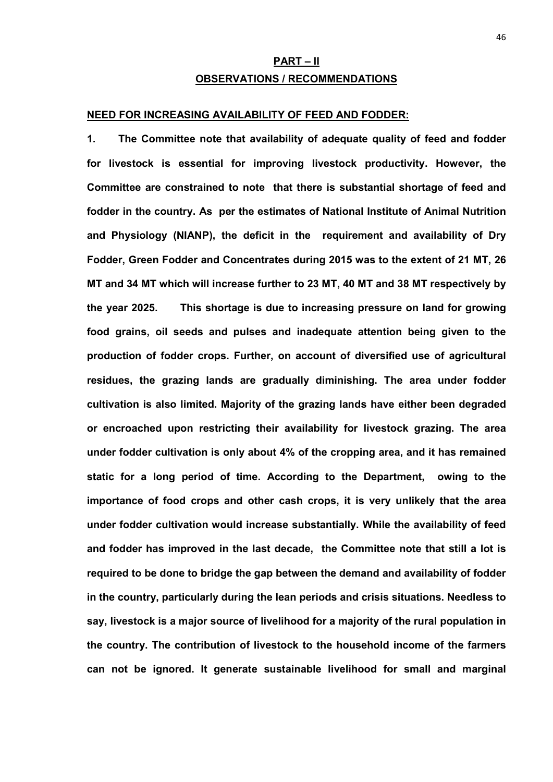# **PART – II OBSERVATIONS / RECOMMENDATIONS**

#### **NEED FOR INCREASING AVAILABILITY OF FEED AND FODDER:**

**1. The Committee note that availability of adequate quality of feed and fodder for livestock is essential for improving livestock productivity. However, the Committee are constrained to note that there is substantial shortage of feed and fodder in the country. As per the estimates of National Institute of Animal Nutrition and Physiology (NIANP), the deficit in the requirement and availability of Dry Fodder, Green Fodder and Concentrates during 2015 was to the extent of 21 MT, 26 MT and 34 MT which will increase further to 23 MT, 40 MT and 38 MT respectively by the year 2025. This shortage is due to increasing pressure on land for growing food grains, oil seeds and pulses and inadequate attention being given to the production of fodder crops. Further, on account of diversified use of agricultural residues, the grazing lands are gradually diminishing. The area under fodder cultivation is also limited. Majority of the grazing lands have either been degraded or encroached upon restricting their availability for livestock grazing. The area under fodder cultivation is only about 4% of the cropping area, and it has remained static for a long period of time. According to the Department, owing to the importance of food crops and other cash crops, it is very unlikely that the area under fodder cultivation would increase substantially. While the availability of feed and fodder has improved in the last decade, the Committee note that still a lot is required to be done to bridge the gap between the demand and availability of fodder in the country, particularly during the lean periods and crisis situations. Needless to say, livestock is a major source of livelihood for a majority of the rural population in the country. The contribution of livestock to the household income of the farmers can not be ignored. It generate sustainable livelihood for small and marginal**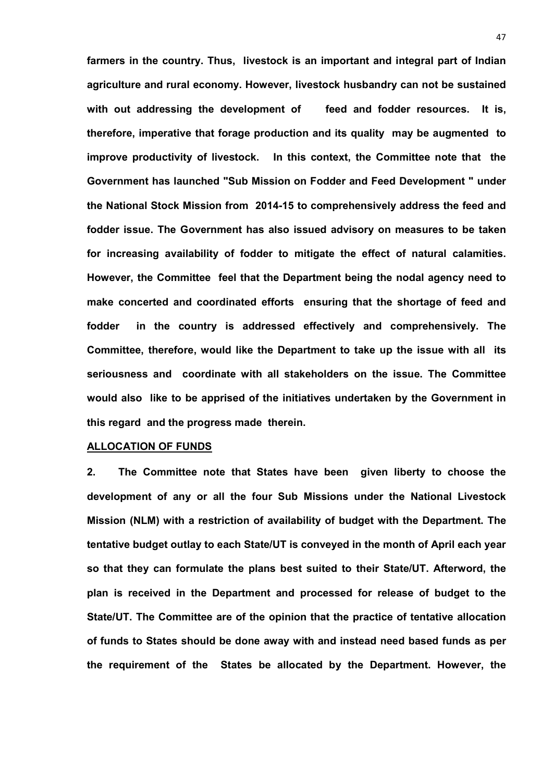**farmers in the country. Thus, livestock is an important and integral part of Indian agriculture and rural economy. However, livestock husbandry can not be sustained with out addressing the development of feed and fodder resources. It is, therefore, imperative that forage production and its quality may be augmented to improve productivity of livestock. In this context, the Committee note that the Government has launched "Sub Mission on Fodder and Feed Development " under the National Stock Mission from 2014-15 to comprehensively address the feed and fodder issue. The Government has also issued advisory on measures to be taken for increasing availability of fodder to mitigate the effect of natural calamities. However, the Committee feel that the Department being the nodal agency need to make concerted and coordinated efforts ensuring that the shortage of feed and fodder in the country is addressed effectively and comprehensively. The Committee, therefore, would like the Department to take up the issue with all its seriousness and coordinate with all stakeholders on the issue. The Committee would also like to be apprised of the initiatives undertaken by the Government in this regard and the progress made therein.** 

#### **ALLOCATION OF FUNDS**

**2. The Committee note that States have been given liberty to choose the development of any or all the four Sub Missions under the National Livestock Mission (NLM) with a restriction of availability of budget with the Department. The tentative budget outlay to each State/UT is conveyed in the month of April each year so that they can formulate the plans best suited to their State/UT. Afterword, the plan is received in the Department and processed for release of budget to the State/UT. The Committee are of the opinion that the practice of tentative allocation of funds to States should be done away with and instead need based funds as per the requirement of the States be allocated by the Department. However, the**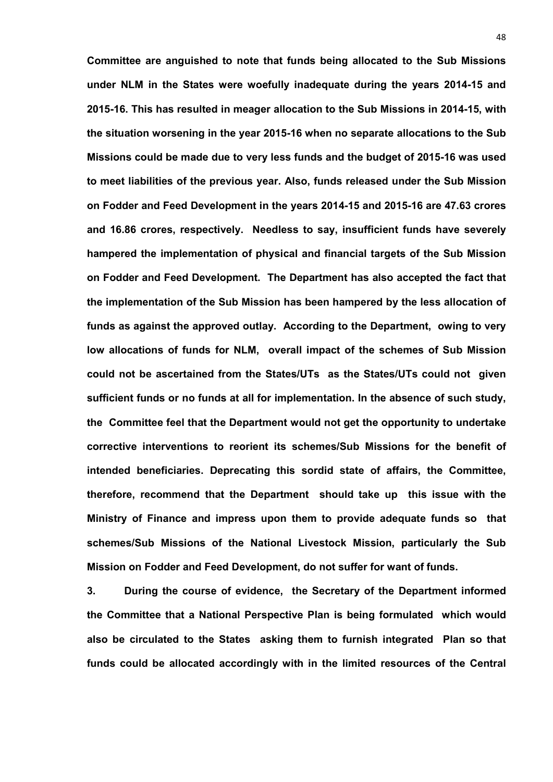**Committee are anguished to note that funds being allocated to the Sub Missions under NLM in the States were woefully inadequate during the years 2014-15 and 2015-16. This has resulted in meager allocation to the Sub Missions in 2014-15, with the situation worsening in the year 2015-16 when no separate allocations to the Sub Missions could be made due to very less funds and the budget of 2015-16 was used to meet liabilities of the previous year. Also, funds released under the Sub Mission on Fodder and Feed Development in the years 2014-15 and 2015-16 are 47.63 crores and 16.86 crores, respectively. Needless to say, insufficient funds have severely hampered the implementation of physical and financial targets of the Sub Mission on Fodder and Feed Development. The Department has also accepted the fact that the implementation of the Sub Mission has been hampered by the less allocation of funds as against the approved outlay. According to the Department, owing to very low allocations of funds for NLM, overall impact of the schemes of Sub Mission could not be ascertained from the States/UTs as the States/UTs could not given sufficient funds or no funds at all for implementation. In the absence of such study, the Committee feel that the Department would not get the opportunity to undertake corrective interventions to reorient its schemes/Sub Missions for the benefit of intended beneficiaries. Deprecating this sordid state of affairs, the Committee, therefore, recommend that the Department should take up this issue with the Ministry of Finance and impress upon them to provide adequate funds so that schemes/Sub Missions of the National Livestock Mission, particularly the Sub Mission on Fodder and Feed Development, do not suffer for want of funds.**

**3. During the course of evidence, the Secretary of the Department informed the Committee that a National Perspective Plan is being formulated which would also be circulated to the States asking them to furnish integrated Plan so that funds could be allocated accordingly with in the limited resources of the Central**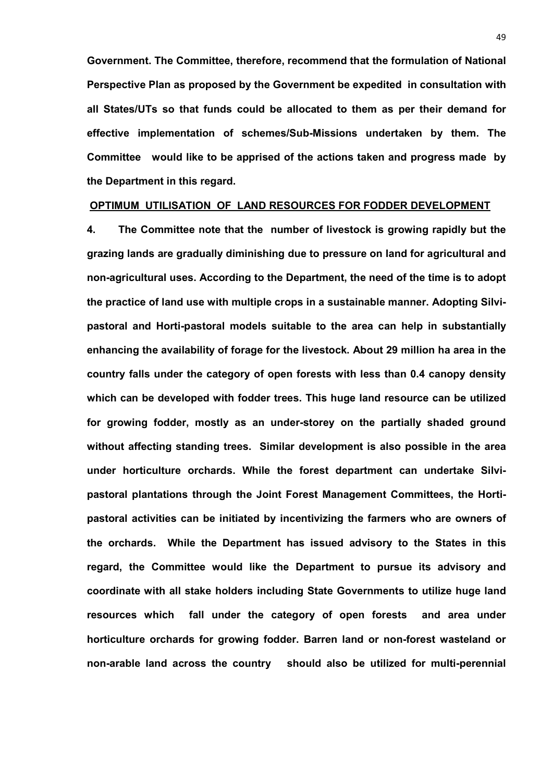**Government. The Committee, therefore, recommend that the formulation of National Perspective Plan as proposed by the Government be expedited in consultation with all States/UTs so that funds could be allocated to them as per their demand for effective implementation of schemes/Sub-Missions undertaken by them. The Committee would like to be apprised of the actions taken and progress made by the Department in this regard.**

#### **OPTIMUM UTILISATION OF LAND RESOURCES FOR FODDER DEVELOPMENT**

**4. The Committee note that the number of livestock is growing rapidly but the grazing lands are gradually diminishing due to pressure on land for agricultural and non-agricultural uses. According to the Department, the need of the time is to adopt the practice of land use with multiple crops in a sustainable manner. Adopting Silvipastoral and Horti-pastoral models suitable to the area can help in substantially enhancing the availability of forage for the livestock. About 29 million ha area in the country falls under the category of open forests with less than 0.4 canopy density which can be developed with fodder trees. This huge land resource can be utilized for growing fodder, mostly as an under-storey on the partially shaded ground without affecting standing trees. Similar development is also possible in the area under horticulture orchards. While the forest department can undertake Silvipastoral plantations through the Joint Forest Management Committees, the Hortipastoral activities can be initiated by incentivizing the farmers who are owners of the orchards. While the Department has issued advisory to the States in this regard, the Committee would like the Department to pursue its advisory and coordinate with all stake holders including State Governments to utilize huge land resources which fall under the category of open forests and area under horticulture orchards for growing fodder. Barren land or non-forest wasteland or non-arable land across the country should also be utilized for multi-perennial**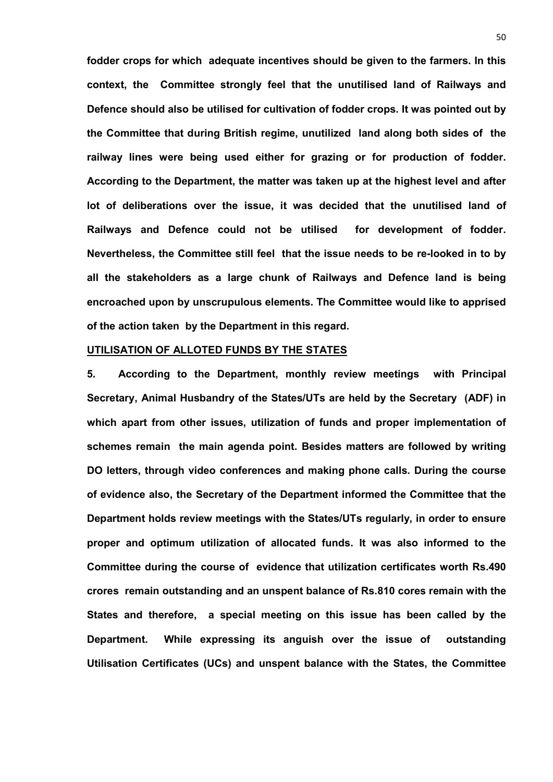**fodder crops for which adequate incentives should be given to the farmers. In this context, the Committee strongly feel that the unutilised land of Railways and Defence should also be utilised for cultivation of fodder crops. It was pointed out by the Committee that during British regime, unutilized land along both sides of the railway lines were being used either for grazing or for production of fodder. According to the Department, the matter was taken up at the highest level and after lot of deliberations over the issue, it was decided that the unutilised land of Railways and Defence could not be utilised for development of fodder. Nevertheless, the Committee still feel that the issue needs to be re-looked in to by all the stakeholders as a large chunk of Railways and Defence land is being encroached upon by unscrupulous elements. The Committee would like to apprised of the action taken by the Department in this regard.**

#### **UTILISATION OF ALLOTED FUNDS BY THE STATES**

**5. According to the Department, monthly review meetings with Principal Secretary, Animal Husbandry of the States/UTs are held by the Secretary (ADF) in which apart from other issues, utilization of funds and proper implementation of schemes remain the main agenda point. Besides matters are followed by writing DO letters, through video conferences and making phone calls. During the course of evidence also, the Secretary of the Department informed the Committee that the Department holds review meetings with the States/UTs regularly, in order to ensure proper and optimum utilization of allocated funds. It was also informed to the Committee during the course of evidence that utilization certificates worth Rs.490 crores remain outstanding and an unspent balance of Rs.810 cores remain with the States and therefore, a special meeting on this issue has been called by the Department. While expressing its anguish over the issue of outstanding Utilisation Certificates (UCs) and unspent balance with the States, the Committee**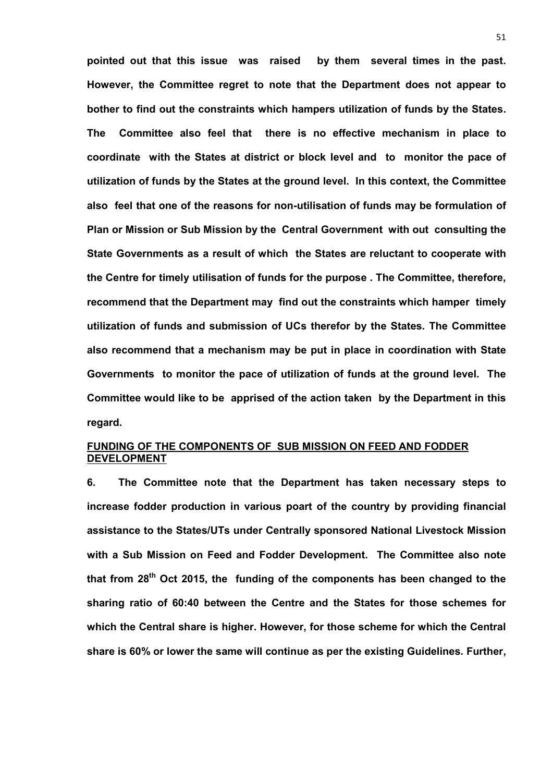**pointed out that this issue was raised by them several times in the past. However, the Committee regret to note that the Department does not appear to bother to find out the constraints which hampers utilization of funds by the States. The Committee also feel that there is no effective mechanism in place to coordinate with the States at district or block level and to monitor the pace of utilization of funds by the States at the ground level. In this context, the Committee also feel that one of the reasons for non-utilisation of funds may be formulation of Plan or Mission or Sub Mission by the Central Government with out consulting the State Governments as a result of which the States are reluctant to cooperate with the Centre for timely utilisation of funds for the purpose . The Committee, therefore, recommend that the Department may find out the constraints which hamper timely utilization of funds and submission of UCs therefor by the States. The Committee also recommend that a mechanism may be put in place in coordination with State Governments to monitor the pace of utilization of funds at the ground level. The Committee would like to be apprised of the action taken by the Department in this regard.**

#### **FUNDING OF THE COMPONENTS OF SUB MISSION ON FEED AND FODDER DEVELOPMENT**

**6. The Committee note that the Department has taken necessary steps to increase fodder production in various poart of the country by providing financial assistance to the States/UTs under Centrally sponsored National Livestock Mission with a Sub Mission on Feed and Fodder Development. The Committee also note that from 28th Oct 2015, the funding of the components has been changed to the sharing ratio of 60:40 between the Centre and the States for those schemes for which the Central share is higher. However, for those scheme for which the Central share is 60% or lower the same will continue as per the existing Guidelines. Further,** 

51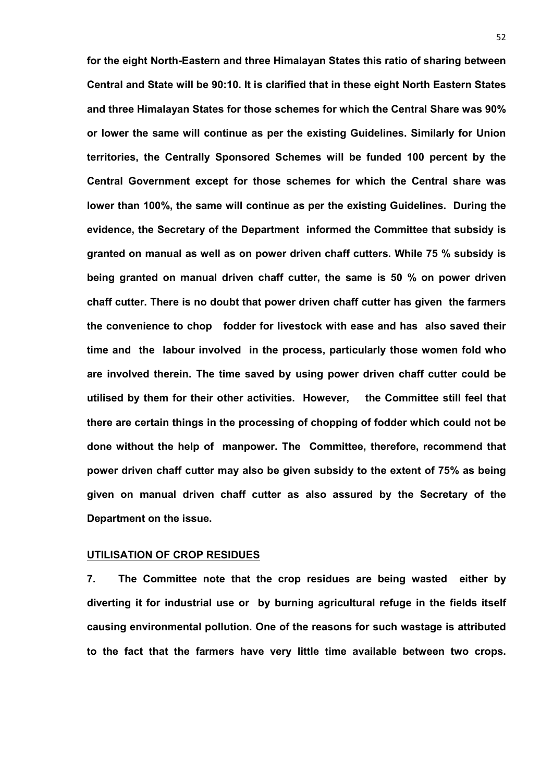**for the eight North-Eastern and three Himalayan States this ratio of sharing between Central and State will be 90:10. It is clarified that in these eight North Eastern States and three Himalayan States for those schemes for which the Central Share was 90% or lower the same will continue as per the existing Guidelines. Similarly for Union territories, the Centrally Sponsored Schemes will be funded 100 percent by the Central Government except for those schemes for which the Central share was lower than 100%, the same will continue as per the existing Guidelines. During the evidence, the Secretary of the Department informed the Committee that subsidy is granted on manual as well as on power driven chaff cutters. While 75 % subsidy is being granted on manual driven chaff cutter, the same is 50 % on power driven chaff cutter. There is no doubt that power driven chaff cutter has given the farmers the convenience to chop fodder for livestock with ease and has also saved their time and the labour involved in the process, particularly those women fold who are involved therein. The time saved by using power driven chaff cutter could be utilised by them for their other activities. However, the Committee still feel that there are certain things in the processing of chopping of fodder which could not be done without the help of manpower. The Committee, therefore, recommend that power driven chaff cutter may also be given subsidy to the extent of 75% as being given on manual driven chaff cutter as also assured by the Secretary of the Department on the issue.** 

#### **UTILISATION OF CROP RESIDUES**

**7. The Committee note that the crop residues are being wasted either by diverting it for industrial use or by burning agricultural refuge in the fields itself causing environmental pollution. One of the reasons for such wastage is attributed to the fact that the farmers have very little time available between two crops.**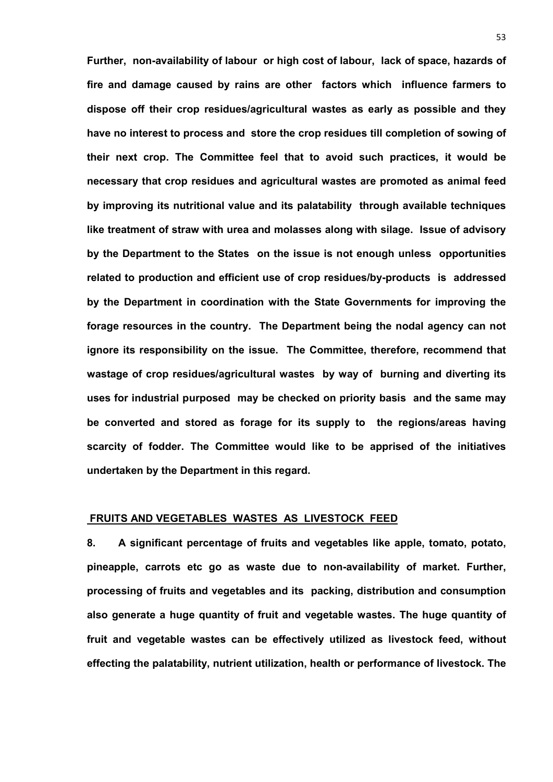**Further, non-availability of labour or high cost of labour, lack of space, hazards of fire and damage caused by rains are other factors which influence farmers to dispose off their crop residues/agricultural wastes as early as possible and they have no interest to process and store the crop residues till completion of sowing of their next crop. The Committee feel that to avoid such practices, it would be necessary that crop residues and agricultural wastes are promoted as animal feed by improving its nutritional value and its palatability through available techniques like treatment of straw with urea and molasses along with silage. Issue of advisory by the Department to the States on the issue is not enough unless opportunities related to production and efficient use of crop residues/by-products is addressed by the Department in coordination with the State Governments for improving the forage resources in the country. The Department being the nodal agency can not ignore its responsibility on the issue. The Committee, therefore, recommend that wastage of crop residues/agricultural wastes by way of burning and diverting its uses for industrial purposed may be checked on priority basis and the same may be converted and stored as forage for its supply to the regions/areas having scarcity of fodder. The Committee would like to be apprised of the initiatives undertaken by the Department in this regard.**

#### **FRUITS AND VEGETABLES WASTES AS LIVESTOCK FEED**

**8. A significant percentage of fruits and vegetables like apple, tomato, potato, pineapple, carrots etc go as waste due to non-availability of market. Further, processing of fruits and vegetables and its packing, distribution and consumption also generate a huge quantity of fruit and vegetable wastes. The huge quantity of fruit and vegetable wastes can be effectively utilized as livestock feed, without effecting the palatability, nutrient utilization, health or performance of livestock. The**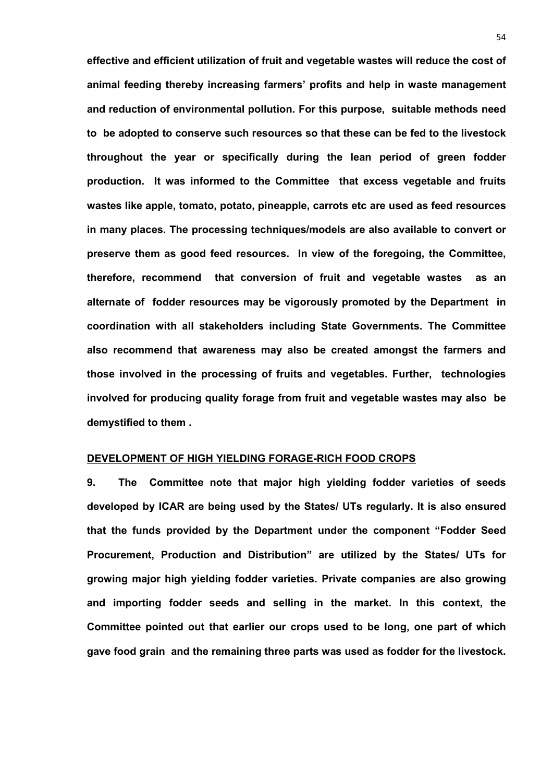**effective and efficient utilization of fruit and vegetable wastes will reduce the cost of animal feeding thereby increasing farmers' profits and help in waste management and reduction of environmental pollution. For this purpose, suitable methods need to be adopted to conserve such resources so that these can be fed to the livestock throughout the year or specifically during the lean period of green fodder production. It was informed to the Committee that excess vegetable and fruits wastes like apple, tomato, potato, pineapple, carrots etc are used as feed resources in many places. The processing techniques/models are also available to convert or preserve them as good feed resources. In view of the foregoing, the Committee, therefore, recommend that conversion of fruit and vegetable wastes as an alternate of fodder resources may be vigorously promoted by the Department in coordination with all stakeholders including State Governments. The Committee also recommend that awareness may also be created amongst the farmers and those involved in the processing of fruits and vegetables. Further, technologies involved for producing quality forage from fruit and vegetable wastes may also be demystified to them .**

#### **DEVELOPMENT OF HIGH YIELDING FORAGE-RICH FOOD CROPS**

**9. The Committee note that major high yielding fodder varieties of seeds developed by ICAR are being used by the States/ UTs regularly. It is also ensured that the funds provided by the Department under the component "Fodder Seed Procurement, Production and Distribution" are utilized by the States/ UTs for growing major high yielding fodder varieties. Private companies are also growing and importing fodder seeds and selling in the market. In this context, the Committee pointed out that earlier our crops used to be long, one part of which gave food grain and the remaining three parts was used as fodder for the livestock.**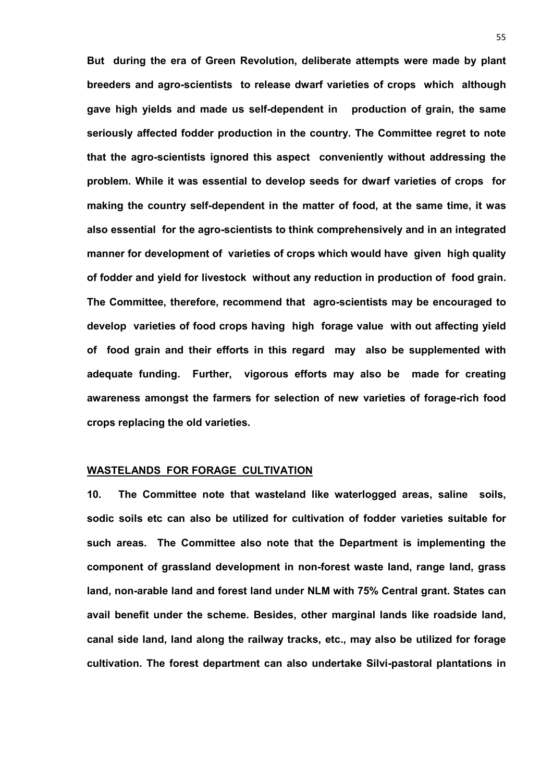**But during the era of Green Revolution, deliberate attempts were made by plant breeders and agro-scientists to release dwarf varieties of crops which although gave high yields and made us self-dependent in production of grain, the same seriously affected fodder production in the country. The Committee regret to note that the agro-scientists ignored this aspect conveniently without addressing the problem. While it was essential to develop seeds for dwarf varieties of crops for making the country self-dependent in the matter of food, at the same time, it was also essential for the agro-scientists to think comprehensively and in an integrated manner for development of varieties of crops which would have given high quality of fodder and yield for livestock without any reduction in production of food grain. The Committee, therefore, recommend that agro-scientists may be encouraged to develop varieties of food crops having high forage value with out affecting yield of food grain and their efforts in this regard may also be supplemented with adequate funding. Further, vigorous efforts may also be made for creating awareness amongst the farmers for selection of new varieties of forage-rich food crops replacing the old varieties.**

#### **WASTELANDS FOR FORAGE CULTIVATION**

**10. The Committee note that wasteland like waterlogged areas, saline soils, sodic soils etc can also be utilized for cultivation of fodder varieties suitable for such areas. The Committee also note that the Department is implementing the component of grassland development in non-forest waste land, range land, grass land, non-arable land and forest land under NLM with 75% Central grant. States can avail benefit under the scheme. Besides, other marginal lands like roadside land, canal side land, land along the railway tracks, etc., may also be utilized for forage cultivation. The forest department can also undertake Silvi-pastoral plantations in**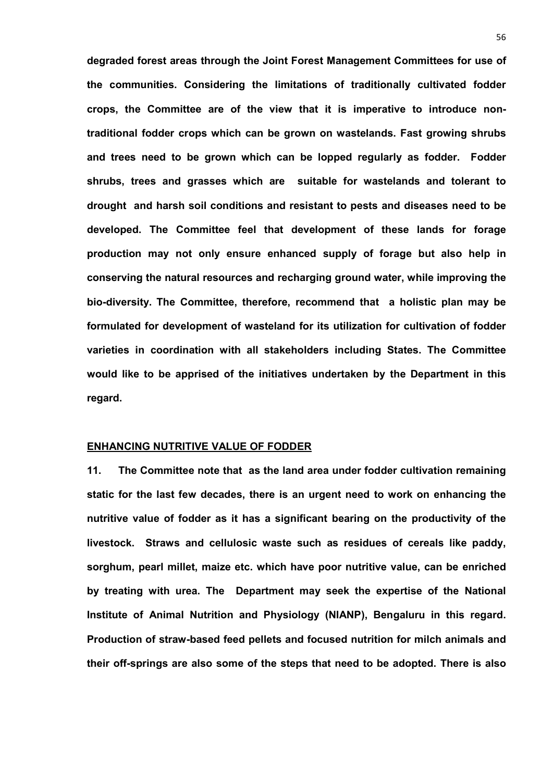**degraded forest areas through the Joint Forest Management Committees for use of the communities. Considering the limitations of traditionally cultivated fodder crops, the Committee are of the view that it is imperative to introduce nontraditional fodder crops which can be grown on wastelands. Fast growing shrubs and trees need to be grown which can be lopped regularly as fodder. Fodder shrubs, trees and grasses which are suitable for wastelands and tolerant to drought and harsh soil conditions and resistant to pests and diseases need to be developed. The Committee feel that development of these lands for forage production may not only ensure enhanced supply of forage but also help in conserving the natural resources and recharging ground water, while improving the bio-diversity. The Committee, therefore, recommend that a holistic plan may be formulated for development of wasteland for its utilization for cultivation of fodder varieties in coordination with all stakeholders including States. The Committee would like to be apprised of the initiatives undertaken by the Department in this regard.**

#### **ENHANCING NUTRITIVE VALUE OF FODDER**

**11. The Committee note that as the land area under fodder cultivation remaining static for the last few decades, there is an urgent need to work on enhancing the nutritive value of fodder as it has a significant bearing on the productivity of the livestock. Straws and cellulosic waste such as residues of cereals like paddy, sorghum, pearl millet, maize etc. which have poor nutritive value, can be enriched by treating with urea. The Department may seek the expertise of the National Institute of Animal Nutrition and Physiology (NIANP), Bengaluru in this regard. Production of straw-based feed pellets and focused nutrition for milch animals and their off-springs are also some of the steps that need to be adopted. There is also**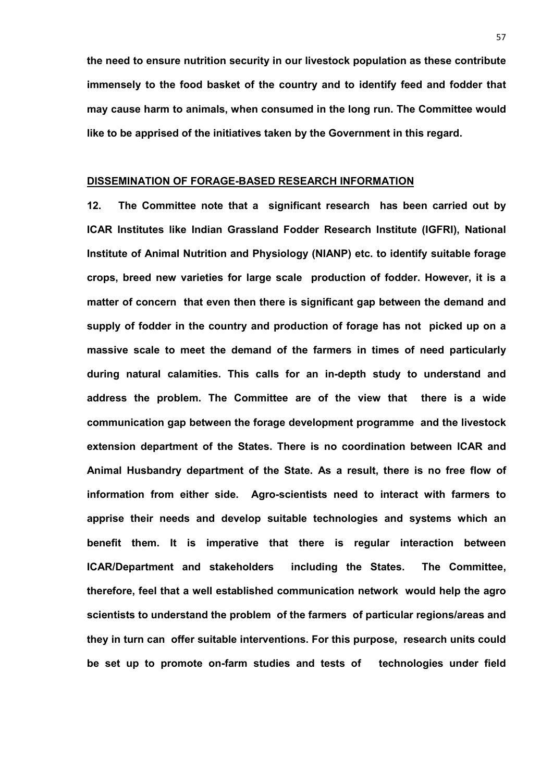**the need to ensure nutrition security in our livestock population as these contribute immensely to the food basket of the country and to identify feed and fodder that may cause harm to animals, when consumed in the long run. The Committee would like to be apprised of the initiatives taken by the Government in this regard.**

#### **DISSEMINATION OF FORAGE-BASED RESEARCH INFORMATION**

**12. The Committee note that a significant research has been carried out by ICAR Institutes like Indian Grassland Fodder Research Institute (IGFRI), National Institute of Animal Nutrition and Physiology (NIANP) etc. to identify suitable forage crops, breed new varieties for large scale production of fodder. However, it is a matter of concern that even then there is significant gap between the demand and supply of fodder in the country and production of forage has not picked up on a massive scale to meet the demand of the farmers in times of need particularly during natural calamities. This calls for an in-depth study to understand and address the problem. The Committee are of the view that there is a wide communication gap between the forage development programme and the livestock extension department of the States. There is no coordination between ICAR and Animal Husbandry department of the State. As a result, there is no free flow of information from either side. Agro-scientists need to interact with farmers to apprise their needs and develop suitable technologies and systems which an benefit them. It is imperative that there is regular interaction between ICAR/Department and stakeholders including the States. The Committee, therefore, feel that a well established communication network would help the agro scientists to understand the problem of the farmers of particular regions/areas and they in turn can offer suitable interventions. For this purpose, research units could be set up to promote on-farm studies and tests of technologies under field**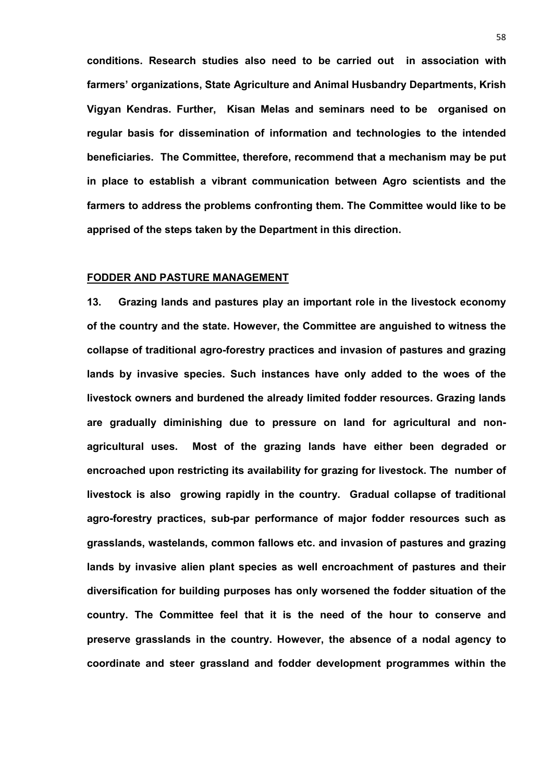**conditions. Research studies also need to be carried out in association with farmers' organizations, State Agriculture and Animal Husbandry Departments, Krish Vigyan Kendras. Further, Kisan Melas and seminars need to be organised on regular basis for dissemination of information and technologies to the intended beneficiaries. The Committee, therefore, recommend that a mechanism may be put in place to establish a vibrant communication between Agro scientists and the farmers to address the problems confronting them. The Committee would like to be apprised of the steps taken by the Department in this direction.**

#### **FODDER AND PASTURE MANAGEMENT**

**13. Grazing lands and pastures play an important role in the livestock economy of the country and the state. However, the Committee are anguished to witness the collapse of traditional agro-forestry practices and invasion of pastures and grazing lands by invasive species. Such instances have only added to the woes of the livestock owners and burdened the already limited fodder resources. Grazing lands are gradually diminishing due to pressure on land for agricultural and nonagricultural uses. Most of the grazing lands have either been degraded or encroached upon restricting its availability for grazing for livestock. The number of livestock is also growing rapidly in the country. Gradual collapse of traditional agro-forestry practices, sub-par performance of major fodder resources such as grasslands, wastelands, common fallows etc. and invasion of pastures and grazing lands by invasive alien plant species as well encroachment of pastures and their diversification for building purposes has only worsened the fodder situation of the country. The Committee feel that it is the need of the hour to conserve and preserve grasslands in the country. However, the absence of a nodal agency to coordinate and steer grassland and fodder development programmes within the**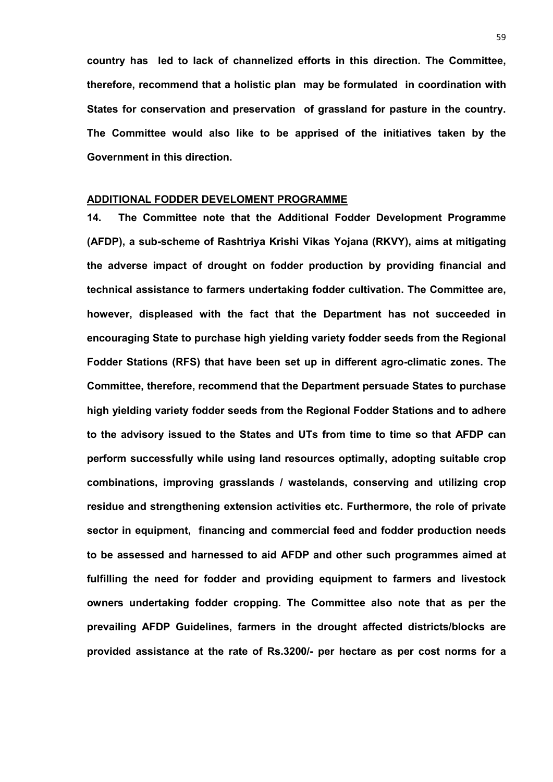**country has led to lack of channelized efforts in this direction. The Committee, therefore, recommend that a holistic plan may be formulated in coordination with States for conservation and preservation of grassland for pasture in the country. The Committee would also like to be apprised of the initiatives taken by the Government in this direction.**

#### **ADDITIONAL FODDER DEVELOMENT PROGRAMME**

**14. The Committee note that the Additional Fodder Development Programme (AFDP), a sub-scheme of Rashtriya Krishi Vikas Yojana (RKVY), aims at mitigating the adverse impact of drought on fodder production by providing financial and technical assistance to farmers undertaking fodder cultivation. The Committee are, however, displeased with the fact that the Department has not succeeded in encouraging State to purchase high yielding variety fodder seeds from the Regional Fodder Stations (RFS) that have been set up in different agro-climatic zones. The Committee, therefore, recommend that the Department persuade States to purchase high yielding variety fodder seeds from the Regional Fodder Stations and to adhere to the advisory issued to the States and UTs from time to time so that AFDP can perform successfully while using land resources optimally, adopting suitable crop combinations, improving grasslands / wastelands, conserving and utilizing crop residue and strengthening extension activities etc. Furthermore, the role of private sector in equipment, financing and commercial feed and fodder production needs to be assessed and harnessed to aid AFDP and other such programmes aimed at fulfilling the need for fodder and providing equipment to farmers and livestock owners undertaking fodder cropping. The Committee also note that as per the prevailing AFDP Guidelines, farmers in the drought affected districts/blocks are provided assistance at the rate of Rs.3200/- per hectare as per cost norms for a**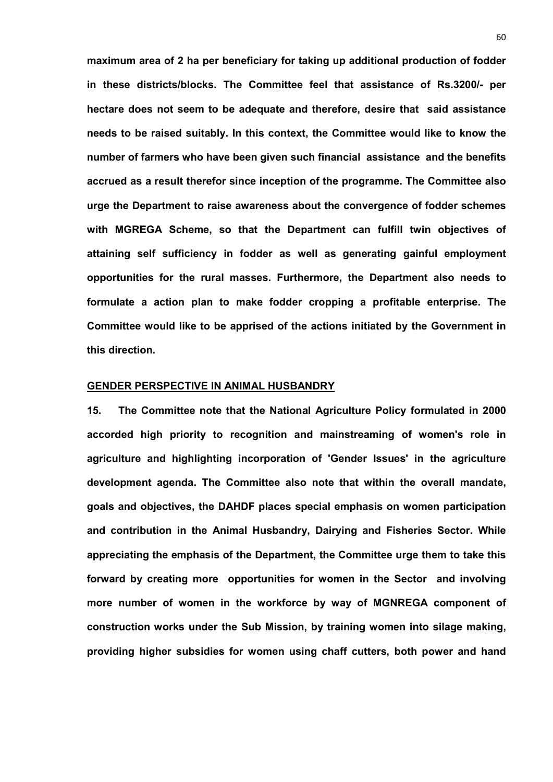**maximum area of 2 ha per beneficiary for taking up additional production of fodder in these districts/blocks. The Committee feel that assistance of Rs.3200/- per hectare does not seem to be adequate and therefore, desire that said assistance needs to be raised suitably. In this context, the Committee would like to know the number of farmers who have been given such financial assistance and the benefits accrued as a result therefor since inception of the programme. The Committee also urge the Department to raise awareness about the convergence of fodder schemes with MGREGA Scheme, so that the Department can fulfill twin objectives of attaining self sufficiency in fodder as well as generating gainful employment opportunities for the rural masses. Furthermore, the Department also needs to formulate a action plan to make fodder cropping a profitable enterprise. The Committee would like to be apprised of the actions initiated by the Government in this direction.**

#### **GENDER PERSPECTIVE IN ANIMAL HUSBANDRY**

**15. The Committee note that the National Agriculture Policy formulated in 2000 accorded high priority to recognition and mainstreaming of women's role in agriculture and highlighting incorporation of 'Gender Issues' in the agriculture development agenda. The Committee also note that within the overall mandate, goals and objectives, the DAHDF places special emphasis on women participation and contribution in the Animal Husbandry, Dairying and Fisheries Sector. While appreciating the emphasis of the Department, the Committee urge them to take this forward by creating more opportunities for women in the Sector and involving more number of women in the workforce by way of MGNREGA component of construction works under the Sub Mission, by training women into silage making, providing higher subsidies for women using chaff cutters, both power and hand**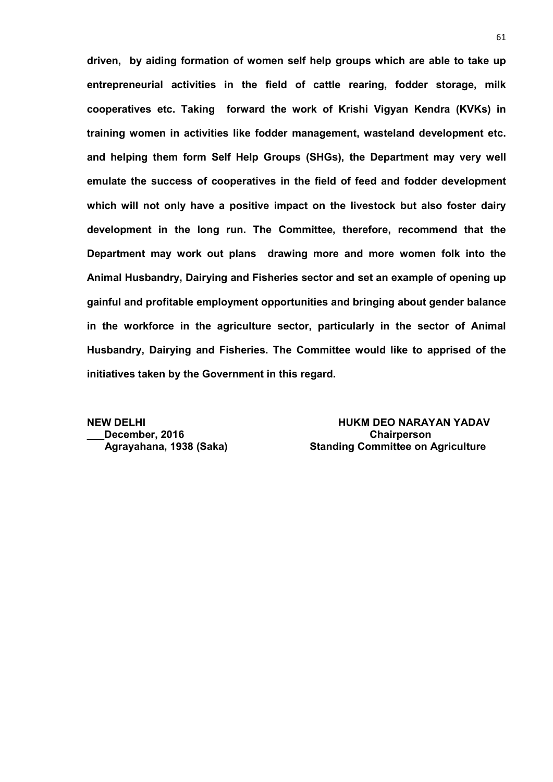**driven, by aiding formation of women self help groups which are able to take up entrepreneurial activities in the field of cattle rearing, fodder storage, milk cooperatives etc. Taking forward the work of Krishi Vigyan Kendra (KVKs) in training women in activities like fodder management, wasteland development etc. and helping them form Self Help Groups (SHGs), the Department may very well emulate the success of cooperatives in the field of feed and fodder development which will not only have a positive impact on the livestock but also foster dairy development in the long run. The Committee, therefore, recommend that the Department may work out plans drawing more and more women folk into the Animal Husbandry, Dairying and Fisheries sector and set an example of opening up gainful and profitable employment opportunities and bringing about gender balance in the workforce in the agriculture sector, particularly in the sector of Animal Husbandry, Dairying and Fisheries. The Committee would like to apprised of the initiatives taken by the Government in this regard.**

**\_\_\_December, 2016 Chairperson**

**NEW DELHI HUKM DEO NARAYAN YADAV Agrayahana, 1938 (Saka) Standing Committee on Agriculture**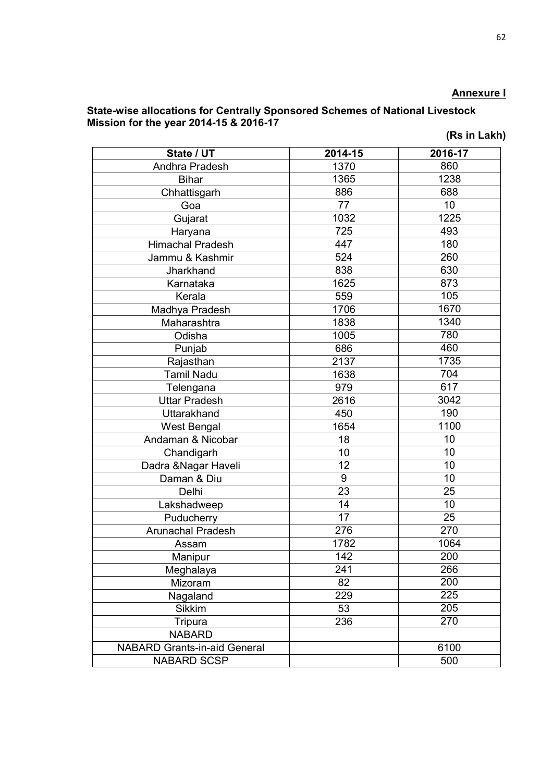## **Annexure I**

#### **State-wise allocations for Centrally Sponsored Schemes of National Livestock Mission for the year 2014-15 & 2016-17**

|  | (Rs in Lakh) |
|--|--------------|
|--|--------------|

| State / UT                          | 2014-15 | 2016-17 |
|-------------------------------------|---------|---------|
| Andhra Pradesh                      | 1370    | 860     |
| <b>Bihar</b>                        | 1365    | 1238    |
| Chhattisgarh                        | 886     | 688     |
| Goa                                 | 77      | 10      |
| Gujarat                             | 1032    | 1225    |
| Haryana                             | 725     | 493     |
| <b>Himachal Pradesh</b>             | 447     | 180     |
| Jammu & Kashmir                     | 524     | 260     |
| Jharkhand                           | 838     | 630     |
| Karnataka                           | 1625    | 873     |
| Kerala                              | 559     | 105     |
| Madhya Pradesh                      | 1706    | 1670    |
| Maharashtra                         | 1838    | 1340    |
| Odisha                              | 1005    | 780     |
| Punjab                              | 686     | 460     |
| Rajasthan                           | 2137    | 1735    |
| <b>Tamil Nadu</b>                   | 1638    | 704     |
| Telengana                           | 979     | 617     |
| <b>Uttar Pradesh</b>                | 2616    | 3042    |
| Uttarakhand                         | 450     | 190     |
| West Bengal                         | 1654    | 1100    |
| Andaman & Nicobar                   | 18      | 10      |
| Chandigarh                          | 10      | 10      |
| Dadra & Nagar Haveli                | 12      | 10      |
| Daman & Diu                         | 9       | 10      |
| Delhi                               | 23      | 25      |
| Lakshadweep                         | 14      | 10      |
| Puducherry                          | 17      | 25      |
| Arunachal Pradesh                   | 276     | 270     |
| Assam                               | 1782    | 1064    |
| <b>Manipur</b>                      | 142     | 200     |
| Meghalaya                           | 241     | 266     |
| Mizoram                             | 82      | 200     |
| Nagaland                            | 229     | 225     |
| Sikkim                              | 53      | 205     |
| Tripura                             | 236     | 270     |
| <b>NABARD</b>                       |         |         |
| <b>NABARD Grants-in-aid General</b> |         | 6100    |
| <b>NABARD SCSP</b>                  |         | 500     |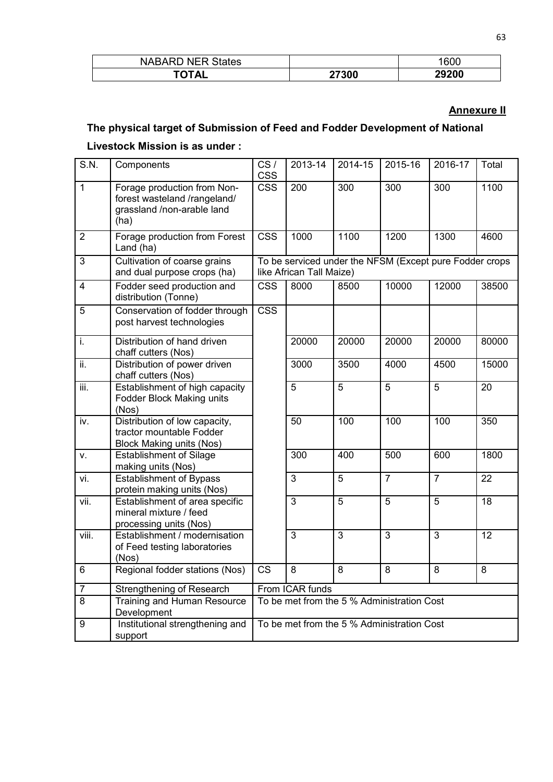| <b>NABARD NER States</b> |       | 1600  |
|--------------------------|-------|-------|
| ומדרו                    | 27300 | 29200 |

## **Annexure II**

# **The physical target of Submission of Feed and Fodder Development of National Livestock Mission is as under :**

| S.N.           | Components                                                                                        | CS/<br><b>CSS</b>       | 2013-14                  | 2014-15        | 2015-16                                    | 2016-17                                                 | Total           |  |
|----------------|---------------------------------------------------------------------------------------------------|-------------------------|--------------------------|----------------|--------------------------------------------|---------------------------------------------------------|-----------------|--|
| $\mathbf{1}$   | Forage production from Non-<br>forest wasteland /rangeland/<br>grassland /non-arable land<br>(ha) | $\overline{\text{CSS}}$ | 200                      | 300            | 300                                        | 300                                                     | 1100            |  |
| $\overline{2}$ | Forage production from Forest<br>Land (ha)                                                        | $\overline{\text{CSS}}$ | 1000                     | 1100           | 1200                                       | 1300                                                    | 4600            |  |
| $\overline{3}$ | Cultivation of coarse grains<br>and dual purpose crops (ha)                                       |                         | like African Tall Maize) |                |                                            | To be serviced under the NFSM (Except pure Fodder crops |                 |  |
| $\overline{4}$ | Fodder seed production and<br>distribution (Tonne)                                                | <b>CSS</b>              | 8000                     | 8500           | 10000                                      | 12000                                                   | 38500           |  |
| 5              | Conservation of fodder through<br>post harvest technologies                                       | $\overline{\text{CSS}}$ |                          |                |                                            |                                                         |                 |  |
| i.             | Distribution of hand driven<br>chaff cutters (Nos)                                                |                         | 20000                    | 20000          | 20000                                      | 20000                                                   | 80000           |  |
| ii.            | Distribution of power driven<br>chaff cutters (Nos)                                               |                         | 3000                     | 3500           | 4000                                       | 4500                                                    | 15000           |  |
| iii.           | Establishment of high capacity<br><b>Fodder Block Making units</b><br>(Nos)                       |                         | $\overline{5}$           | $\overline{5}$ | $\overline{5}$                             | $\overline{5}$                                          | $\overline{20}$ |  |
| iv.            | Distribution of low capacity,<br>tractor mountable Fodder<br><b>Block Making units (Nos)</b>      |                         | 50                       | 100            | 100                                        | 100                                                     | 350             |  |
| v.             | <b>Establishment of Silage</b><br>making units (Nos)                                              |                         | 300                      | 400            | 500                                        | 600                                                     | 1800            |  |
| vi.            | <b>Establishment of Bypass</b><br>protein making units (Nos)                                      |                         | 3                        | 5              | $\overline{7}$                             | $\overline{7}$                                          | 22              |  |
| vii.           | Establishment of area specific<br>mineral mixture / feed<br>processing units (Nos)                |                         | $\overline{3}$           | 5              | 5                                          | $\overline{5}$                                          | $\overline{18}$ |  |
| viii.          | Establishment / modernisation<br>of Feed testing laboratories<br>(Nos)                            |                         | 3                        | 3              | 3                                          | 3                                                       | $\overline{12}$ |  |
| 6              | Regional fodder stations (Nos)                                                                    | $\overline{\text{CS}}$  | $\overline{8}$           | $\overline{8}$ | $\overline{8}$                             | $\overline{8}$                                          | $\overline{8}$  |  |
| $\overline{7}$ | <b>Strengthening of Research</b>                                                                  | From ICAR funds         |                          |                |                                            |                                                         |                 |  |
| 8              | Training and Human Resource<br>Development                                                        |                         |                          |                | To be met from the 5 % Administration Cost |                                                         |                 |  |
| 9              | Institutional strengthening and<br>support                                                        |                         |                          |                | To be met from the 5 % Administration Cost |                                                         |                 |  |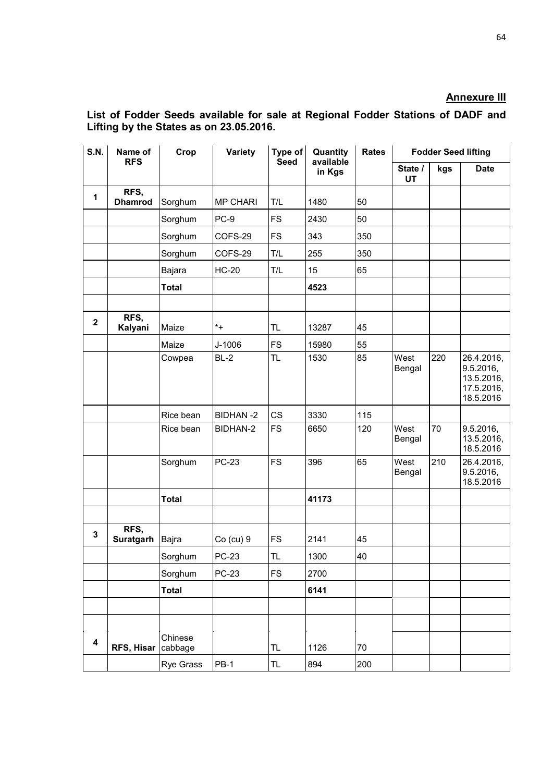## **Annexure III**

| S.N.         | Name of                | Crop               | Variety         | Type of     | Quantity            | <b>Rates</b> | <b>Fodder Seed lifting</b> |     |                                                                  |
|--------------|------------------------|--------------------|-----------------|-------------|---------------------|--------------|----------------------------|-----|------------------------------------------------------------------|
|              | <b>RFS</b>             |                    |                 | <b>Seed</b> | available<br>in Kgs |              | State /<br>UT              | kgs | <b>Date</b>                                                      |
| 1            | RFS,<br><b>Dhamrod</b> | Sorghum            | <b>MP CHARI</b> | T/L         | 1480                | 50           |                            |     |                                                                  |
|              |                        | Sorghum            | PC-9            | <b>FS</b>   | 2430                | 50           |                            |     |                                                                  |
|              |                        | Sorghum            | COFS-29         | <b>FS</b>   | 343                 | 350          |                            |     |                                                                  |
|              |                        | Sorghum            | COFS-29         | T/L         | 255                 | 350          |                            |     |                                                                  |
|              |                        | Bajara             | <b>HC-20</b>    | T/L         | 15                  | 65           |                            |     |                                                                  |
|              |                        | <b>Total</b>       |                 |             | 4523                |              |                            |     |                                                                  |
|              |                        |                    |                 |             |                     |              |                            |     |                                                                  |
| $\mathbf{2}$ | RFS,<br>Kalyani        | Maize              | $^*+$           | TL          | 13287               | 45           |                            |     |                                                                  |
|              |                        | Maize              | J-1006          | <b>FS</b>   | 15980               | 55           |                            |     |                                                                  |
|              |                        | Cowpea             | $BL-2$          | TL          | 1530                | 85           | West<br>Bengal             | 220 | 26.4.2016,<br>9.5.2016,<br>13.5.2016,<br>17.5.2016,<br>18.5.2016 |
|              |                        | Rice bean          | <b>BIDHAN-2</b> | <b>CS</b>   | 3330                | 115          |                            |     |                                                                  |
|              |                        | Rice bean          | BIDHAN-2        | <b>FS</b>   | 6650                | 120          | West<br>Bengal             | 70  | 9.5.2016,<br>13.5.2016,<br>18.5.2016                             |
|              |                        | Sorghum            | <b>PC-23</b>    | <b>FS</b>   | 396                 | 65           | West<br>Bengal             | 210 | 26.4.2016,<br>9.5.2016,<br>18.5.2016                             |
|              |                        | <b>Total</b>       |                 |             | 41173               |              |                            |     |                                                                  |
|              |                        |                    |                 |             |                     |              |                            |     |                                                                  |
| 3            | RFS,<br>Suratgarh      | Bajra              | $Co$ (cu) $9$   | <b>FS</b>   | 2141                | 45           |                            |     |                                                                  |
|              |                        | Sorghum            | <b>PC-23</b>    | <b>TL</b>   | 1300                | 40           |                            |     |                                                                  |
|              |                        | Sorghum            | PC-23           | <b>FS</b>   | 2700                |              |                            |     |                                                                  |
|              |                        | <b>Total</b>       |                 |             | 6141                |              |                            |     |                                                                  |
|              |                        |                    |                 |             |                     |              |                            |     |                                                                  |
|              |                        |                    |                 |             |                     |              |                            |     |                                                                  |
| 4            | RFS, Hisar             | Chinese<br>cabbage |                 | TL          | 1126                | 70           |                            |     |                                                                  |
|              |                        | Rye Grass          | PB-1            | <b>TL</b>   | 894                 | 200          |                            |     |                                                                  |

## **List of Fodder Seeds available for sale at Regional Fodder Stations of DADF and Lifting by the States as on 23.05.2016.**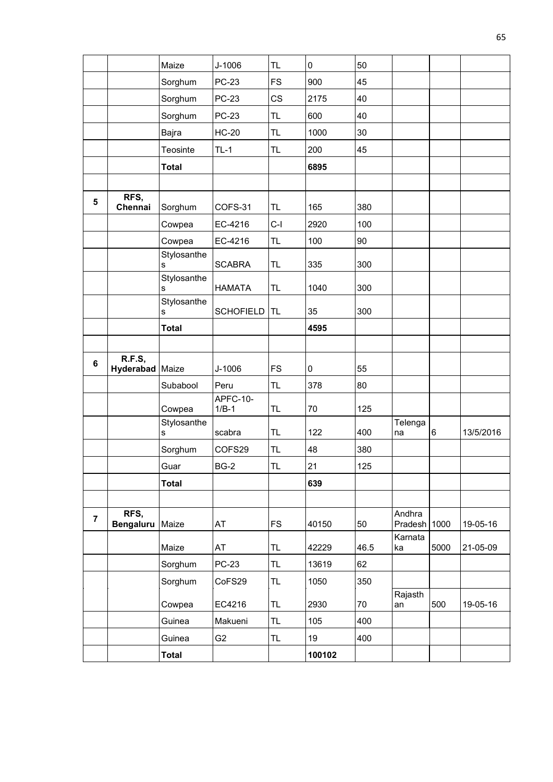|                         |                                  | Maize                      | J-1006              | <b>TL</b> | $\pmb{0}$ | 50   |                   |       |           |
|-------------------------|----------------------------------|----------------------------|---------------------|-----------|-----------|------|-------------------|-------|-----------|
|                         |                                  | Sorghum                    | <b>PC-23</b>        | <b>FS</b> | 900       | 45   |                   |       |           |
|                         |                                  | Sorghum                    | <b>PC-23</b>        | <b>CS</b> | 2175      | 40   |                   |       |           |
|                         |                                  | Sorghum                    | <b>PC-23</b>        | TL        | 600       | 40   |                   |       |           |
|                         |                                  | Bajra                      | <b>HC-20</b>        | <b>TL</b> | 1000      | 30   |                   |       |           |
|                         |                                  | <b>Teosinte</b>            | $TL-1$              | <b>TL</b> | 200       | 45   |                   |       |           |
|                         |                                  | <b>Total</b>               |                     |           | 6895      |      |                   |       |           |
|                         |                                  |                            |                     |           |           |      |                   |       |           |
| $\overline{\mathbf{5}}$ | RFS,<br>Chennai                  | Sorghum                    | COFS-31             | TL        | 165       | 380  |                   |       |           |
|                         |                                  | Cowpea                     | EC-4216             | $C-I$     | 2920      | 100  |                   |       |           |
|                         |                                  | Cowpea                     | EC-4216             | TL        | 100       | 90   |                   |       |           |
|                         |                                  | Stylosanthe<br>$\mathbf s$ | <b>SCABRA</b>       | <b>TL</b> | 335       | 300  |                   |       |           |
|                         |                                  | Stylosanthe<br>s           | <b>HAMATA</b>       | TL        | 1040      | 300  |                   |       |           |
|                         |                                  | Stylosanthe<br>$\mathbb S$ | <b>SCHOFIELD</b>    | TL        | 35        | 300  |                   |       |           |
|                         |                                  | <b>Total</b>               |                     |           | 4595      |      |                   |       |           |
|                         |                                  |                            |                     |           |           |      |                   |       |           |
| 6                       | <b>R.F.S.</b><br>Hyderabad Maize |                            | J-1006              | <b>FS</b> | 0         | 55   |                   |       |           |
|                         |                                  | Subabool                   | Peru                | TL        | 378       | 80   |                   |       |           |
|                         |                                  | Cowpea                     | APFC-10-<br>$1/B-1$ | TL        | 70        | 125  |                   |       |           |
|                         |                                  | Stylosanthe<br>$\mathbf s$ | scabra              | TL        | 122       | 400  | Telenga<br>na     | $\,6$ | 13/5/2016 |
|                         |                                  | Sorghum                    | COFS29              | <b>TL</b> | 48        | 380  |                   |       |           |
|                         |                                  | Guar                       | $BG-2$              | <b>TL</b> | 21        | 125  |                   |       |           |
|                         |                                  | <b>Total</b>               |                     |           | 639       |      |                   |       |           |
|                         |                                  |                            |                     |           |           |      |                   |       |           |
| $\overline{7}$          | RFS,<br><b>Bengaluru</b>         | Maize                      | AT                  | <b>FS</b> | 40150     | 50   | Andhra<br>Pradesh | 1000  | 19-05-16  |
|                         |                                  | Maize                      | AT                  | <b>TL</b> | 42229     | 46.5 | Karnata<br>ka     | 5000  | 21-05-09  |
|                         |                                  | Sorghum                    | <b>PC-23</b>        | <b>TL</b> | 13619     | 62   |                   |       |           |
|                         |                                  | Sorghum                    | CoFS29              | TL        | 1050      | 350  |                   |       |           |
|                         |                                  | Cowpea                     | EC4216              | <b>TL</b> | 2930      | 70   | Rajasth<br>an     | 500   | 19-05-16  |
|                         |                                  | Guinea                     | Makueni             | TL        | 105       | 400  |                   |       |           |
|                         |                                  | Guinea                     | G2                  | TL        | 19        | 400  |                   |       |           |
|                         |                                  | <b>Total</b>               |                     |           | 100102    |      |                   |       |           |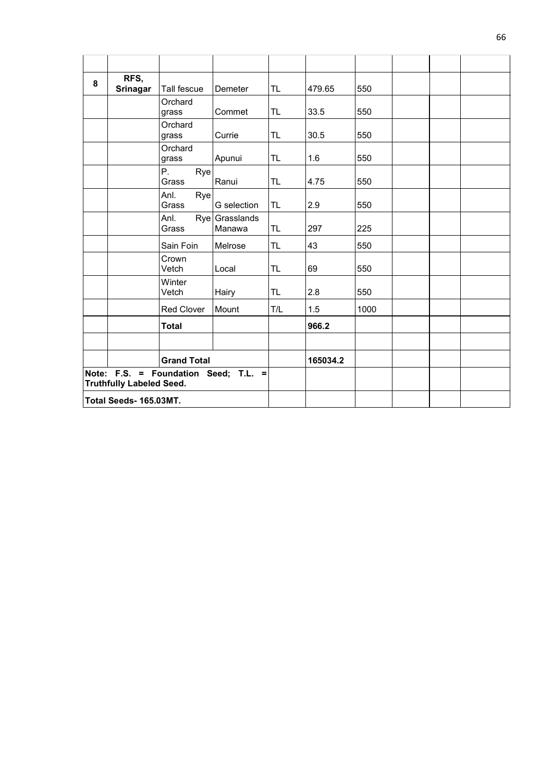| 8 | RFS,<br><b>Srinagar</b>         | Tall fescue           | Demeter                              | TL.       | 479.65   | 550  |  |  |
|---|---------------------------------|-----------------------|--------------------------------------|-----------|----------|------|--|--|
|   |                                 | Orchard<br>grass      | Commet                               | TL.       | 33.5     | 550  |  |  |
|   |                                 | Orchard<br>grass      | Currie                               | <b>TL</b> | 30.5     | 550  |  |  |
|   |                                 | Orchard<br>grass      | Apunui                               | TL        | 1.6      | 550  |  |  |
|   |                                 | Ρ.<br>Rye<br>Grass    | Ranui                                | <b>TL</b> | 4.75     | 550  |  |  |
|   |                                 | Ryel<br>Anl.<br>Grass | G selection                          | <b>TL</b> | 2.9      | 550  |  |  |
|   |                                 | Anl.<br>Grass         | Rye Grasslands<br>Manawa             | <b>TL</b> | 297      | 225  |  |  |
|   |                                 | Sain Foin             | Melrose                              | <b>TL</b> | 43       | 550  |  |  |
|   |                                 | Crown<br>Vetch        | Local                                | TL        | 69       | 550  |  |  |
|   |                                 | Winter<br>Vetch       | Hairy                                | TL.       | 2.8      | 550  |  |  |
|   |                                 | Red Clover            | Mount                                | T/L       | 1.5      | 1000 |  |  |
|   |                                 | <b>Total</b>          |                                      |           | 966.2    |      |  |  |
|   |                                 |                       |                                      |           |          |      |  |  |
|   |                                 | <b>Grand Total</b>    |                                      |           | 165034.2 |      |  |  |
|   | <b>Truthfully Labeled Seed.</b> |                       | Note: F.S. = Foundation Seed; T.L. = |           |          |      |  |  |
|   | Total Seeds- 165.03MT.          |                       |                                      |           |          |      |  |  |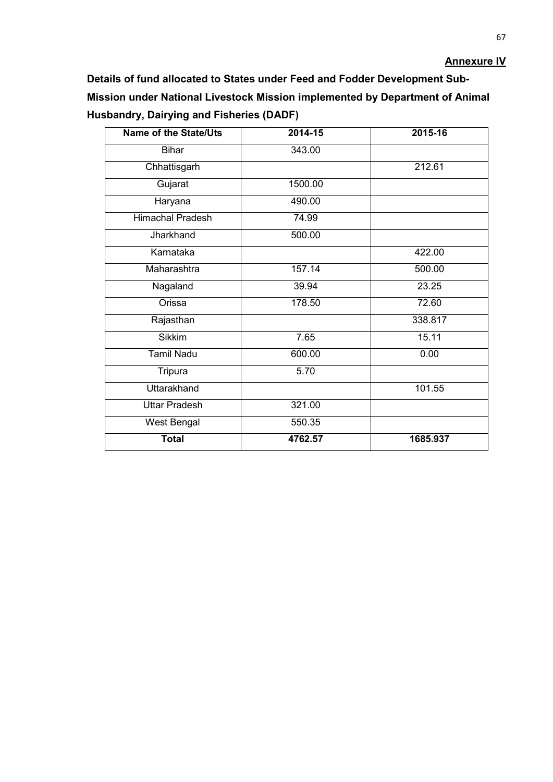**Details of fund allocated to States under Feed and Fodder Development Sub-Mission under National Livestock Mission implemented by Department of Animal Husbandry, Dairying and Fisheries (DADF)**

| <b>Name of the State/Uts</b> | 2014-15 | 2015-16  |
|------------------------------|---------|----------|
| <b>Bihar</b>                 | 343.00  |          |
| Chhattisgarh                 |         | 212.61   |
| Gujarat                      | 1500.00 |          |
| Haryana                      | 490.00  |          |
| Himachal Pradesh             | 74.99   |          |
| Jharkhand                    | 500.00  |          |
| Karnataka                    |         | 422.00   |
| Maharashtra                  | 157.14  | 500.00   |
| Nagaland                     | 39.94   | 23.25    |
| Orissa                       | 178.50  | 72.60    |
| Rajasthan                    |         | 338.817  |
| <b>Sikkim</b>                | 7.65    | 15.11    |
| <b>Tamil Nadu</b>            | 600.00  | 0.00     |
| Tripura                      | 5.70    |          |
| <b>Uttarakhand</b>           |         | 101.55   |
| <b>Uttar Pradesh</b>         | 321.00  |          |
| West Bengal                  | 550.35  |          |
| <b>Total</b>                 | 4762.57 | 1685.937 |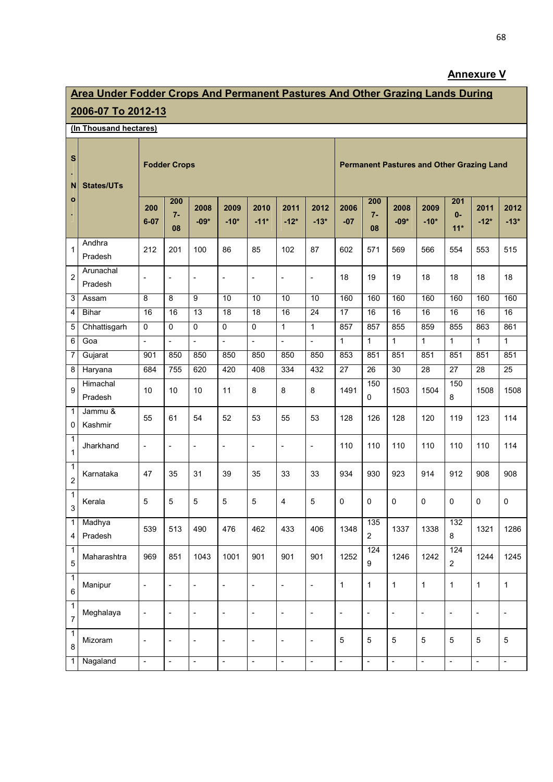# **Annexure V**

# **Area Under Fodder Crops And Permanent Pastures And Other Grazing Lands During**

# **2006-07 To 2012-13**

**(In Thousand hectares)**

|                                | <u>1 Thousand Hostersol</u> |                          |                          |                          |                 |                          |                          |                          |                                                  |                   |                          |                |                          |                |                          |
|--------------------------------|-----------------------------|--------------------------|--------------------------|--------------------------|-----------------|--------------------------|--------------------------|--------------------------|--------------------------------------------------|-------------------|--------------------------|----------------|--------------------------|----------------|--------------------------|
| ${\bf S}$<br>N                 | <b>States/UTs</b>           | <b>Fodder Crops</b>      |                          |                          |                 |                          |                          |                          | <b>Permanent Pastures and Other Grazing Land</b> |                   |                          |                |                          |                |                          |
| $\mathbf{o}$                   |                             | 200<br>$6 - 07$          | 200<br>$7-$<br>08        | 2008<br>$-09*$           | 2009<br>$-10*$  | 2010<br>$-11*$           | 2011<br>$-12*$           | 2012<br>$-13*$           | 2006<br>$-07$                                    | 200<br>$7-$<br>08 | 2008<br>$-09*$           | 2009<br>$-10*$ | 201<br>$0 -$<br>$11*$    | 2011<br>$-12*$ | 2012<br>$-13*$           |
| 1                              | Andhra<br>Pradesh           | 212                      | 201                      | 100                      | 86              | 85                       | 102                      | 87                       | 602                                              | 571               | 569                      | 566            | 554                      | 553            | 515                      |
| 2                              | Arunachal<br>Pradesh        | $\overline{\phantom{a}}$ | $\overline{\phantom{a}}$ | $\blacksquare$           | $\overline{a}$  | $\overline{a}$           | $\overline{\phantom{a}}$ | $\overline{\phantom{a}}$ | 18                                               | 19                | 19                       | 18             | 18                       | 18             | 18                       |
| 3                              | Assam                       | 8                        | 8                        | 9                        | 10              | 10                       | 10                       | 10                       | 160                                              | 160               | 160                      | 160            | 160                      | 160            | 160                      |
| 4                              | <b>Bihar</b>                | 16                       | 16                       | $\overline{13}$          | $\overline{18}$ | $\overline{18}$          | 16                       | $\overline{24}$          | 17                                               | 16                | 16                       | 16             | 16                       | 16             | 16                       |
| 5                              | Chhattisgarh                | 0                        | 0                        | $\mathbf 0$              | $\pmb{0}$       | 0                        | $\mathbf{1}$             | $\mathbf{1}$             | 857                                              | 857               | 855                      | 859            | 855                      | 863            | 861                      |
| 6                              | Goa                         | $\mathbf{r}$             | $\mathbb{L}$             | $\mathbf{L}$             | $\frac{1}{2}$   | $\Box$                   | $\overline{a}$           | $\overline{a}$           | $\mathbf{1}$                                     | 1                 | $\mathbf{1}$             | $\overline{1}$ | $\mathbf{1}$             | $\overline{1}$ | $\overline{1}$           |
| 7                              | Gujarat                     | 901                      | 850                      | 850                      | 850             | 850                      | 850                      | 850                      | 853                                              | 851               | 851                      | 851            | 851                      | 851            | 851                      |
| 8                              | Haryana                     | 684                      | 755                      | 620                      | 420             | 408                      | 334                      | 432                      | $\overline{27}$                                  | $\overline{26}$   | $\overline{30}$          | 28             | 27                       | 28             | $\overline{25}$          |
| 9                              | Himachal<br>Pradesh         | 10                       | 10                       | 10                       | 11              | 8                        | 8                        | 8                        | 1491                                             | 150<br>0          | 1503                     | 1504           | 150<br>8                 | 1508           | 1508                     |
| 1<br>0                         | Jammu &<br>Kashmir          | 55                       | 61                       | 54                       | 52              | 53                       | 55                       | 53                       | 128                                              | 126               | 128                      | 120            | 119                      | 123            | 114                      |
| $\mathbf{1}$<br>1              | Jharkhand                   | $\frac{1}{2}$            | $\overline{\phantom{a}}$ | $\blacksquare$           | $\overline{a}$  | $\overline{\phantom{a}}$ | $\overline{\phantom{a}}$ | $\overline{\phantom{a}}$ | 110                                              | 110               | 110                      | 110            | 110                      | 110            | 114                      |
| $\mathbf{1}$<br>2              | Karnataka                   | 47                       | 35                       | 31                       | 39              | 35                       | 33                       | 33                       | 934                                              | 930               | 923                      | 914            | 912                      | 908            | 908                      |
| $\mathbf{1}$<br>3              | Kerala                      | 5                        | 5                        | 5                        | 5               | 5                        | $\overline{4}$           | 5                        | $\mathbf 0$                                      | 0                 | 0                        | $\pmb{0}$      | $\pmb{0}$                | $\mathbf 0$    | 0                        |
| 1<br>4                         | Madhya<br>Pradesh           | 539                      | 513                      | 490                      | 476             | 462                      | 433                      | 406                      | 1348                                             | 135<br>2          | 1337                     | 1338           | 132<br>8                 | 1321           | 1286                     |
| 1<br>5                         | Maharashtra                 | 969                      | 851                      | 1043                     | 1001            | 901                      | 901                      | 901                      | 1252                                             | 124<br>9          | 1246                     | 1242           | 124<br>$\overline{c}$    | 1244           | 1245                     |
| $\mathbf{1}$<br>6              | Manipur                     | $\blacksquare$           | $\overline{\phantom{a}}$ | $\overline{\phantom{a}}$ | $\frac{1}{2}$   | $\blacksquare$           | $\blacksquare$           | $\blacksquare$           | 1                                                | 1                 | 1                        | 1              | 1                        | $\mathbf{1}$   | 1                        |
| $\mathbf{1}$<br>$\overline{7}$ | Meghalaya                   | $\blacksquare$           | $\overline{\phantom{a}}$ | $\overline{\phantom{a}}$ | $\blacksquare$  | $\blacksquare$           | $\blacksquare$           | $\blacksquare$           | $\blacksquare$                                   | $\blacksquare$    | $\overline{\phantom{m}}$ | $\blacksquare$ | $\blacksquare$           | $\blacksquare$ | $\overline{\phantom{a}}$ |
| $\mathbf{1}$<br>8              | Mizoram                     | $\overline{a}$           | $\overline{\phantom{a}}$ | $\overline{\phantom{a}}$ | $\frac{1}{2}$   | $\frac{1}{2}$            | $\blacksquare$           | $\blacksquare$           | 5                                                | 5                 | 5                        | 5              | 5                        | 5              | 5                        |
| 1                              | Nagaland                    | $\overline{\phantom{a}}$ | $\overline{\phantom{a}}$ | $\blacksquare$           | $\Box$          | $\Box$                   | $\overline{\phantom{a}}$ | $\overline{\phantom{a}}$ | $\Box$                                           | $\blacksquare$    | $\blacksquare$           | $\Box$         | $\overline{\phantom{a}}$ | $\Box$         | $\Box$                   |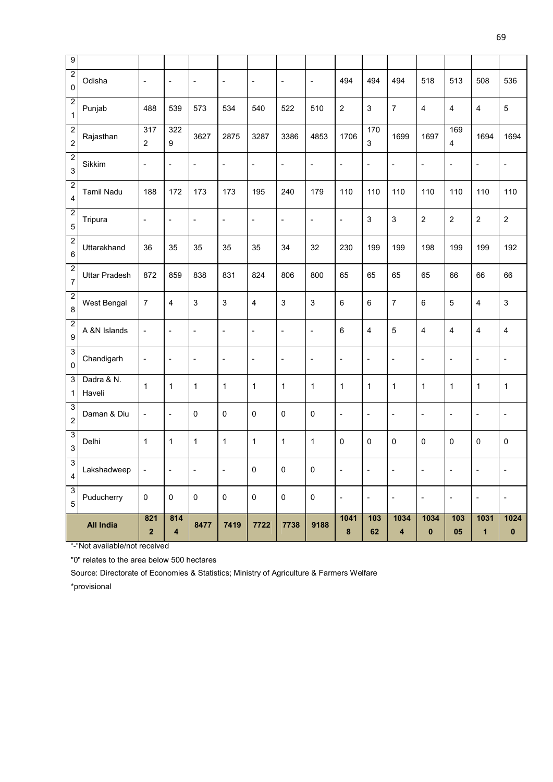| $\overline{9}$                                |                      |                                    |                                |                          |                          |                          |                          |                           |                              |                              |                                 |                          |                |                          |                          |
|-----------------------------------------------|----------------------|------------------------------------|--------------------------------|--------------------------|--------------------------|--------------------------|--------------------------|---------------------------|------------------------------|------------------------------|---------------------------------|--------------------------|----------------|--------------------------|--------------------------|
| $\overline{2}$<br>$\pmb{0}$                   | Odisha               | $\overline{\phantom{a}}$           | -                              | $\overline{\phantom{a}}$ | $\overline{\phantom{a}}$ | $\overline{\phantom{a}}$ | $\overline{\phantom{a}}$ | $\overline{\phantom{a}}$  | 494                          | 494                          | 494                             | 518                      | 513            | 508                      | 536                      |
| $\boldsymbol{2}$<br>$\mathbf{1}$              | Punjab               | 488                                | 539                            | 573                      | 534                      | 540                      | 522                      | 510                       | $\overline{2}$               | 3                            | $\overline{7}$                  | $\overline{4}$           | $\overline{4}$ | $\overline{4}$           | $\mathbf 5$              |
| $\overline{2}$<br>$\mathbf 2$                 | Rajasthan            | $\overline{317}$<br>$\overline{2}$ | 322<br>$\boldsymbol{9}$        | 3627                     | 2875                     | 3287                     | 3386                     | 4853                      | 1706                         | 170<br>3                     | 1699                            | 1697                     | 169<br>4       | 1694                     | 1694                     |
| $\overline{2}$<br>$\mathsf 3$                 | Sikkim               | $\overline{\phantom{a}}$           | $\overline{\phantom{0}}$       | $\overline{\phantom{a}}$ | $\overline{\phantom{a}}$ | $\overline{\phantom{a}}$ | $\overline{\phantom{a}}$ | $\overline{\phantom{a}}$  | $\qquad \qquad \blacksquare$ | $\qquad \qquad \blacksquare$ | $\frac{1}{2}$                   | $\overline{\phantom{a}}$ | $\Box$         | $\overline{\phantom{a}}$ | $\blacksquare$           |
| $\overline{2}$<br>$\overline{4}$              | Tamil Nadu           | 188                                | 172                            | 173                      | 173                      | 195                      | 240                      | 179                       | 110                          | 110                          | 110                             | 110                      | 110            | 110                      | 110                      |
| $\overline{2}$<br>$\mathbf 5$                 | Tripura              | $\blacksquare$                     | $\overline{\phantom{0}}$       | $\blacksquare$           | $\blacksquare$           | $\blacksquare$           | $\blacksquare$           | $\overline{\phantom{a}}$  | $\overline{a}$               | 3                            | 3                               | $\overline{2}$           | $\overline{2}$ | $\sqrt{2}$               | $\mathbf 2$              |
| $\overline{2}$<br>$\,6\,$                     | Uttarakhand          | 36                                 | 35                             | 35                       | 35                       | 35                       | 34                       | 32                        | 230                          | 199                          | 199                             | 198                      | 199            | 199                      | 192                      |
| $\boldsymbol{2}$<br>$\overline{\mathbf{7}}$   | <b>Uttar Pradesh</b> | 872                                | 859                            | 838                      | 831                      | 824                      | 806                      | 800                       | 65                           | 65                           | 65                              | 65                       | 66             | 66                       | 66                       |
| $\overline{2}$<br>$\bf 8$                     | West Bengal          | $\overline{7}$                     | 4                              | 3                        | $\mathbf{3}$             | $\overline{4}$           | $\mathsf 3$              | $\ensuremath{\mathsf{3}}$ | $\,6$                        | 6                            | $\overline{7}$                  | $\,6\,$                  | 5              | $\overline{4}$           | $\mathsf 3$              |
| $\boldsymbol{2}$<br>$\boldsymbol{9}$          | A &N Islands         | $\blacksquare$                     | $\overline{\phantom{0}}$       | $\overline{\phantom{a}}$ | $\blacksquare$           | $\blacksquare$           | $\blacksquare$           | $\blacksquare$            | 6                            | 4                            | 5                               | 4                        | $\overline{4}$ | $\overline{4}$           | $\overline{\mathbf{4}}$  |
| $\overline{3}$<br>$\pmb{0}$                   | Chandigarh           | $\blacksquare$                     | $\overline{\phantom{0}}$       | $\overline{\phantom{a}}$ | $\blacksquare$           | $\blacksquare$           | $\blacksquare$           | $\overline{\phantom{a}}$  | $\blacksquare$               | $\overline{a}$               | $\qquad \qquad \blacksquare$    | $\overline{\phantom{a}}$ | $\Box$         | $\overline{a}$           | $\overline{\phantom{a}}$ |
| 3<br>$\mathbf{1}$                             | Dadra & N.<br>Haveli | $\mathbf{1}$                       | 1                              | 1                        | $\mathbf{1}$             | $\mathbf{1}$             | 1                        | 1                         | $\mathbf{1}$                 | 1                            | 1                               | $\mathbf{1}$             | 1              | $\mathbf{1}$             | $\mathbf{1}$             |
| $\ensuremath{\mathsf{3}}$<br>$\boldsymbol{2}$ | Daman & Diu          | $\blacksquare$                     | $\blacksquare$                 | $\pmb{0}$                | $\pmb{0}$                | $\mathbf 0$              | $\mathsf 0$              | $\pmb{0}$                 | $\frac{1}{2}$                | $\frac{1}{2}$                | $\overline{\phantom{0}}$        | $\blacksquare$           | $\blacksquare$ | $\overline{\phantom{a}}$ | $\overline{a}$           |
| $\overline{3}$<br>$\ensuremath{\mathsf{3}}$   | Delhi                | $\mathbf{1}$                       | 1                              | 1                        | $\mathbf{1}$             | $\mathbf{1}$             | $\mathbf{1}$             | 1                         | $\pmb{0}$                    | 0                            | 0                               | $\pmb{0}$                | $\pmb{0}$      | 0                        | $\pmb{0}$                |
| $\overline{3}$<br>4                           | Lakshadweep          |                                    |                                |                          |                          | $\pmb{0}$                | $\pmb{0}$                | $\pmb{0}$                 |                              |                              |                                 |                          |                |                          |                          |
| 3<br>$\mathbf 5$                              | Puducherry           | $\mathbf 0$                        | $\pmb{0}$                      | $\pmb{0}$                | $\pmb{0}$                | $\pmb{0}$                | $\pmb{0}$                | $\mathbf 0$               | $\overline{\phantom{a}}$     | $\overline{\phantom{a}}$     | $\qquad \qquad \blacksquare$    | $\overline{\phantom{a}}$ | $\Box$         | $\Box$                   | $\blacksquare$           |
| <b>All India</b>                              |                      | 821<br>$\overline{\mathbf{2}}$     | 814<br>$\overline{\mathbf{4}}$ | 8477                     | 7419                     | 7722                     | 7738                     | 9188                      | $\frac{1}{1041}$<br>$\bf8$   | 103<br>62                    | 1034<br>$\overline{\mathbf{4}}$ | 1034<br>$\pmb{0}$        | 103<br>05      | 1031<br>$\mathbf{1}$     | 1024<br>$\mathbf 0$      |

"-"Not available/not received

"0" relates to the area below 500 hectares

Source: Directorate of Economies & Statistics; Ministry of Agriculture & Farmers Welfare

\*provisional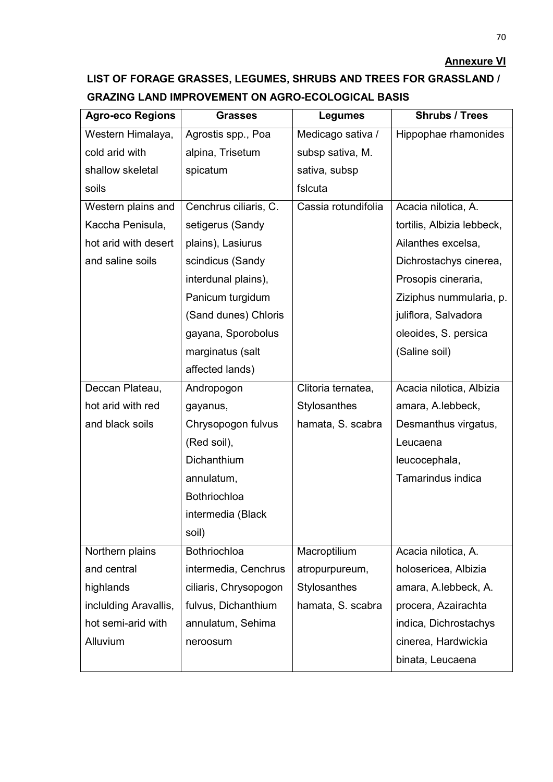# **Annexure VI**

# **LIST OF FORAGE GRASSES, LEGUMES, SHRUBS AND TREES FOR GRASSLAND / GRAZING LAND IMPROVEMENT ON AGRO-ECOLOGICAL BASIS**

| <b>Agro-eco Regions</b> | <b>Grasses</b>        | Legumes             | <b>Shrubs / Trees</b>      |
|-------------------------|-----------------------|---------------------|----------------------------|
| Western Himalaya,       | Agrostis spp., Poa    | Medicago sativa /   | Hippophae rhamonides       |
| cold arid with          | alpina, Trisetum      | subsp sativa, M.    |                            |
| shallow skeletal        | spicatum              | sativa, subsp       |                            |
| soils                   |                       | fslcuta             |                            |
| Western plains and      | Cenchrus ciliaris, C. | Cassia rotundifolia | Acacia nilotica, A.        |
| Kaccha Penisula,        | setigerus (Sandy      |                     | tortilis, Albizia lebbeck, |
| hot arid with desert    | plains), Lasiurus     |                     | Ailanthes excelsa,         |
| and saline soils        | scindicus (Sandy      |                     | Dichrostachys cinerea,     |
|                         | interdunal plains),   |                     | Prosopis cineraria,        |
|                         | Panicum turgidum      |                     | Ziziphus nummularia, p.    |
|                         | (Sand dunes) Chloris  |                     | juliflora, Salvadora       |
|                         | gayana, Sporobolus    |                     | oleoides, S. persica       |
|                         | marginatus (salt      |                     | (Saline soil)              |
|                         | affected lands)       |                     |                            |
| Deccan Plateau,         | Andropogon            | Clitoria ternatea,  | Acacia nilotica, Albizia   |
| hot arid with red       | gayanus,              | <b>Stylosanthes</b> | amara, A.lebbeck,          |
| and black soils         | Chrysopogon fulvus    | hamata, S. scabra   | Desmanthus virgatus,       |
|                         | (Red soil),           |                     | Leucaena                   |
|                         | Dichanthium           |                     | leucocephala,              |
|                         | annulatum,            |                     | Tamarindus indica          |
|                         | <b>Bothriochloa</b>   |                     |                            |
|                         | intermedia (Black     |                     |                            |
|                         | soil)                 |                     |                            |
| Northern plains         | <b>Bothriochloa</b>   | Macroptilium        | Acacia nilotica, A.        |
| and central             | intermedia, Cenchrus  | atropurpureum,      | holosericea, Albizia       |
| highlands               | ciliaris, Chrysopogon | <b>Stylosanthes</b> | amara, A.lebbeck, A.       |
| inclulding Aravallis,   | fulvus, Dichanthium   | hamata, S. scabra   | procera, Azairachta        |
| hot semi-arid with      | annulatum, Sehima     |                     | indica, Dichrostachys      |
| Alluvium                | neroosum              |                     | cinerea, Hardwickia        |
|                         |                       |                     | binata, Leucaena           |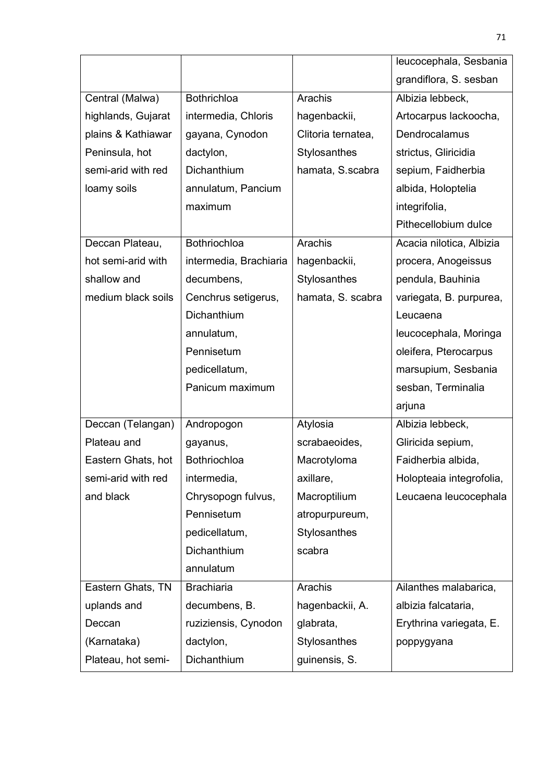|                    |                        |                    | leucocephala, Sesbania   |
|--------------------|------------------------|--------------------|--------------------------|
|                    |                        |                    | grandiflora, S. sesban   |
| Central (Malwa)    | <b>Bothrichloa</b>     | Arachis            | Albizia lebbeck,         |
| highlands, Gujarat | intermedia, Chloris    | hagenbackii,       | Artocarpus lackoocha,    |
| plains & Kathiawar | gayana, Cynodon        | Clitoria ternatea, | Dendrocalamus            |
| Peninsula, hot     | dactylon,              | Stylosanthes       | strictus, Gliricidia     |
| semi-arid with red | Dichanthium            | hamata, S.scabra   | sepium, Faidherbia       |
| loamy soils        | annulatum, Pancium     |                    | albida, Holoptelia       |
|                    | maximum                |                    | integrifolia,            |
|                    |                        |                    | Pithecellobium dulce     |
| Deccan Plateau,    | Bothriochloa           | Arachis            | Acacia nilotica, Albizia |
| hot semi-arid with | intermedia, Brachiaria | hagenbackii,       | procera, Anogeissus      |
| shallow and        | decumbens,             | Stylosanthes       | pendula, Bauhinia        |
| medium black soils | Cenchrus setigerus,    | hamata, S. scabra  | variegata, B. purpurea,  |
|                    | Dichanthium            |                    | Leucaena                 |
|                    | annulatum,             |                    | leucocephala, Moringa    |
|                    | Pennisetum             |                    | oleifera, Pterocarpus    |
|                    | pedicellatum,          |                    | marsupium, Sesbania      |
|                    | Panicum maximum        |                    | sesban, Terminalia       |
|                    |                        |                    | arjuna                   |
| Deccan (Telangan)  | Andropogon             | Atylosia           | Albizia lebbeck,         |
| Plateau and        | gayanus,               | scrabaeoides,      | Gliricida sepium,        |
| Eastern Ghats, hot | Bothriochloa           | Macrotyloma        | Faidherbia albida,       |
| semi-arid with red | intermedia,            | axillare,          | Holopteaia integrofolia, |
| and black          | Chrysopogn fulvus,     | Macroptilium       | Leucaena leucocephala    |
|                    | Pennisetum             | atropurpureum,     |                          |
|                    | pedicellatum,          | Stylosanthes       |                          |
|                    | Dichanthium            | scabra             |                          |
|                    | annulatum              |                    |                          |
| Eastern Ghats, TN  | <b>Brachiaria</b>      | Arachis            | Ailanthes malabarica,    |
| uplands and        | decumbens, B.          | hagenbackii, A.    | albizia falcataria,      |
| Deccan             | ruziziensis, Cynodon   | glabrata,          | Erythrina variegata, E.  |
| (Karnataka)        | dactylon,              | Stylosanthes       | poppygyana               |
| Plateau, hot semi- | Dichanthium            | guinensis, S.      |                          |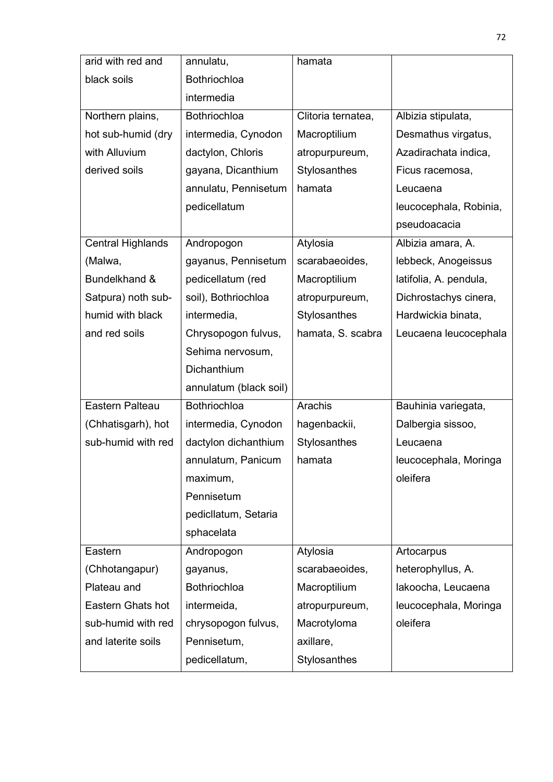| arid with red and  | annulatu,              | hamata             |                        |
|--------------------|------------------------|--------------------|------------------------|
| black soils        | Bothriochloa           |                    |                        |
|                    | intermedia             |                    |                        |
| Northern plains,   | Bothriochloa           | Clitoria ternatea, | Albizia stipulata,     |
| hot sub-humid (dry | intermedia, Cynodon    | Macroptilium       | Desmathus virgatus,    |
| with Alluvium      | dactylon, Chloris      | atropurpureum,     | Azadirachata indica,   |
| derived soils      | gayana, Dicanthium     | Stylosanthes       | Ficus racemosa,        |
|                    | annulatu, Pennisetum   | hamata             | Leucaena               |
|                    | pedicellatum           |                    | leucocephala, Robinia, |
|                    |                        |                    | pseudoacacia           |
| Central Highlands  | Andropogon             | Atylosia           | Albizia amara, A.      |
| (Malwa,            | gayanus, Pennisetum    | scarabaeoides,     | lebbeck, Anogeissus    |
| Bundelkhand &      | pedicellatum (red      | Macroptilium       | latifolia, A. pendula, |
| Satpura) noth sub- | soil), Bothriochloa    | atropurpureum,     | Dichrostachys cinera,  |
| humid with black   | intermedia,            | Stylosanthes       | Hardwickia binata,     |
| and red soils      | Chrysopogon fulvus,    | hamata, S. scabra  | Leucaena leucocephala  |
|                    | Sehima nervosum,       |                    |                        |
|                    | Dichanthium            |                    |                        |
|                    | annulatum (black soil) |                    |                        |
| Eastern Palteau    | Bothriochloa           | Arachis            | Bauhinia variegata,    |
| (Chhatisgarh), hot | intermedia, Cynodon    | hagenbackii,       | Dalbergia sissoo,      |
| sub-humid with red | dactylon dichanthium   | Stylosanthes       | Leucaena               |
|                    | annulatum, Panicum     | hamata             | leucocephala, Moringa  |
|                    | maximum,               |                    | oleifera               |
|                    | Pennisetum             |                    |                        |
|                    | pedicllatum, Setaria   |                    |                        |
|                    | sphacelata             |                    |                        |
| Eastern            | Andropogon             | Atylosia           | Artocarpus             |
| (Chhotangapur)     | gayanus,               | scarabaeoides,     | heterophyllus, A.      |
| Plateau and        | Bothriochloa           | Macroptilium       | lakoocha, Leucaena     |
| Eastern Ghats hot  | intermeida,            | atropurpureum,     | leucocephala, Moringa  |
| sub-humid with red | chrysopogon fulvus,    | Macrotyloma        | oleifera               |
| and laterite soils | Pennisetum,            | axillare,          |                        |
|                    | pedicellatum,          | Stylosanthes       |                        |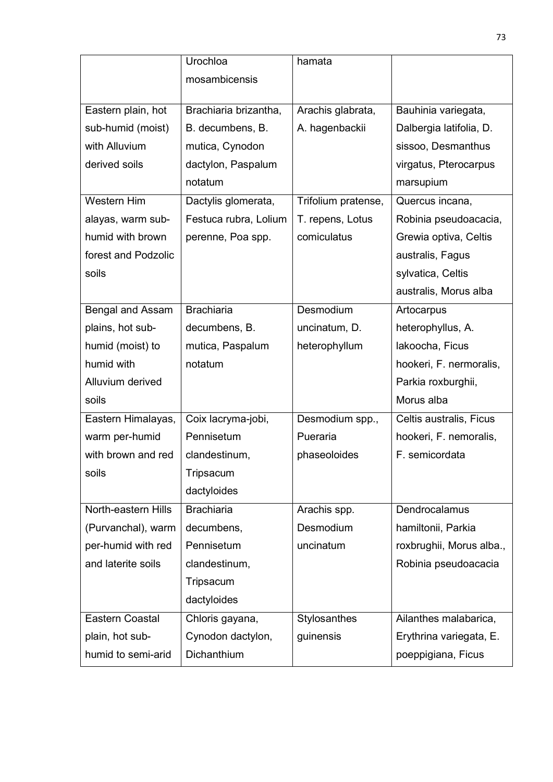|                        | Urochloa              | hamata              |                          |  |
|------------------------|-----------------------|---------------------|--------------------------|--|
| mosambicensis          |                       |                     |                          |  |
|                        |                       |                     |                          |  |
| Eastern plain, hot     | Brachiaria brizantha, | Arachis glabrata,   | Bauhinia variegata,      |  |
| sub-humid (moist)      | B. decumbens, B.      | A. hagenbackii      | Dalbergia latifolia, D.  |  |
| with Alluvium          | mutica, Cynodon       |                     | sissoo, Desmanthus       |  |
| derived soils          | dactylon, Paspalum    |                     | virgatus, Pterocarpus    |  |
|                        | notatum               |                     | marsupium                |  |
| <b>Western Him</b>     | Dactylis glomerata,   | Trifolium pratense, | Quercus incana,          |  |
| alayas, warm sub-      | Festuca rubra, Lolium | T. repens, Lotus    | Robinia pseudoacacia,    |  |
| humid with brown       | perenne, Poa spp.     | comiculatus         | Grewia optiva, Celtis    |  |
| forest and Podzolic    |                       |                     | australis, Fagus         |  |
| soils                  |                       |                     | sylvatica, Celtis        |  |
|                        |                       |                     | australis, Morus alba    |  |
| Bengal and Assam       | <b>Brachiaria</b>     | Desmodium           | Artocarpus               |  |
| plains, hot sub-       | decumbens, B.         | uncinatum, D.       | heterophyllus, A.        |  |
| humid (moist) to       | mutica, Paspalum      | heterophyllum       | lakoocha, Ficus          |  |
| humid with             | notatum               |                     | hookeri, F. nermoralis,  |  |
| Alluvium derived       |                       |                     | Parkia roxburghii,       |  |
| soils                  |                       |                     | Morus alba               |  |
| Eastern Himalayas,     | Coix lacryma-jobi,    | Desmodium spp.,     | Celtis australis, Ficus  |  |
| warm per-humid         | Pennisetum            | Pueraria            | hookeri, F. nemoralis,   |  |
| with brown and red     | clandestinum,         | phaseoloides        | F. semicordata           |  |
| soils                  | Tripsacum             |                     |                          |  |
|                        | dactyloides           |                     |                          |  |
| North-eastern Hills    | <b>Brachiaria</b>     | Arachis spp.        | Dendrocalamus            |  |
| (Purvanchal), warm     | decumbens,            | Desmodium           | hamiltonii, Parkia       |  |
| per-humid with red     | Pennisetum            | uncinatum           | roxbrughii, Morus alba., |  |
| and laterite soils     | clandestinum,         |                     | Robinia pseudoacacia     |  |
|                        | Tripsacum             |                     |                          |  |
|                        | dactyloides           |                     |                          |  |
| <b>Eastern Coastal</b> | Chloris gayana,       | Stylosanthes        | Ailanthes malabarica,    |  |
| plain, hot sub-        | Cynodon dactylon,     | guinensis           | Erythrina variegata, E.  |  |
| humid to semi-arid     | Dichanthium           |                     | poeppigiana, Ficus       |  |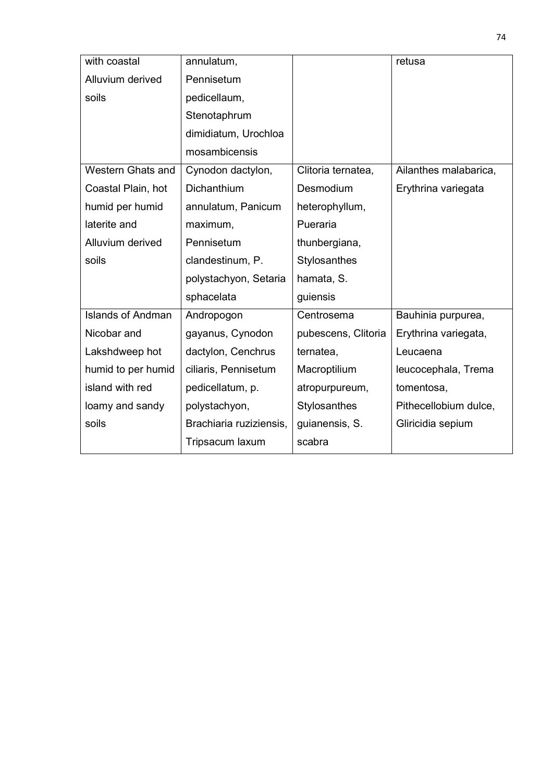| with coastal             | annulatum,              |                     | retusa                |
|--------------------------|-------------------------|---------------------|-----------------------|
| Alluvium derived         | Pennisetum              |                     |                       |
| soils                    | pedicellaum,            |                     |                       |
|                          | Stenotaphrum            |                     |                       |
|                          | dimidiatum, Urochloa    |                     |                       |
|                          | mosambicensis           |                     |                       |
| Western Ghats and        | Cynodon dactylon,       | Clitoria ternatea,  | Ailanthes malabarica, |
| Coastal Plain, hot       | Dichanthium             | Desmodium           | Erythrina variegata   |
| humid per humid          | annulatum, Panicum      | heterophyllum,      |                       |
| laterite and             | maximum,                | Pueraria            |                       |
| Alluvium derived         | Pennisetum              | thunbergiana,       |                       |
| soils                    | clandestinum, P.        | Stylosanthes        |                       |
|                          | polystachyon, Setaria   | hamata, S.          |                       |
|                          | sphacelata              | guiensis            |                       |
| <b>Islands of Andman</b> | Andropogon              | Centrosema          | Bauhinia purpurea,    |
| Nicobar and              | gayanus, Cynodon        | pubescens, Clitoria | Erythrina variegata,  |
| Lakshdweep hot           | dactylon, Cenchrus      | ternatea,           | Leucaena              |
| humid to per humid       | ciliaris, Pennisetum    | Macroptilium        | leucocephala, Trema   |
| island with red          | pedicellatum, p.        | atropurpureum,      | tomentosa,            |
| loamy and sandy          | polystachyon,           | Stylosanthes        | Pithecellobium dulce, |
| soils                    | Brachiaria ruziziensis, | guianensis, S.      | Gliricidia sepium     |
|                          |                         |                     |                       |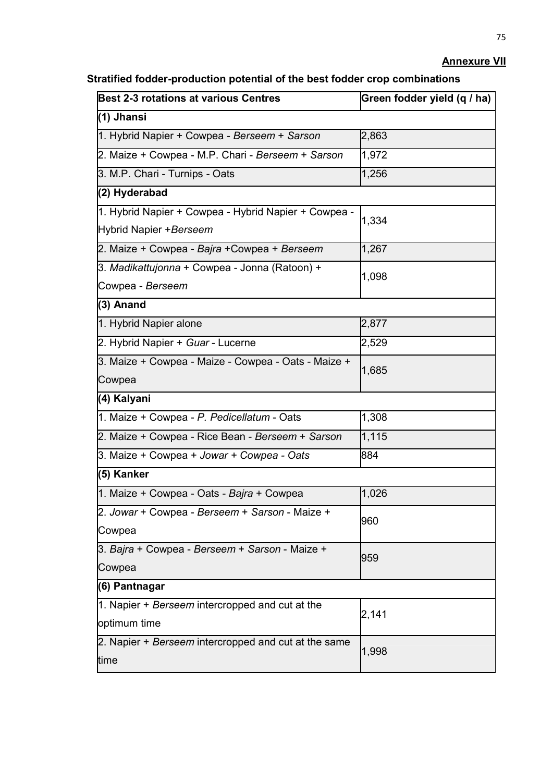# **Annexure VII**

| <b>Best 2-3 rotations at various Centres</b>                      | Green fodder yield (q / ha) |
|-------------------------------------------------------------------|-----------------------------|
| (1) Jhansi                                                        |                             |
| 1. Hybrid Napier + Cowpea - Berseem + Sarson                      | 2,863                       |
| 2. Maize + Cowpea - M.P. Chari - Berseem + Sarson                 | 1,972                       |
| 3. M.P. Chari - Turnips - Oats                                    | 1,256                       |
| (2) Hyderabad                                                     |                             |
| 1. Hybrid Napier + Cowpea - Hybrid Napier + Cowpea -              | 1,334                       |
| Hybrid Napier +Berseem                                            |                             |
| 2. Maize + Cowpea - Bajra +Cowpea + Berseem                       | 1,267                       |
| 3. Madikattujonna + Cowpea - Jonna (Ratoon) +<br>Cowpea - Berseem | 1,098                       |
| (3) Anand                                                         |                             |
| 1. Hybrid Napier alone                                            | 2,877                       |
| 2. Hybrid Napier + Guar - Lucerne                                 | 2,529                       |
| 3. Maize + Cowpea - Maize - Cowpea - Oats - Maize +<br>Cowpea     | 1,685                       |
| (4) Kalyani                                                       |                             |
| 1. Maize + Cowpea - P. Pedicellatum - Oats                        | 1,308                       |
| 2. Maize + Cowpea - Rice Bean - Berseem + Sarson                  | 1,115                       |
| 3. Maize + Cowpea + Jowar + Cowpea - Oats                         | 884                         |
| (5) Kanker                                                        |                             |
| 1. Maize + Cowpea - Oats - Bajra + Cowpea                         | 1,026                       |
| 2. Jowar + Cowpea - Berseem + Sarson - Maize +<br>Cowpea          | 960                         |
| 3. Bajra + Cowpea - Berseem + Sarson - Maize +<br>Cowpea          | 959                         |
| (6) Pantnagar                                                     |                             |
| 1. Napier + Berseem intercropped and cut at the                   |                             |
| optimum time                                                      | 2,141                       |
| 2. Napier + Berseem intercropped and cut at the same<br>time      | 1,998                       |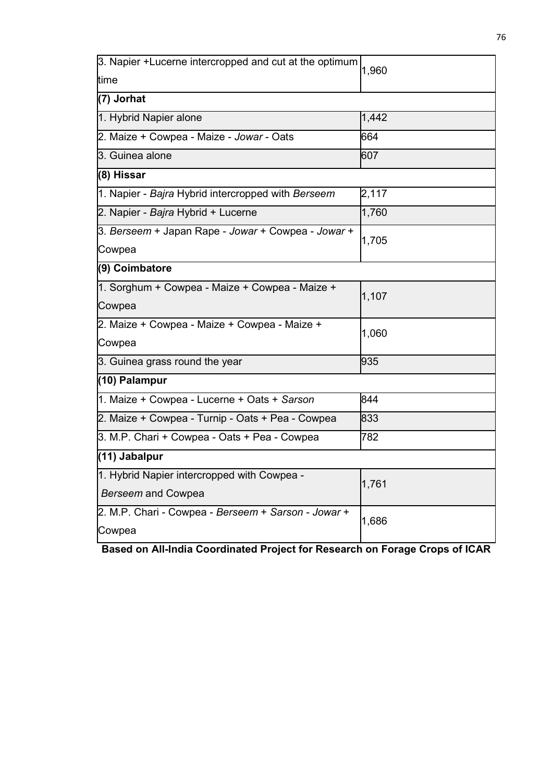| 3. Napier +Lucerne intercropped and cut at the optimum | 1,960 |
|--------------------------------------------------------|-------|
| time                                                   |       |
| (7) Jorhat                                             |       |
| 1. Hybrid Napier alone                                 | 1,442 |
| 2. Maize + Cowpea - Maize - Jowar - Oats               | 664   |
| 3. Guinea alone                                        | 607   |
| (8) Hissar                                             |       |
| 1. Napier - Bajra Hybrid intercropped with Berseem     | 2,117 |
| 2. Napier - Bajra Hybrid + Lucerne                     | 1,760 |
| 3. Berseem + Japan Rape - Jowar + Cowpea - Jowar +     | 1,705 |
| Cowpea                                                 |       |
| (9) Coimbatore                                         |       |
| 1. Sorghum + Cowpea - Maize + Cowpea - Maize +         | 1,107 |
| Cowpea                                                 |       |
| 2. Maize + Cowpea - Maize + Cowpea - Maize +           | 1,060 |
| Cowpea                                                 |       |
| 3. Guinea grass round the year                         | 935   |
| (10) Palampur                                          |       |
| 1. Maize + Cowpea - Lucerne + Oats + Sarson            | 844   |
| 2. Maize + Cowpea - Turnip - Oats + Pea - Cowpea       | 833   |
| 3. M.P. Chari + Cowpea - Oats + Pea - Cowpea           | 782   |
| (11) Jabalpur                                          |       |
| 1. Hybrid Napier intercropped with Cowpea -            | 1,761 |
| Berseem and Cowpea                                     |       |
| 2. M.P. Chari - Cowpea - Berseem + Sarson - Jowar +    | 1,686 |
| Cowpea                                                 |       |

**Based on All-India Coordinated Project for Research on Forage Crops of ICAR**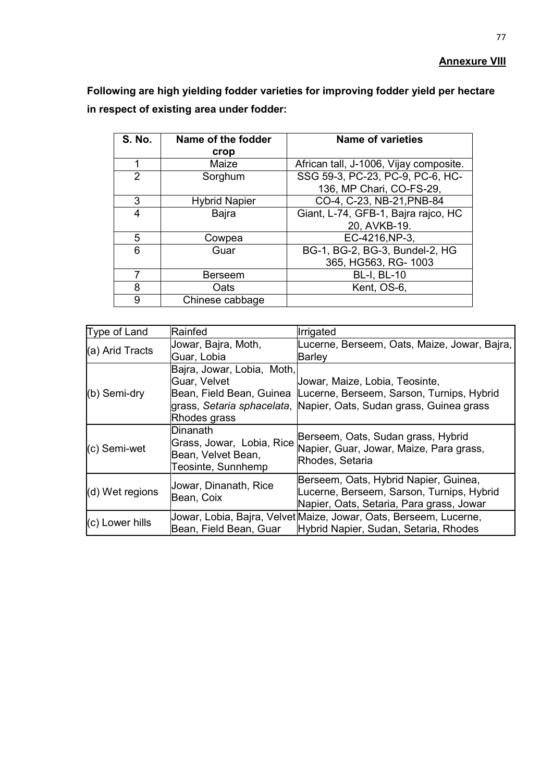**Following are high yielding fodder varieties for improving fodder yield per hectare in respect of existing area under fodder:** 

| <b>S. No.</b>  | Name of the fodder<br>crop | <b>Name of varieties</b>               |
|----------------|----------------------------|----------------------------------------|
|                | Maize                      | African tall, J-1006, Vijay composite. |
| $\overline{2}$ | Sorghum                    | SSG 59-3, PC-23, PC-9, PC-6, HC-       |
|                |                            | 136, MP Chari, CO-FS-29,               |
| 3              | <b>Hybrid Napier</b>       | CO-4, C-23, NB-21, PNB-84              |
| 4              | <b>Bajra</b>               | Giant, L-74, GFB-1, Bajra rajco, HC    |
|                |                            | 20, AVKB-19.                           |
| 5              | Cowpea                     | EC-4216, NP-3,                         |
| 6              | Guar                       | BG-1, BG-2, BG-3, Bundel-2, HG         |
|                |                            | 365, HG563, RG-1003                    |
|                | <b>Berseem</b>             | <b>BL-I, BL-10</b>                     |
| 8              | Oats                       | Kent, OS-6,                            |
| 9              | Chinese cabbage            |                                        |

| Type of Land    | Rainfed                                                                            | Irrigated                                                                                                                                                                  |
|-----------------|------------------------------------------------------------------------------------|----------------------------------------------------------------------------------------------------------------------------------------------------------------------------|
| (a) Arid Tracts | Jowar, Bajra, Moth,<br>Guar, Lobia                                                 | Lucerne, Berseem, Oats, Maize, Jowar, Bajra,<br><b>Barley</b>                                                                                                              |
| (b) Semi-dry    | Bajra, Jowar, Lobia, Moth,<br>Guar, Velvet<br>Rhodes grass                         | Uowar, Maize, Lobia, Teosinte,<br>Bean, Field Bean, Guinea Lucerne, Berseem, Sarson, Turnips, Hybrid<br>grass, Setaria sphacelata, Napier, Oats, Sudan grass, Guinea grass |
| (c) Semi-wet    | lDinanath<br>Grass, Jowar, Lobia, Rice<br>Bean, Velvet Bean,<br>Teosinte, Sunnhemp | Berseem, Oats, Sudan grass, Hybrid<br>Napier, Guar, Jowar, Maize, Para grass,<br>Rhodes, Setaria                                                                           |
| (d) Wet regions | Jowar, Dinanath, Rice<br>Bean, Coix                                                | Berseem, Oats, Hybrid Napier, Guinea,<br>Lucerne, Berseem, Sarson, Turnips, Hybrid<br>Napier, Oats, Setaria, Para grass, Jowar                                             |
| (c) Lower hills | Bean, Field Bean, Guar                                                             | Jowar, Lobia, Bajra, Velvet Maize, Jowar, Oats, Berseem, Lucerne,<br>Hybrid Napier, Sudan, Setaria, Rhodes                                                                 |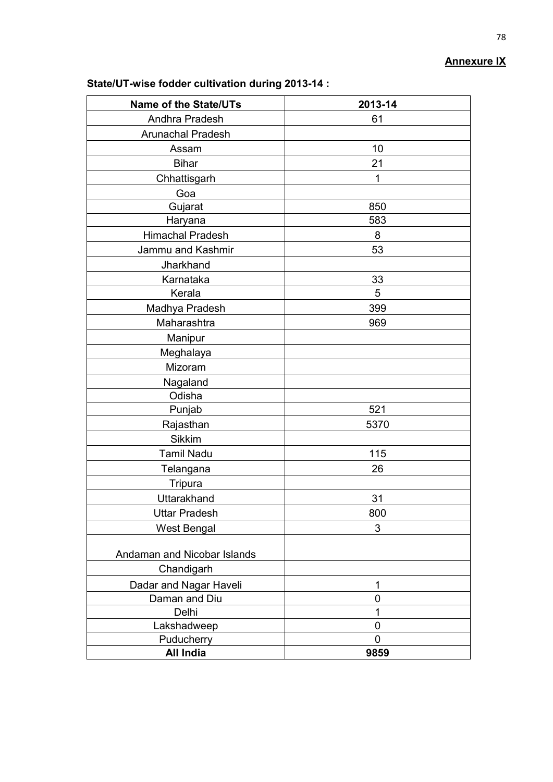## **Annexure IX**

| <b>Name of the State/UTs</b> | 2013-14 |
|------------------------------|---------|
| Andhra Pradesh               | 61      |
| <b>Arunachal Pradesh</b>     |         |
| Assam                        | 10      |
| <b>Bihar</b>                 | 21      |
| Chhattisgarh                 | 1       |
| Goa                          |         |
| Gujarat                      | 850     |
| Haryana                      | 583     |
| <b>Himachal Pradesh</b>      | 8       |
| Jammu and Kashmir            | 53      |
| Jharkhand                    |         |
| Karnataka                    | 33      |
| Kerala                       | 5       |
| Madhya Pradesh               | 399     |
| Maharashtra                  | 969     |
| Manipur                      |         |
| Meghalaya                    |         |
| Mizoram                      |         |
| Nagaland                     |         |
| Odisha                       |         |
| Punjab                       | 521     |
| Rajasthan                    | 5370    |
| <b>Sikkim</b>                |         |
| <b>Tamil Nadu</b>            | 115     |
| Telangana                    | 26      |
| <b>Tripura</b>               |         |
| Uttarakhand                  | 31      |
| <b>Uttar Pradesh</b>         | 800     |
| West Bengal                  | 3       |
|                              |         |
| Andaman and Nicobar Islands  |         |
| Chandigarh                   |         |
| Dadar and Nagar Haveli       | 1       |
| Daman and Diu                | 0       |
| Delhi                        | 1       |
| Lakshadweep                  | 0       |
| Puducherry                   | 0       |
| <b>All India</b>             | 9859    |

## **State/UT-wise fodder cultivation during 2013-14 :**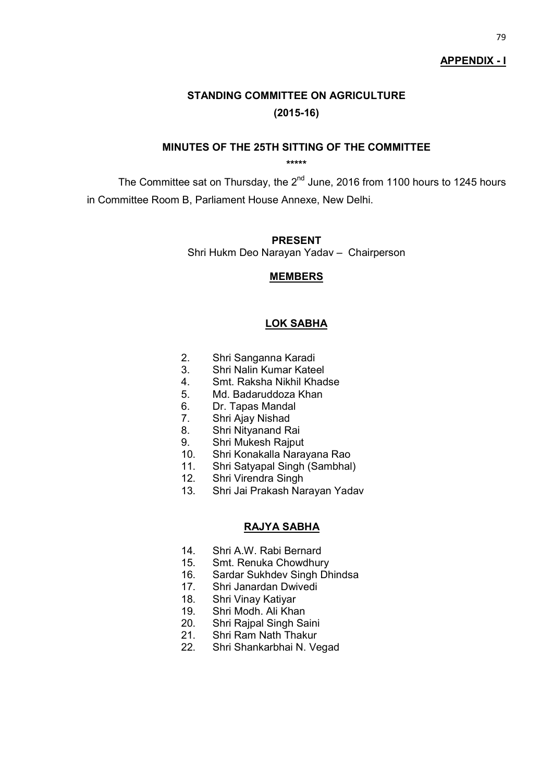### **APPENDIX - I**

## **STANDING COMMITTEE ON AGRICULTURE (2015-16)**

### **MINUTES OF THE 25TH SITTING OF THE COMMITTEE**

**\*\*\*\*\***

The Committee sat on Thursday, the 2<sup>nd</sup> June, 2016 from 1100 hours to 1245 hours in Committee Room B, Parliament House Annexe, New Delhi.

**PRESENT**

Shri Hukm Deo Narayan Yadav – Chairperson

#### **MEMBERS**

#### **LOK SABHA**

- 2. Shri Sanganna Karadi
- 3. Shri Nalin Kumar Kateel<br>4. Smt. Raksha Nikhil Khao
- 4. Smt. Raksha Nikhil Khadse
- 5. Md. Badaruddoza Khan
- 6. Dr. Tapas Mandal
- 7. Shri Ajay Nishad
- 8. Shri Nityanand Rai
- 9. Shri Mukesh Rajput
- 10. Shri Konakalla Narayana Rao
- 11. Shri Satyapal Singh (Sambhal)
- 12. Shri Virendra Singh
- 13. Shri Jai Prakash Narayan Yadav

#### **RAJYA SABHA**

- 14. Shri A.W. Rabi Bernard
- 15. Smt. Renuka Chowdhury
- 16. Sardar Sukhdev Singh Dhindsa
- 17. Shri Janardan Dwivedi
- 18. Shri Vinay Katiyar
- 19. Shri Modh. Ali Khan
- 20. Shri Rajpal Singh Saini<br>21. Shri Ram Nath Thakur
- Shri Ram Nath Thakur
- 22. Shri Shankarbhai N. Vegad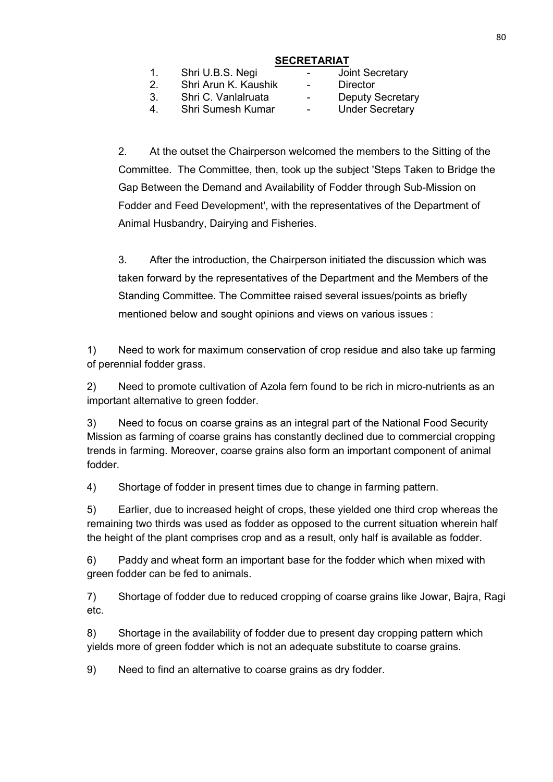## **SECRETARIAT**

- 1. Shri U.B.S. Negi Joint Secretary
- 2. Shri Arun K. Kaushik Director
- 3. Shri C. Vanlalruata Deputy Secretary
- -
- 
- 4. Shri Sumesh Kumar Under Secretary

2. At the outset the Chairperson welcomed the members to the Sitting of the Committee. The Committee, then, took up the subject 'Steps Taken to Bridge the Gap Between the Demand and Availability of Fodder through Sub-Mission on Fodder and Feed Development', with the representatives of the Department of Animal Husbandry, Dairying and Fisheries.

3. After the introduction, the Chairperson initiated the discussion which was taken forward by the representatives of the Department and the Members of the Standing Committee. The Committee raised several issues/points as briefly mentioned below and sought opinions and views on various issues :

1) Need to work for maximum conservation of crop residue and also take up farming of perennial fodder grass.

2) Need to promote cultivation of Azola fern found to be rich in micro-nutrients as an important alternative to green fodder.

3) Need to focus on coarse grains as an integral part of the National Food Security Mission as farming of coarse grains has constantly declined due to commercial cropping trends in farming. Moreover, coarse grains also form an important component of animal fodder.

4) Shortage of fodder in present times due to change in farming pattern.

5) Earlier, due to increased height of crops, these yielded one third crop whereas the remaining two thirds was used as fodder as opposed to the current situation wherein half the height of the plant comprises crop and as a result, only half is available as fodder.

6) Paddy and wheat form an important base for the fodder which when mixed with green fodder can be fed to animals.

7) Shortage of fodder due to reduced cropping of coarse grains like Jowar, Bajra, Ragi etc.

8) Shortage in the availability of fodder due to present day cropping pattern which yields more of green fodder which is not an adequate substitute to coarse grains.

9) Need to find an alternative to coarse grains as dry fodder.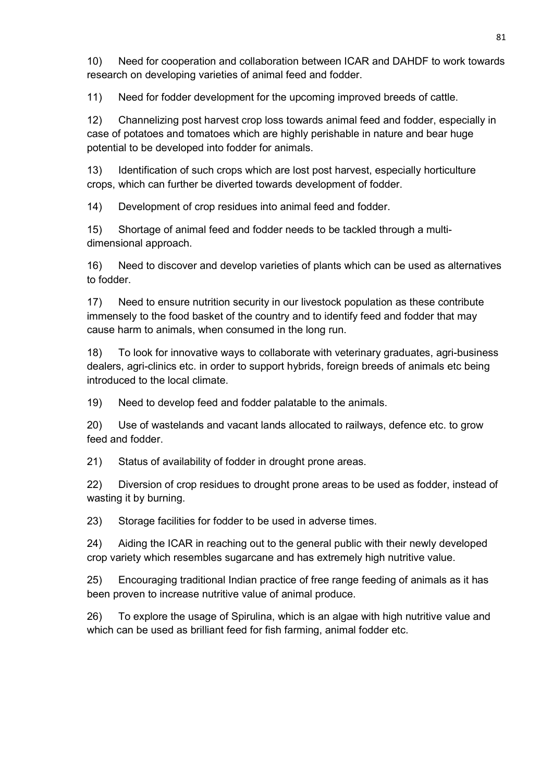10) Need for cooperation and collaboration between ICAR and DAHDF to work towards research on developing varieties of animal feed and fodder.

11) Need for fodder development for the upcoming improved breeds of cattle.

12) Channelizing post harvest crop loss towards animal feed and fodder, especially in case of potatoes and tomatoes which are highly perishable in nature and bear huge potential to be developed into fodder for animals.

13) Identification of such crops which are lost post harvest, especially horticulture crops, which can further be diverted towards development of fodder.

14) Development of crop residues into animal feed and fodder.

15) Shortage of animal feed and fodder needs to be tackled through a multidimensional approach.

16) Need to discover and develop varieties of plants which can be used as alternatives to fodder.

17) Need to ensure nutrition security in our livestock population as these contribute immensely to the food basket of the country and to identify feed and fodder that may cause harm to animals, when consumed in the long run.

18) To look for innovative ways to collaborate with veterinary graduates, agri-business dealers, agri-clinics etc. in order to support hybrids, foreign breeds of animals etc being introduced to the local climate.

19) Need to develop feed and fodder palatable to the animals.

20) Use of wastelands and vacant lands allocated to railways, defence etc. to grow feed and fodder.

21) Status of availability of fodder in drought prone areas.

22) Diversion of crop residues to drought prone areas to be used as fodder, instead of wasting it by burning.

23) Storage facilities for fodder to be used in adverse times.

24) Aiding the ICAR in reaching out to the general public with their newly developed crop variety which resembles sugarcane and has extremely high nutritive value.

25) Encouraging traditional Indian practice of free range feeding of animals as it has been proven to increase nutritive value of animal produce.

26) To explore the usage of Spirulina, which is an algae with high nutritive value and which can be used as brilliant feed for fish farming, animal fodder etc.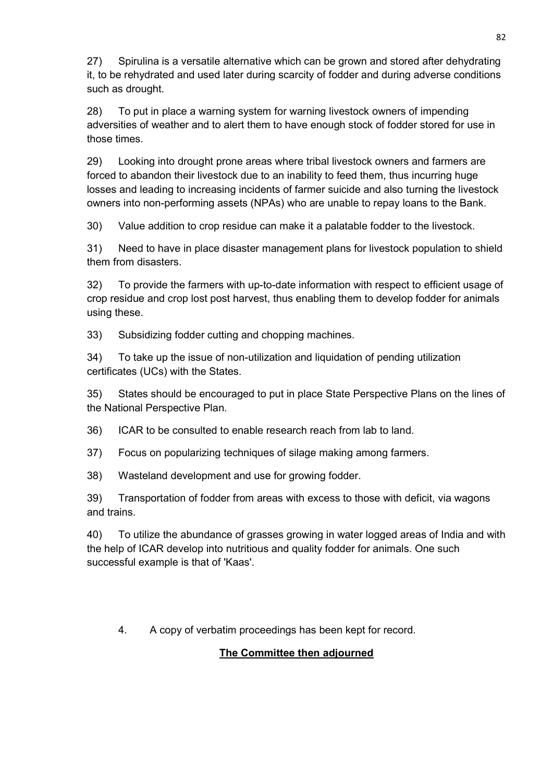27) Spirulina is a versatile alternative which can be grown and stored after dehydrating it, to be rehydrated and used later during scarcity of fodder and during adverse conditions such as drought.

28) To put in place a warning system for warning livestock owners of impending adversities of weather and to alert them to have enough stock of fodder stored for use in those times.

29) Looking into drought prone areas where tribal livestock owners and farmers are forced to abandon their livestock due to an inability to feed them, thus incurring huge losses and leading to increasing incidents of farmer suicide and also turning the livestock owners into non-performing assets (NPAs) who are unable to repay loans to the Bank.

30) Value addition to crop residue can make it a palatable fodder to the livestock.

31) Need to have in place disaster management plans for livestock population to shield them from disasters.

32) To provide the farmers with up-to-date information with respect to efficient usage of crop residue and crop lost post harvest, thus enabling them to develop fodder for animals using these.

33) Subsidizing fodder cutting and chopping machines.

34) To take up the issue of non-utilization and liquidation of pending utilization certificates (UCs) with the States.

35) States should be encouraged to put in place State Perspective Plans on the lines of the National Perspective Plan.

36) ICAR to be consulted to enable research reach from lab to land.

37) Focus on popularizing techniques of silage making among farmers.

38) Wasteland development and use for growing fodder.

39) Transportation of fodder from areas with excess to those with deficit, via wagons and trains.

40) To utilize the abundance of grasses growing in water logged areas of India and with the help of ICAR develop into nutritious and quality fodder for animals. One such successful example is that of 'Kaas'.

4. A copy of verbatim proceedings has been kept for record.

## **The Committee then adjourned**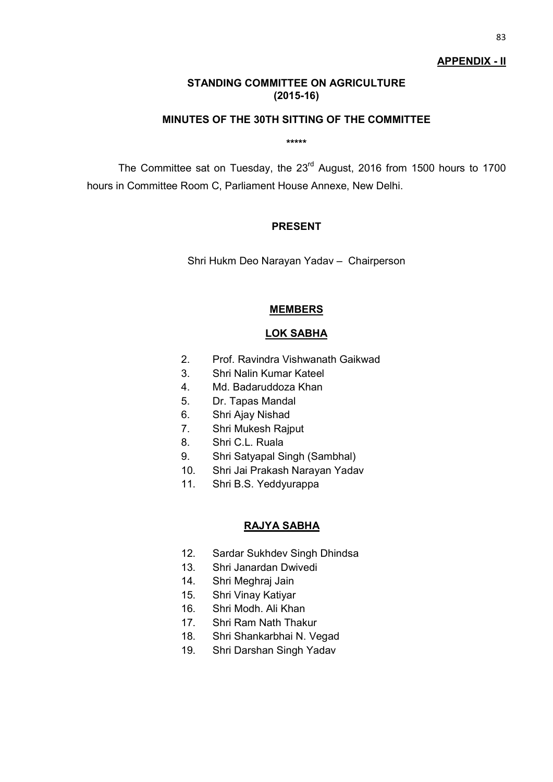### **APPENDIX - II**

### **STANDING COMMITTEE ON AGRICULTURE (2015-16)**

### **MINUTES OF THE 30TH SITTING OF THE COMMITTEE**

**\*\*\*\*\***

The Committee sat on Tuesday, the 23<sup>rd</sup> August, 2016 from 1500 hours to 1700 hours in Committee Room C, Parliament House Annexe, New Delhi.

#### **PRESENT**

Shri Hukm Deo Narayan Yadav – Chairperson

#### **MEMBERS**

#### **LOK SABHA**

- 2. Prof. Ravindra Vishwanath Gaikwad
- 3. Shri Nalin Kumar Kateel
- 4. Md. Badaruddoza Khan
- 5. Dr. Tapas Mandal
- 6. Shri Ajay Nishad
- 7. Shri Mukesh Rajput
- 8. Shri C.L. Ruala
- 9. Shri Satyapal Singh (Sambhal)
- 10. Shri Jai Prakash Narayan Yadav
- 11. Shri B.S. Yeddyurappa

#### **RAJYA SABHA**

- 12. Sardar Sukhdev Singh Dhindsa
- 13. Shri Janardan Dwivedi
- 14. Shri Meghraj Jain
- 15. Shri Vinay Katiyar
- 16. Shri Modh. Ali Khan
- 17. Shri Ram Nath Thakur
- 18. Shri Shankarbhai N. Vegad
- 19. Shri Darshan Singh Yadav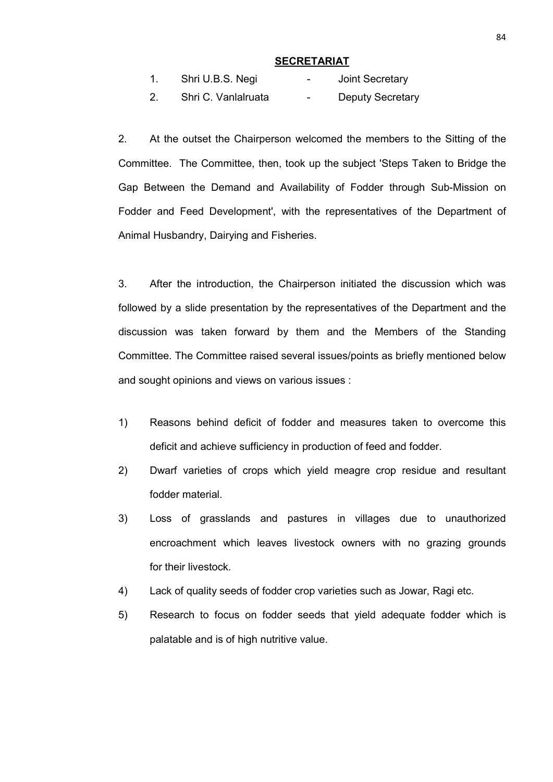#### **SECRETARIAT**

|  | Shri U.B.S. Negi |  | Joint Secretary |
|--|------------------|--|-----------------|
|--|------------------|--|-----------------|

2. Shri C. Vanlalruata - Deputy Secretary

2. At the outset the Chairperson welcomed the members to the Sitting of the Committee. The Committee, then, took up the subject 'Steps Taken to Bridge the Gap Between the Demand and Availability of Fodder through Sub-Mission on Fodder and Feed Development', with the representatives of the Department of Animal Husbandry, Dairying and Fisheries.

3. After the introduction, the Chairperson initiated the discussion which was followed by a slide presentation by the representatives of the Department and the discussion was taken forward by them and the Members of the Standing Committee. The Committee raised several issues/points as briefly mentioned below and sought opinions and views on various issues :

- 1) Reasons behind deficit of fodder and measures taken to overcome this deficit and achieve sufficiency in production of feed and fodder.
- 2) Dwarf varieties of crops which yield meagre crop residue and resultant fodder material.
- 3) Loss of grasslands and pastures in villages due to unauthorized encroachment which leaves livestock owners with no grazing grounds for their livestock.
- 4) Lack of quality seeds of fodder crop varieties such as Jowar, Ragi etc.
- 5) Research to focus on fodder seeds that yield adequate fodder which is palatable and is of high nutritive value.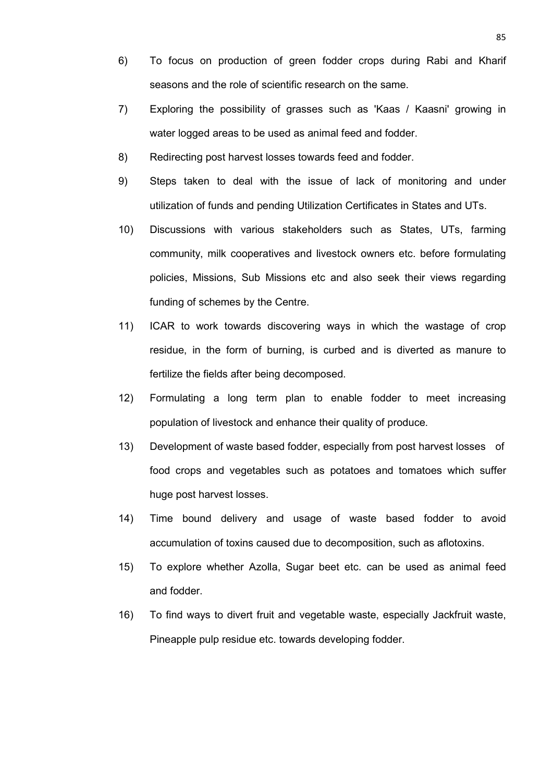- 6) To focus on production of green fodder crops during Rabi and Kharif seasons and the role of scientific research on the same.
- 7) Exploring the possibility of grasses such as 'Kaas / Kaasni' growing in water logged areas to be used as animal feed and fodder.
- 8) Redirecting post harvest losses towards feed and fodder.
- 9) Steps taken to deal with the issue of lack of monitoring and under utilization of funds and pending Utilization Certificates in States and UTs.
- 10) Discussions with various stakeholders such as States, UTs, farming community, milk cooperatives and livestock owners etc. before formulating policies, Missions, Sub Missions etc and also seek their views regarding funding of schemes by the Centre.
- 11) ICAR to work towards discovering ways in which the wastage of crop residue, in the form of burning, is curbed and is diverted as manure to fertilize the fields after being decomposed.
- 12) Formulating a long term plan to enable fodder to meet increasing population of livestock and enhance their quality of produce.
- 13) Development of waste based fodder, especially from post harvest losses of food crops and vegetables such as potatoes and tomatoes which suffer huge post harvest losses.
- 14) Time bound delivery and usage of waste based fodder to avoid accumulation of toxins caused due to decomposition, such as aflotoxins.
- 15) To explore whether Azolla, Sugar beet etc. can be used as animal feed and fodder.
- 16) To find ways to divert fruit and vegetable waste, especially Jackfruit waste, Pineapple pulp residue etc. towards developing fodder.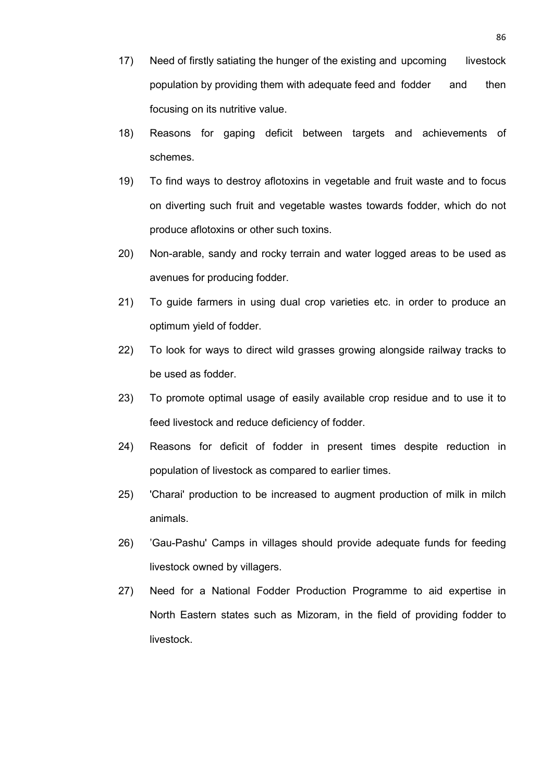- 17) Need of firstly satiating the hunger of the existing and upcoming livestock population by providing them with adequate feed and fodder and then focusing on its nutritive value.
- 18) Reasons for gaping deficit between targets and achievements of schemes.
- 19) To find ways to destroy aflotoxins in vegetable and fruit waste and to focus on diverting such fruit and vegetable wastes towards fodder, which do not produce aflotoxins or other such toxins.
- 20) Non-arable, sandy and rocky terrain and water logged areas to be used as avenues for producing fodder.
- 21) To guide farmers in using dual crop varieties etc. in order to produce an optimum yield of fodder.
- 22) To look for ways to direct wild grasses growing alongside railway tracks to be used as fodder.
- 23) To promote optimal usage of easily available crop residue and to use it to feed livestock and reduce deficiency of fodder.
- 24) Reasons for deficit of fodder in present times despite reduction in population of livestock as compared to earlier times.
- 25) 'Charai' production to be increased to augment production of milk in milch animals.
- 26) 'Gau-Pashu' Camps in villages should provide adequate funds for feeding livestock owned by villagers.
- 27) Need for a National Fodder Production Programme to aid expertise in North Eastern states such as Mizoram, in the field of providing fodder to livestock.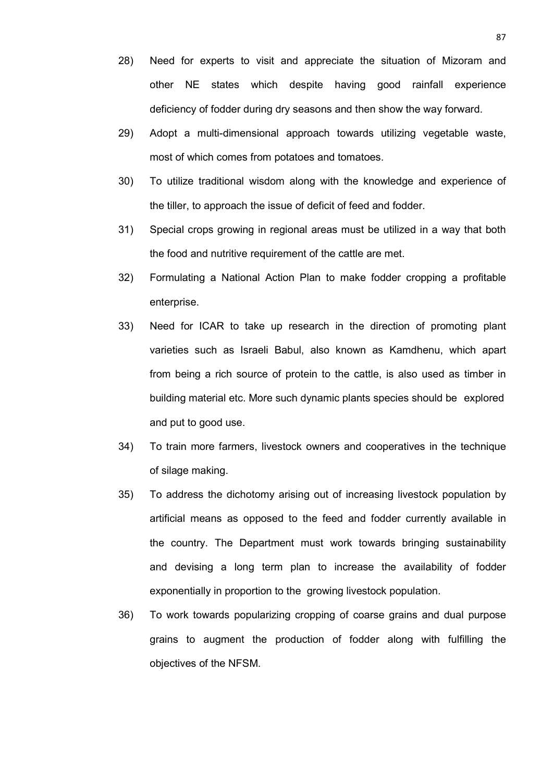- 28) Need for experts to visit and appreciate the situation of Mizoram and other NE states which despite having good rainfall experience deficiency of fodder during dry seasons and then show the way forward.
- 29) Adopt a multi-dimensional approach towards utilizing vegetable waste, most of which comes from potatoes and tomatoes.
- 30) To utilize traditional wisdom along with the knowledge and experience of the tiller, to approach the issue of deficit of feed and fodder.
- 31) Special crops growing in regional areas must be utilized in a way that both the food and nutritive requirement of the cattle are met.
- 32) Formulating a National Action Plan to make fodder cropping a profitable enterprise.
- 33) Need for ICAR to take up research in the direction of promoting plant varieties such as Israeli Babul, also known as Kamdhenu, which apart from being a rich source of protein to the cattle, is also used as timber in building material etc. More such dynamic plants species should be explored and put to good use.
- 34) To train more farmers, livestock owners and cooperatives in the technique of silage making.
- 35) To address the dichotomy arising out of increasing livestock population by artificial means as opposed to the feed and fodder currently available in the country. The Department must work towards bringing sustainability and devising a long term plan to increase the availability of fodder exponentially in proportion to the growing livestock population.
- 36) To work towards popularizing cropping of coarse grains and dual purpose grains to augment the production of fodder along with fulfilling the objectives of the NFSM.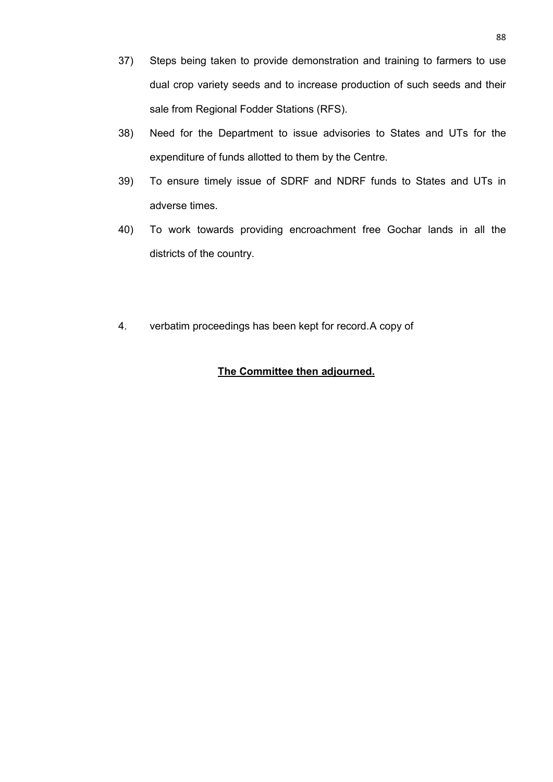- 37) Steps being taken to provide demonstration and training to farmers to use dual crop variety seeds and to increase production of such seeds and their sale from Regional Fodder Stations (RFS).
- 38) Need for the Department to issue advisories to States and UTs for the expenditure of funds allotted to them by the Centre.
- 39) To ensure timely issue of SDRF and NDRF funds to States and UTs in adverse times.
- 40) To work towards providing encroachment free Gochar lands in all the districts of the country.
- 4. verbatim proceedings has been kept for record.A copy of

## **The Committee then adjourned.**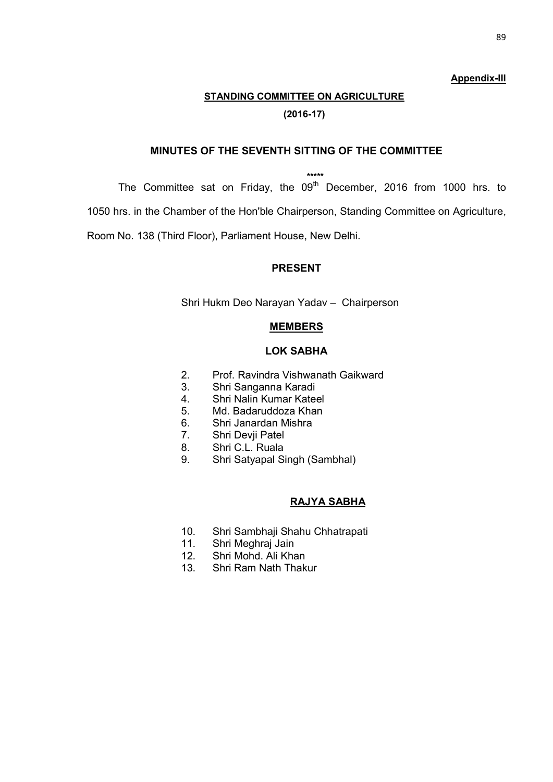#### **Appendix-III**

## **STANDING COMMITTEE ON AGRICULTURE (2016-17)**

## **MINUTES OF THE SEVENTH SITTING OF THE COMMITTEE**

**\*\*\*\*\***

The Committee sat on Friday, the 09<sup>th</sup> December, 2016 from 1000 hrs. to

1050 hrs. in the Chamber of the Hon'ble Chairperson, Standing Committee on Agriculture,

Room No. 138 (Third Floor), Parliament House, New Delhi.

#### **PRESENT**

Shri Hukm Deo Narayan Yadav – Chairperson

#### **MEMBERS**

#### **LOK SABHA**

- 2. Prof. Ravindra Vishwanath Gaikward
- 3. Shri Sanganna Karadi
- 4. Shri Nalin Kumar Kateel
- 5. Md. Badaruddoza Khan
- 6. Shri Janardan Mishra
- 7. Shri Devji Patel
- 8. Shri C.L. Ruala
- 9. Shri Satyapal Singh (Sambhal)

## **RAJYA SABHA**

- 10. Shri Sambhaji Shahu Chhatrapati<br>11. Shri Meghraj Jain
- Shri Meghraj Jain
- 12. Shri Mohd. Ali Khan
- 13. Shri Ram Nath Thakur